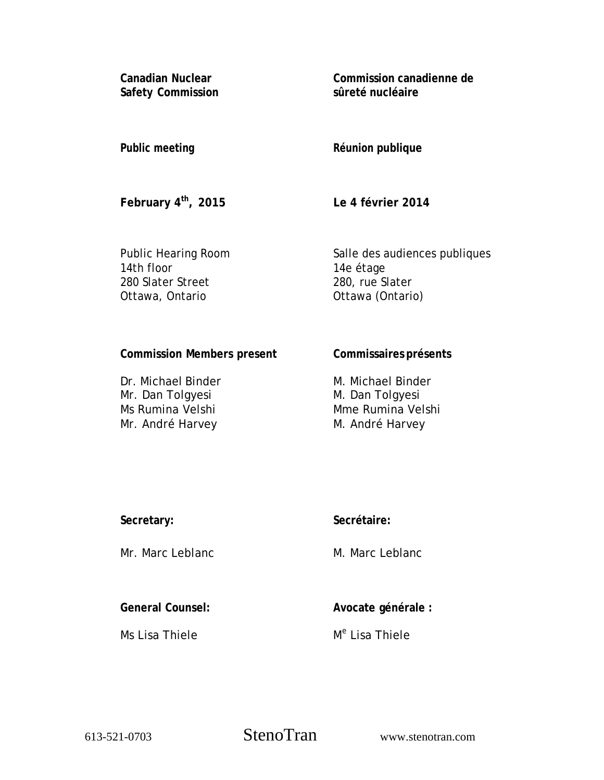**Canadian Nuclear Safety Commission**  **Commission canadienne de sûreté nucléaire** 

#### **Public meeting**

# **Réunion publique**

**February 4th, 2015** 

**Le 4 février 2014** 

Public Hearing Room 14th floor 280 Slater Street Ottawa, Ontario

Salle des audiences publiques 14e étage 280, rue Slater Ottawa (Ontario)

### **Commission Members present**

Dr. Michael Binder Mr. Dan Tolgyesi Ms Rumina Velshi Mr. André Harvey

# **Commissaires présents**

M. Michael Binder M. Dan Tolgyesi Mme Rumina Velshi M. André Harvey

### **Secretary:**

Mr. Marc Leblanc

# **Secrétaire:**

M. Marc Leblanc

**General Counsel:** 

Ms Lisa Thiele

**Avocate générale :** 

M<sup>e</sup> Lisa Thiele

613-521-0703 StenoTran www.stenotran.com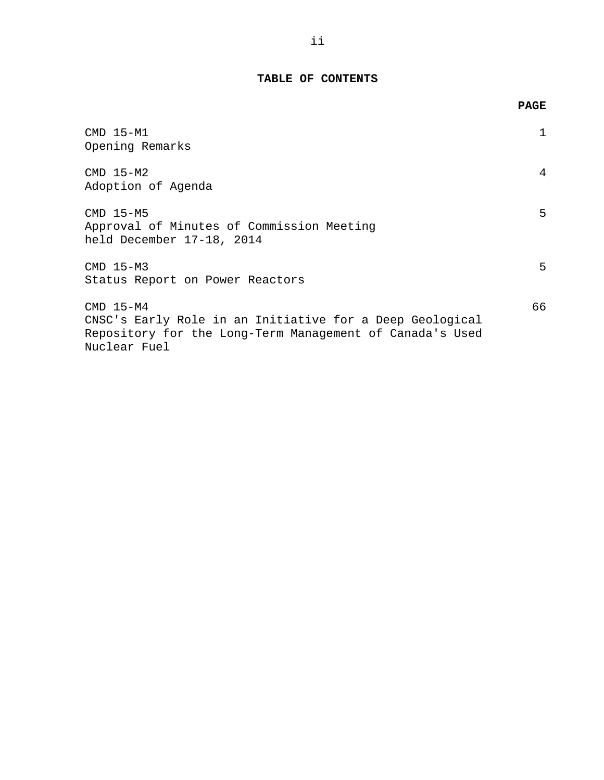## **TABLE OF CONTENTS**

|                                                                                                                                                     | <b>PAGE</b> |
|-----------------------------------------------------------------------------------------------------------------------------------------------------|-------------|
| CMD 15-M1<br>Opening Remarks                                                                                                                        |             |
| $CMD 15-M2$<br>Adoption of Agenda                                                                                                                   | 4           |
| $CMD 15-M5$<br>Approval of Minutes of Commission Meeting<br>held December 17-18, 2014                                                               | 5           |
| $CMD 15-M3$<br>Status Report on Power Reactors                                                                                                      | 5           |
| $CMD 15-M4$<br>CNSC's Early Role in an Initiative for a Deep Geological<br>Repository for the Long-Term Management of Canada's Used<br>Nuclear Fuel | 66          |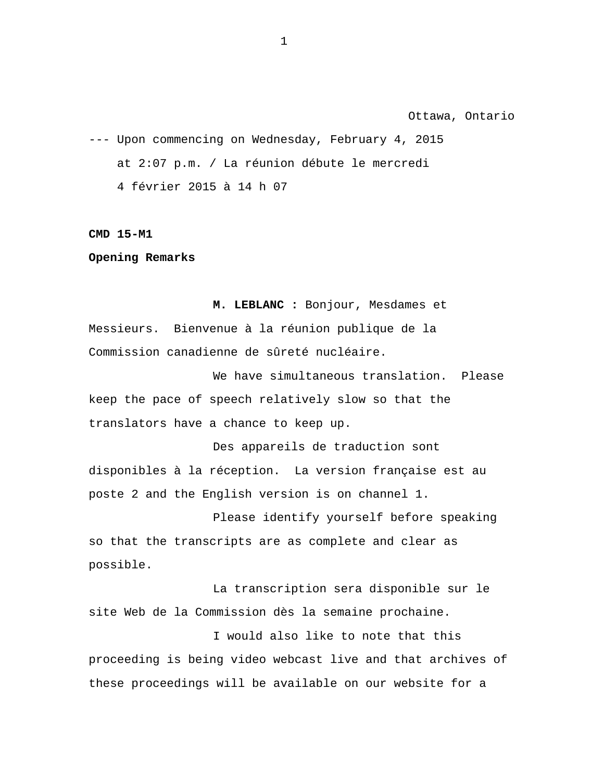Ottawa, Ontario

<span id="page-2-0"></span>--- Upon commencing on Wednesday, February 4, 2015 at 2:07 p.m. / La réunion débute le mercredi 4 février 2015 à 14 h 07

**CMD 15-M1** 

**Opening Remarks** 

**M. LEBLANC :** Bonjour, Mesdames et Messieurs. Bienvenue à la réunion publique de la Commission canadienne de sûreté nucléaire.

We have simultaneous translation. Please keep the pace of speech relatively slow so that the translators have a chance to keep up.

Des appareils de traduction sont disponibles à la réception. La version française est au poste 2 and the English version is on channel 1.

Please identify yourself before speaking so that the transcripts are as complete and clear as possible.

La transcription sera disponible sur le site Web de la Commission dès la semaine prochaine.

I would also like to note that this proceeding is being video webcast live and that archives of these proceedings will be available on our website for a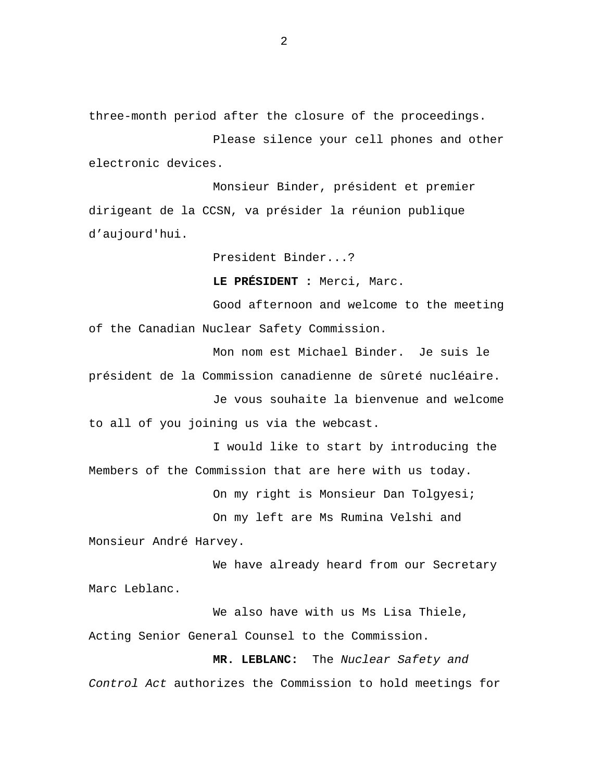three-month period after the closure of the proceedings.

Please silence your cell phones and other electronic devices.

Monsieur Binder, président et premier dirigeant de la CCSN, va présider la réunion publique d'aujourd'hui.

President Binder...?

**LE PRÉSIDENT :** Merci, Marc.

Good afternoon and welcome to the meeting of the Canadian Nuclear Safety Commission.

Mon nom est Michael Binder. Je suis le président de la Commission canadienne de sûreté nucléaire.

Je vous souhaite la bienvenue and welcome to all of you joining us via the webcast.

I would like to start by introducing the Members of the Commission that are here with us today.

On my right is Monsieur Dan Tolgyesi;

On my left are Ms Rumina Velshi and Monsieur André Harvey.

We have already heard from our Secretary Marc Leblanc.

We also have with us Ms Lisa Thiele, Acting Senior General Counsel to the Commission.

**MR. LEBLANC:** The *Nuclear Safety and Control Act* authorizes the Commission to hold meetings for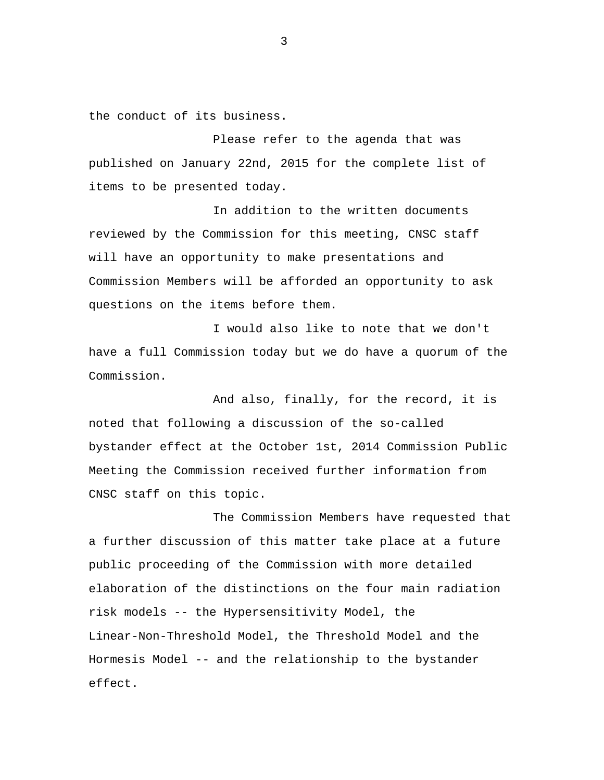the conduct of its business.

Please refer to the agenda that was published on January 22nd, 2015 for the complete list of items to be presented today.

In addition to the written documents reviewed by the Commission for this meeting, CNSC staff will have an opportunity to make presentations and Commission Members will be afforded an opportunity to ask questions on the items before them.

I would also like to note that we don't have a full Commission today but we do have a quorum of the Commission.

And also, finally, for the record, it is noted that following a discussion of the so-called bystander effect at the October 1st, 2014 Commission Public Meeting the Commission received further information from CNSC staff on this topic.

The Commission Members have requested that a further discussion of this matter take place at a future public proceeding of the Commission with more detailed elaboration of the distinctions on the four main radiation risk models -- the Hypersensitivity Model, the Linear-Non-Threshold Model, the Threshold Model and the Hormesis Model -- and the relationship to the bystander effect.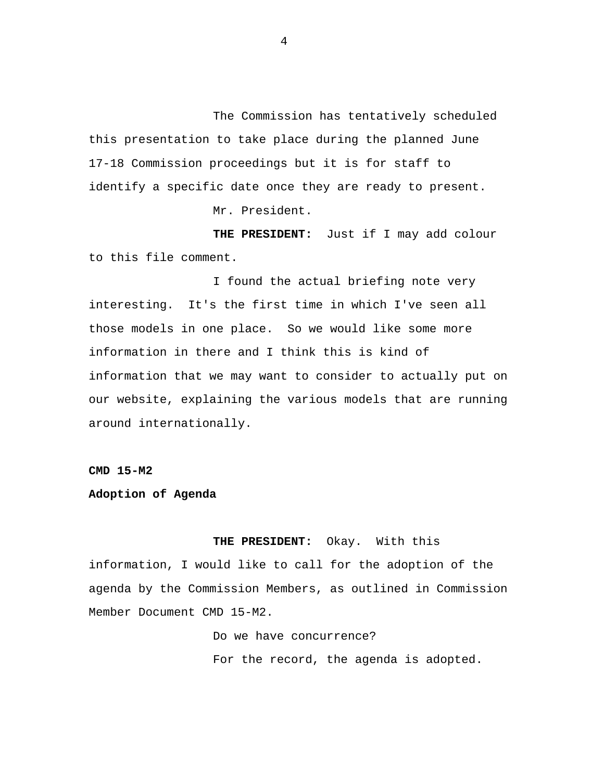<span id="page-5-0"></span>The Commission has tentatively scheduled this presentation to take place during the planned June 17-18 Commission proceedings but it is for staff to identify a specific date once they are ready to present.

Mr. President.

**THE PRESIDENT:** Just if I may add colour to this file comment.

I found the actual briefing note very interesting. It's the first time in which I've seen all those models in one place. So we would like some more information in there and I think this is kind of information that we may want to consider to actually put on our website, explaining the various models that are running around internationally.

**CMD 15-M2** 

#### **Adoption of Agenda**

 **THE PRESIDENT:** Okay. With this information, I would like to call for the adoption of the

agenda by the Commission Members, as outlined in Commission Member Document CMD 15-M2.

> Do we have concurrence? For the record, the agenda is adopted.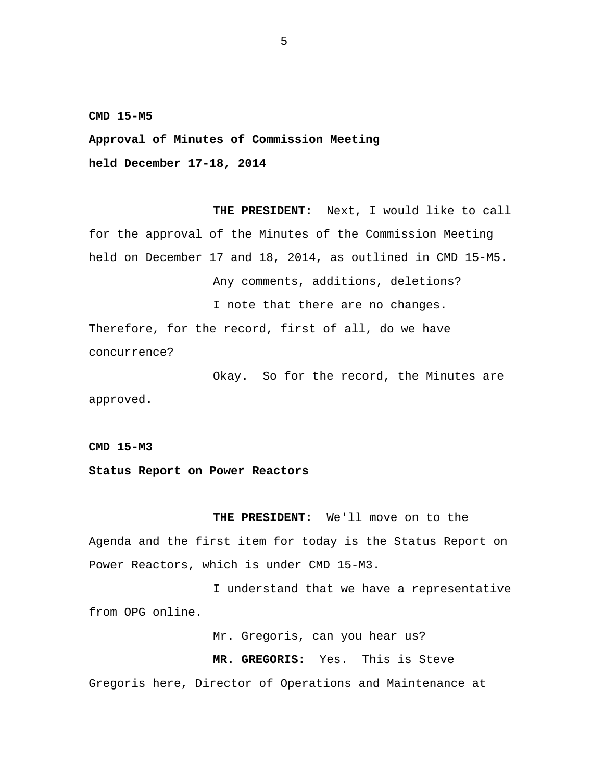<span id="page-6-0"></span>**CMD 15-M5** 

**Approval of Minutes of Commission Meeting held December 17-18, 2014** 

**THE PRESIDENT:** Next, I would like to call for the approval of the Minutes of the Commission Meeting held on December 17 and 18, 2014, as outlined in CMD 15-M5. Any comments, additions, deletions? I note that there are no changes. Therefore, for the record, first of all, do we have

concurrence?

Okay. So for the record, the Minutes are approved.

**CMD 15-M3** 

**Status Report on Power Reactors** 

**THE PRESIDENT:** We'll move on to the Agenda and the first item for today is the Status Report on Power Reactors, which is under CMD 15-M3.

I understand that we have a representative from OPG online.

Mr. Gregoris, can you hear us?

**MR. GREGORIS:** Yes. This is Steve Gregoris here, Director of Operations and Maintenance at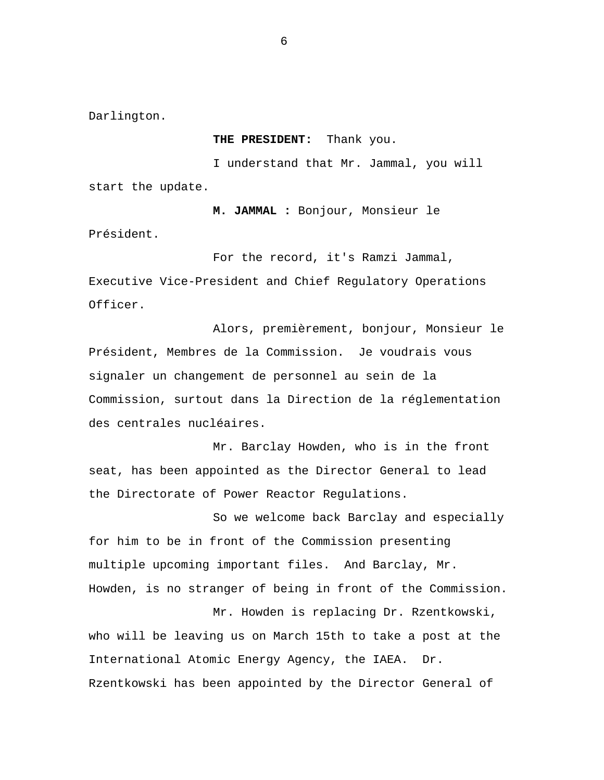Darlington.

Président.

**THE PRESIDENT:** Thank you.

I understand that Mr. Jammal, you will start the update.

**M. JAMMAL :** Bonjour, Monsieur le

For the record, it's Ramzi Jammal, Executive Vice-President and Chief Regulatory Operations Officer.

Alors, premièrement, bonjour, Monsieur le Président, Membres de la Commission. Je voudrais vous signaler un changement de personnel au sein de la Commission, surtout dans la Direction de la réglementation des centrales nucléaires.

Mr. Barclay Howden, who is in the front seat, has been appointed as the Director General to lead the Directorate of Power Reactor Regulations.

So we welcome back Barclay and especially for him to be in front of the Commission presenting multiple upcoming important files. And Barclay, Mr. Howden, is no stranger of being in front of the Commission. Mr. Howden is replacing Dr. Rzentkowski,

who will be leaving us on March 15th to take a post at the International Atomic Energy Agency, the IAEA. Dr. Rzentkowski has been appointed by the Director General of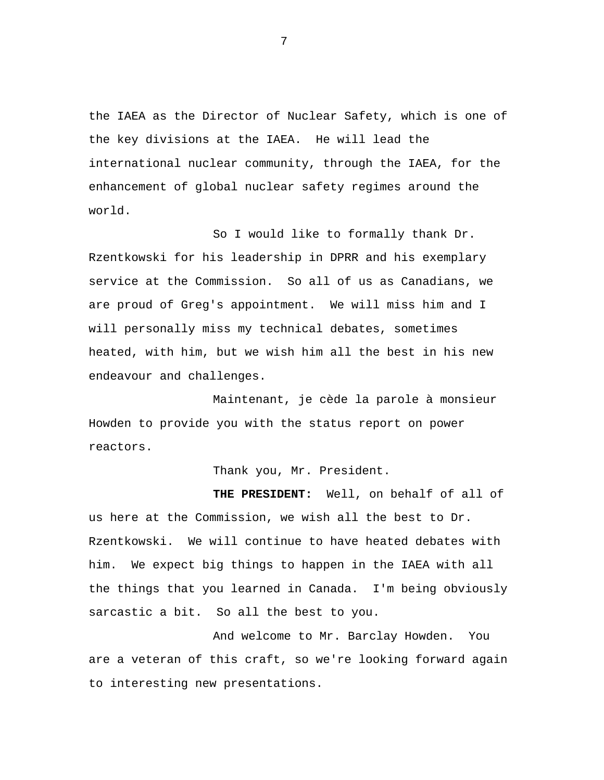the IAEA as the Director of Nuclear Safety, which is one of the key divisions at the IAEA. He will lead the international nuclear community, through the IAEA, for the enhancement of global nuclear safety regimes around the world.

So I would like to formally thank Dr. Rzentkowski for his leadership in DPRR and his exemplary service at the Commission. So all of us as Canadians, we are proud of Greg's appointment. We will miss him and I will personally miss my technical debates, sometimes heated, with him, but we wish him all the best in his new endeavour and challenges.

Maintenant, je cède la parole à monsieur Howden to provide you with the status report on power reactors.

Thank you, Mr. President.

**THE PRESIDENT:** Well, on behalf of all of us here at the Commission, we wish all the best to Dr. Rzentkowski. We will continue to have heated debates with him. We expect big things to happen in the IAEA with all the things that you learned in Canada. I'm being obviously sarcastic a bit. So all the best to you.

And welcome to Mr. Barclay Howden. You are a veteran of this craft, so we're looking forward again to interesting new presentations.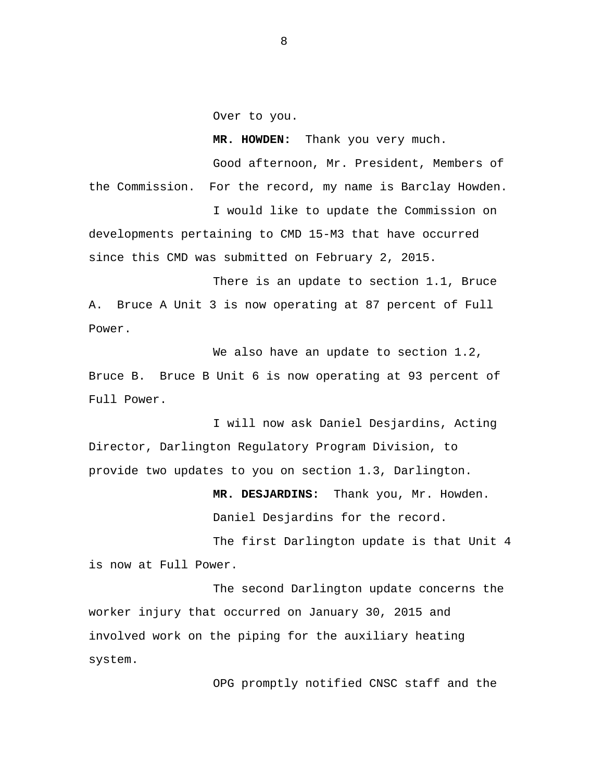Over to you.

**MR. HOWDEN:** Thank you very much. Good afternoon, Mr. President, Members of the Commission. For the record, my name is Barclay Howden.

I would like to update the Commission on developments pertaining to CMD 15-M3 that have occurred since this CMD was submitted on February 2, 2015.

There is an update to section 1.1, Bruce A. Bruce A Unit 3 is now operating at 87 percent of Full Power.

We also have an update to section 1.2, Bruce B. Bruce B Unit 6 is now operating at 93 percent of Full Power.

I will now ask Daniel Desjardins, Acting Director, Darlington Regulatory Program Division, to provide two updates to you on section 1.3, Darlington.

> **MR. DESJARDINS:** Thank you, Mr. Howden. Daniel Desjardins for the record.

The first Darlington update is that Unit 4 is now at Full Power.

The second Darlington update concerns the worker injury that occurred on January 30, 2015 and involved work on the piping for the auxiliary heating system.

OPG promptly notified CNSC staff and the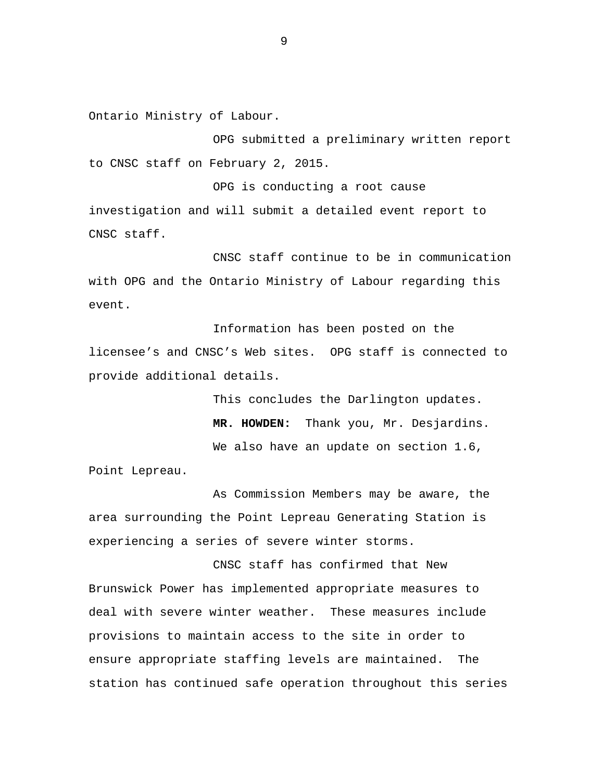Ontario Ministry of Labour.

OPG submitted a preliminary written report to CNSC staff on February 2, 2015.

OPG is conducting a root cause investigation and will submit a detailed event report to CNSC staff.

CNSC staff continue to be in communication with OPG and the Ontario Ministry of Labour regarding this event.

Information has been posted on the licensee's and CNSC's Web sites. OPG staff is connected to provide additional details.

> This concludes the Darlington updates. **MR. HOWDEN:** Thank you, Mr. Desjardins. We also have an update on section 1.6,

Point Lepreau.

As Commission Members may be aware, the area surrounding the Point Lepreau Generating Station is experiencing a series of severe winter storms.

CNSC staff has confirmed that New Brunswick Power has implemented appropriate measures to deal with severe winter weather. These measures include provisions to maintain access to the site in order to ensure appropriate staffing levels are maintained. The station has continued safe operation throughout this series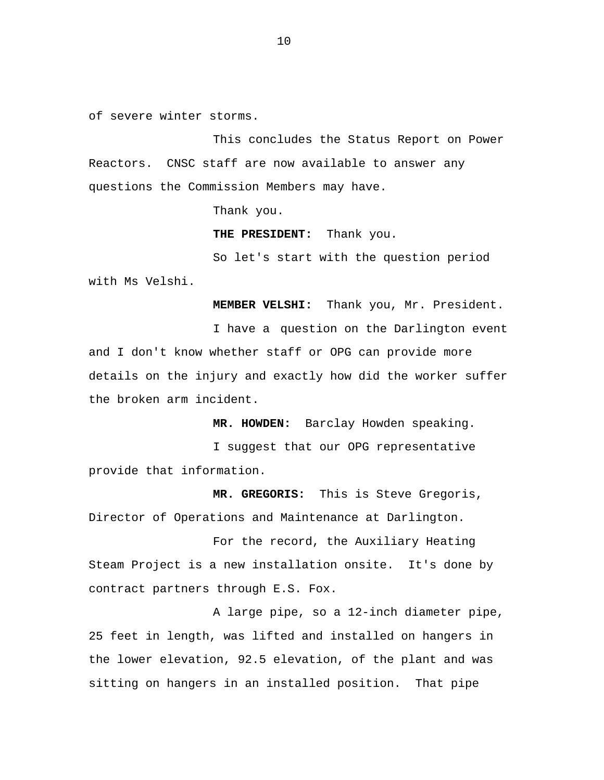of severe winter storms.

This concludes the Status Report on Power Reactors. CNSC staff are now available to answer any questions the Commission Members may have.

Thank you.

**THE PRESIDENT:** Thank you.

So let's start with the question period with Ms Velshi.

**MEMBER VELSHI:** Thank you, Mr. President.

I have a question on the Darlington event and I don't know whether staff or OPG can provide more details on the injury and exactly how did the worker suffer the broken arm incident.

**MR. HOWDEN:** Barclay Howden speaking.

I suggest that our OPG representative provide that information.

**MR. GREGORIS:** This is Steve Gregoris, Director of Operations and Maintenance at Darlington.

For the record, the Auxiliary Heating Steam Project is a new installation onsite. It's done by contract partners through E.S. Fox.

A large pipe, so a 12-inch diameter pipe, 25 feet in length, was lifted and installed on hangers in the lower elevation, 92.5 elevation, of the plant and was sitting on hangers in an installed position. That pipe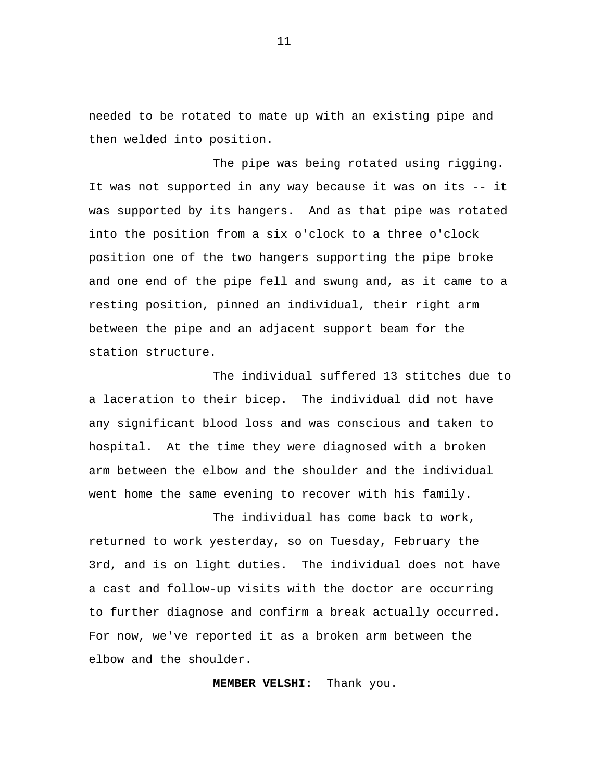needed to be rotated to mate up with an existing pipe and then welded into position.

The pipe was being rotated using rigging. It was not supported in any way because it was on its -- it was supported by its hangers. And as that pipe was rotated into the position from a six o'clock to a three o'clock position one of the two hangers supporting the pipe broke and one end of the pipe fell and swung and, as it came to a resting position, pinned an individual, their right arm between the pipe and an adjacent support beam for the station structure.

The individual suffered 13 stitches due to a laceration to their bicep. The individual did not have any significant blood loss and was conscious and taken to hospital. At the time they were diagnosed with a broken arm between the elbow and the shoulder and the individual went home the same evening to recover with his family.

The individual has come back to work, returned to work yesterday, so on Tuesday, February the 3rd, and is on light duties. The individual does not have a cast and follow-up visits with the doctor are occurring to further diagnose and confirm a break actually occurred. For now, we've reported it as a broken arm between the elbow and the shoulder.

**MEMBER VELSHI:** Thank you.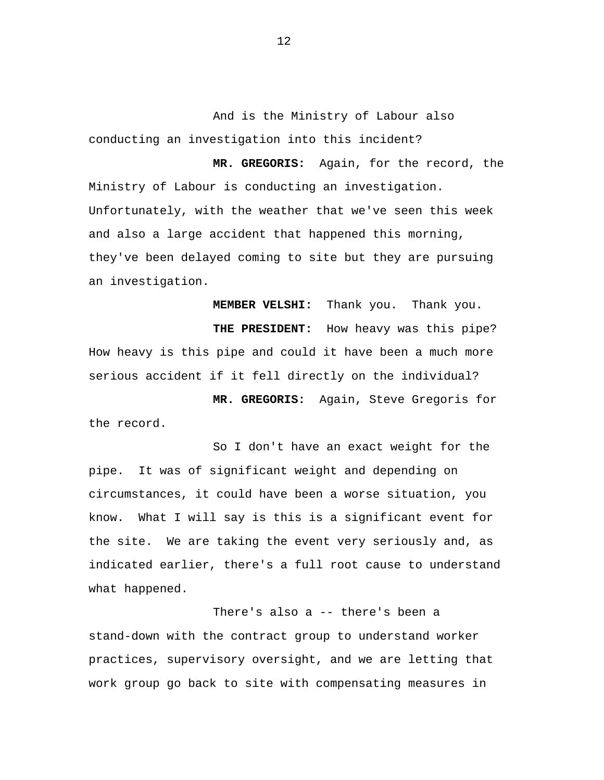And is the Ministry of Labour also conducting an investigation into this incident?

**MR. GREGORIS:** Again, for the record, the Ministry of Labour is conducting an investigation. Unfortunately, with the weather that we've seen this week and also a large accident that happened this morning, they've been delayed coming to site but they are pursuing an investigation.

**MEMBER VELSHI:** Thank you. Thank you. **THE PRESIDENT:** How heavy was this pipe? How heavy is this pipe and could it have been a much more serious accident if it fell directly on the individual?

**MR. GREGORIS:** Again, Steve Gregoris for the record.

So I don't have an exact weight for the pipe. It was of significant weight and depending on circumstances, it could have been a worse situation, you know. What I will say is this is a significant event for the site. We are taking the event very seriously and, as indicated earlier, there's a full root cause to understand what happened.

There's also a -- there's been a stand-down with the contract group to understand worker practices, supervisory oversight, and we are letting that work group go back to site with compensating measures in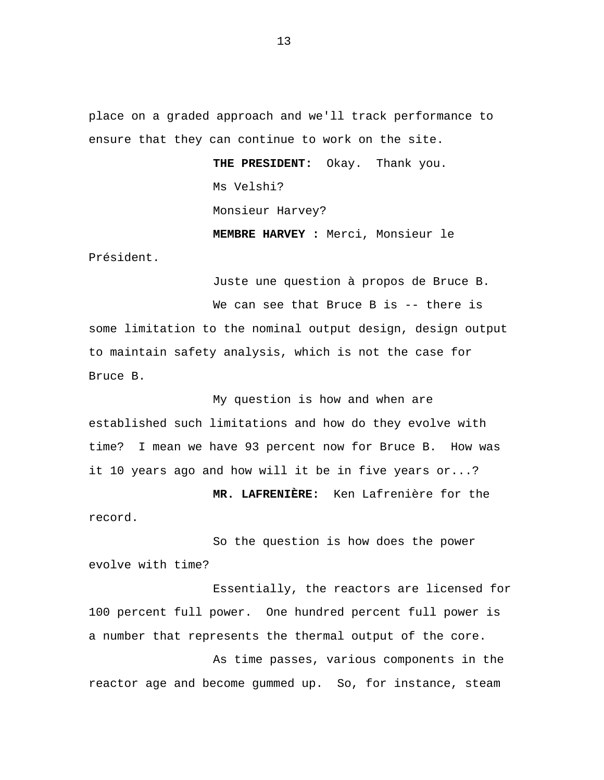place on a graded approach and we'll track performance to ensure that they can continue to work on the site.

> **THE PRESIDENT:** Okay. Thank you. Ms Velshi? Monsieur Harvey? **MEMBRE HARVEY :** Merci, Monsieur le

Président.

Juste une question à propos de Bruce B. We can see that Bruce B is -- there is some limitation to the nominal output design, design output to maintain safety analysis, which is not the case for Bruce B.

My question is how and when are established such limitations and how do they evolve with time? I mean we have 93 percent now for Bruce B. How was it 10 years ago and how will it be in five years or...?

**MR. LAFRENIÈRE:** Ken Lafrenière for the record.

So the question is how does the power evolve with time?

Essentially, the reactors are licensed for 100 percent full power. One hundred percent full power is a number that represents the thermal output of the core.

As time passes, various components in the reactor age and become gummed up. So, for instance, steam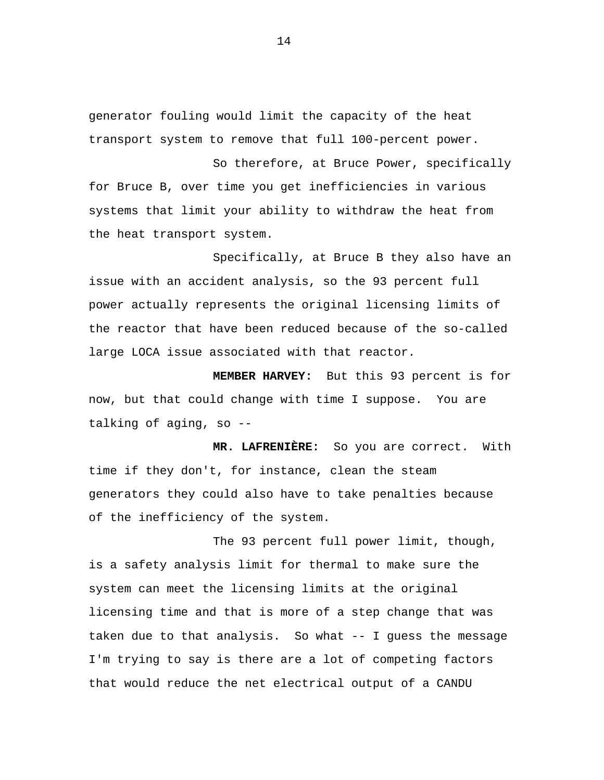generator fouling would limit the capacity of the heat transport system to remove that full 100-percent power.

So therefore, at Bruce Power, specifically for Bruce B, over time you get inefficiencies in various systems that limit your ability to withdraw the heat from the heat transport system.

Specifically, at Bruce B they also have an issue with an accident analysis, so the 93 percent full power actually represents the original licensing limits of the reactor that have been reduced because of the so-called large LOCA issue associated with that reactor.

**MEMBER HARVEY:** But this 93 percent is for now, but that could change with time I suppose. You are talking of aging, so --

**MR. LAFRENIÈRE:** So you are correct. With time if they don't, for instance, clean the steam generators they could also have to take penalties because of the inefficiency of the system.

The 93 percent full power limit, though, is a safety analysis limit for thermal to make sure the system can meet the licensing limits at the original licensing time and that is more of a step change that was taken due to that analysis. So what -- I guess the message I'm trying to say is there are a lot of competing factors that would reduce the net electrical output of a CANDU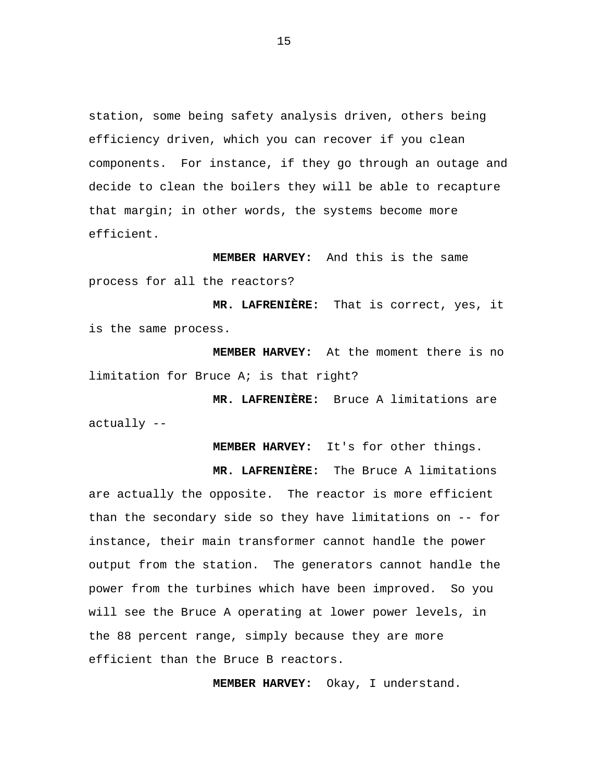station, some being safety analysis driven, others being efficiency driven, which you can recover if you clean components. For instance, if they go through an outage and decide to clean the boilers they will be able to recapture that margin; in other words, the systems become more efficient.

**MEMBER HARVEY:** And this is the same process for all the reactors?

**MR. LAFRENIÈRE:** That is correct, yes, it is the same process.

**MEMBER HARVEY:** At the moment there is no limitation for Bruce A; is that right?

**MR. LAFRENIÈRE:** Bruce A limitations are actually --

**MEMBER HARVEY:** It's for other things.

**MR. LAFRENIÈRE:** The Bruce A limitations are actually the opposite. The reactor is more efficient than the secondary side so they have limitations on -- for instance, their main transformer cannot handle the power output from the station. The generators cannot handle the power from the turbines which have been improved. So you will see the Bruce A operating at lower power levels, in the 88 percent range, simply because they are more efficient than the Bruce B reactors.

**MEMBER HARVEY:** Okay, I understand.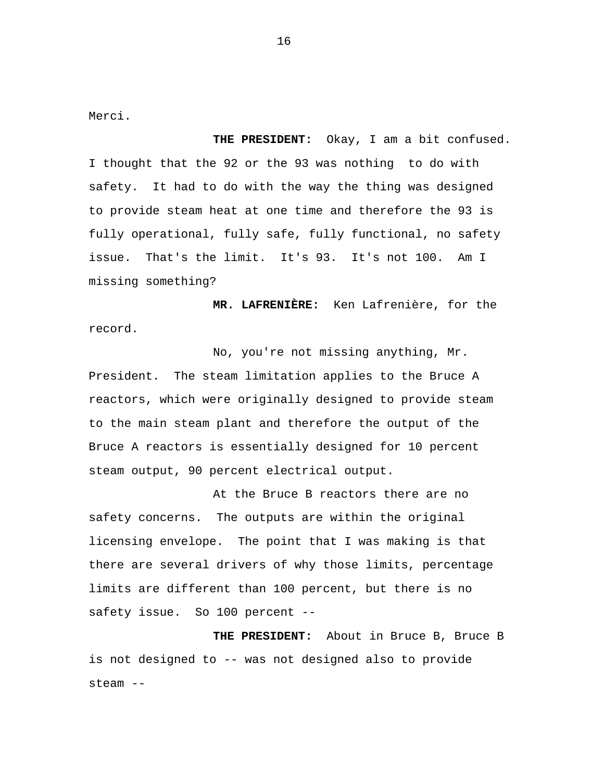Merci.

**THE PRESIDENT:** Okay, I am a bit confused. I thought that the 92 or the 93 was nothing to do with safety. It had to do with the way the thing was designed to provide steam heat at one time and therefore the 93 is fully operational, fully safe, fully functional, no safety issue. That's the limit. It's 93. It's not 100. Am I missing something?

**MR. LAFRENIÈRE:** Ken Lafrenière, for the record.

No, you're not missing anything, Mr. President. The steam limitation applies to the Bruce A reactors, which were originally designed to provide steam to the main steam plant and therefore the output of the Bruce A reactors is essentially designed for 10 percent steam output, 90 percent electrical output.

At the Bruce B reactors there are no safety concerns. The outputs are within the original licensing envelope. The point that I was making is that there are several drivers of why those limits, percentage limits are different than 100 percent, but there is no safety issue. So 100 percent --

**THE PRESIDENT:** About in Bruce B, Bruce B is not designed to -- was not designed also to provide steam --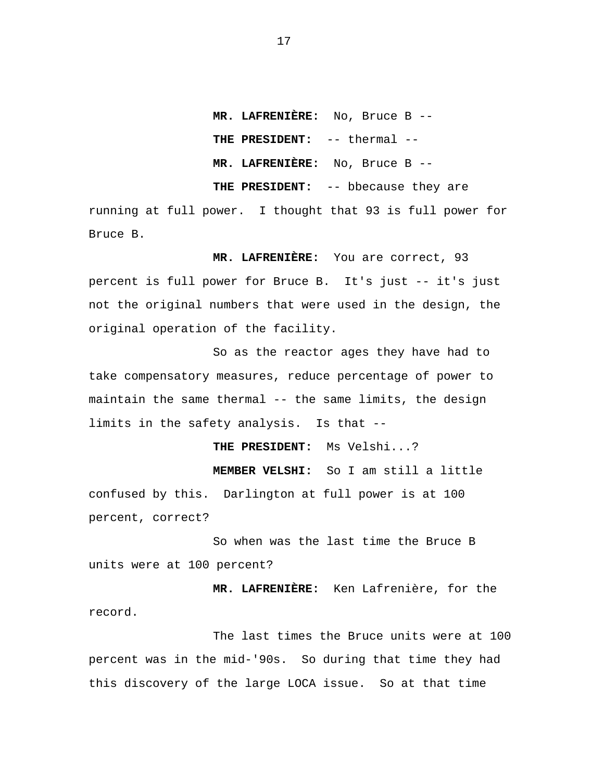**MR. LAFRENIÈRE:** No, Bruce B -- **THE PRESIDENT:** -- thermal -- **MR. LAFRENIÈRE:** No, Bruce B -- **THE PRESIDENT:** -- bbecause they are

running at full power. I thought that 93 is full power for Bruce B.

**MR. LAFRENIÈRE:** You are correct, 93 percent is full power for Bruce B. It's just -- it's just not the original numbers that were used in the design, the original operation of the facility.

So as the reactor ages they have had to take compensatory measures, reduce percentage of power to maintain the same thermal -- the same limits, the design limits in the safety analysis. Is that --

**THE PRESIDENT:** Ms Velshi...?

**MEMBER VELSHI:** So I am still a little confused by this. Darlington at full power is at 100 percent, correct?

So when was the last time the Bruce B units were at 100 percent?

**MR. LAFRENIÈRE:** Ken Lafrenière, for the record.

The last times the Bruce units were at 100 percent was in the mid-'90s. So during that time they had this discovery of the large LOCA issue. So at that time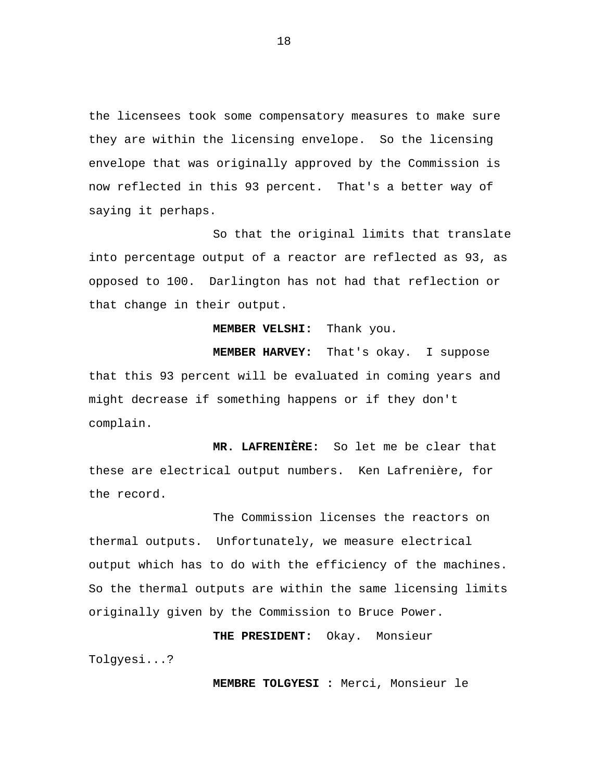the licensees took some compensatory measures to make sure they are within the licensing envelope. So the licensing envelope that was originally approved by the Commission is now reflected in this 93 percent. That's a better way of saying it perhaps.

So that the original limits that translate into percentage output of a reactor are reflected as 93, as opposed to 100. Darlington has not had that reflection or that change in their output.

**MEMBER VELSHI:** Thank you.

**MEMBER HARVEY:** That's okay. I suppose that this 93 percent will be evaluated in coming years and might decrease if something happens or if they don't complain.

**MR. LAFRENIÈRE:** So let me be clear that these are electrical output numbers. Ken Lafrenière, for the record.

The Commission licenses the reactors on thermal outputs. Unfortunately, we measure electrical output which has to do with the efficiency of the machines. So the thermal outputs are within the same licensing limits originally given by the Commission to Bruce Power.

**THE PRESIDENT:** Okay. Monsieur

Tolgyesi...?

**MEMBRE TOLGYESI :** Merci, Monsieur le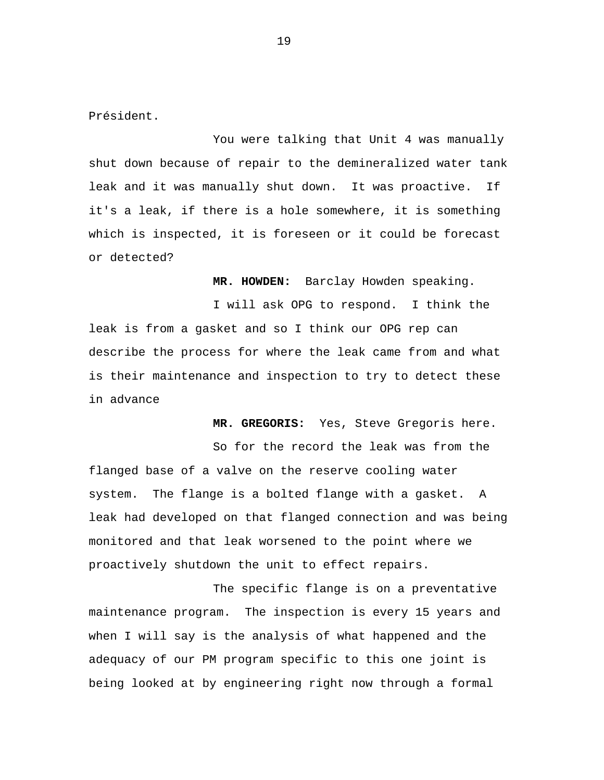Président.

You were talking that Unit 4 was manually shut down because of repair to the demineralized water tank leak and it was manually shut down. It was proactive. If it's a leak, if there is a hole somewhere, it is something which is inspected, it is foreseen or it could be forecast or detected?

**MR. HOWDEN:** Barclay Howden speaking.

I will ask OPG to respond. I think the leak is from a gasket and so I think our OPG rep can describe the process for where the leak came from and what is their maintenance and inspection to try to detect these in advance

**MR. GREGORIS:** Yes, Steve Gregoris here.

So for the record the leak was from the flanged base of a valve on the reserve cooling water system. The flange is a bolted flange with a gasket. A leak had developed on that flanged connection and was being monitored and that leak worsened to the point where we proactively shutdown the unit to effect repairs.

The specific flange is on a preventative maintenance program. The inspection is every 15 years and when I will say is the analysis of what happened and the adequacy of our PM program specific to this one joint is being looked at by engineering right now through a formal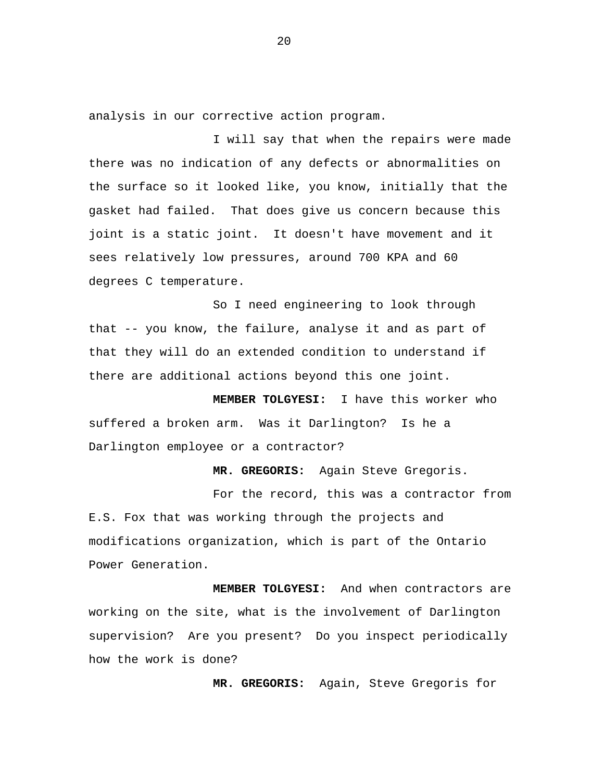analysis in our corrective action program.

I will say that when the repairs were made there was no indication of any defects or abnormalities on the surface so it looked like, you know, initially that the gasket had failed. That does give us concern because this joint is a static joint. It doesn't have movement and it sees relatively low pressures, around 700 KPA and 60 degrees C temperature.

So I need engineering to look through that -- you know, the failure, analyse it and as part of that they will do an extended condition to understand if there are additional actions beyond this one joint.

**MEMBER TOLGYESI:** I have this worker who suffered a broken arm. Was it Darlington? Is he a Darlington employee or a contractor?

**MR. GREGORIS:** Again Steve Gregoris.

For the record, this was a contractor from E.S. Fox that was working through the projects and modifications organization, which is part of the Ontario Power Generation.

**MEMBER TOLGYESI:** And when contractors are working on the site, what is the involvement of Darlington supervision? Are you present? Do you inspect periodically how the work is done?

**MR. GREGORIS:** Again, Steve Gregoris for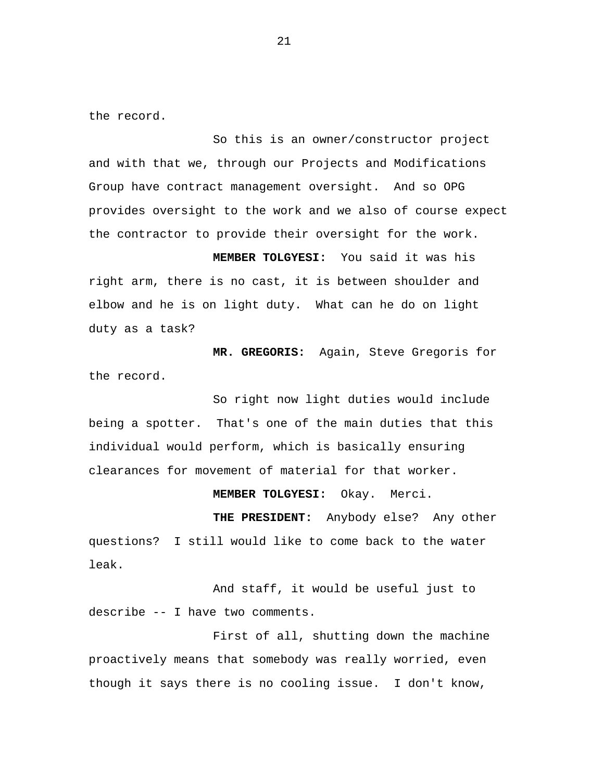the record.

So this is an owner/constructor project and with that we, through our Projects and Modifications Group have contract management oversight. And so OPG provides oversight to the work and we also of course expect the contractor to provide their oversight for the work.

**MEMBER TOLGYESI:** You said it was his right arm, there is no cast, it is between shoulder and elbow and he is on light duty. What can he do on light duty as a task?

**MR. GREGORIS:** Again, Steve Gregoris for the record.

So right now light duties would include being a spotter. That's one of the main duties that this individual would perform, which is basically ensuring clearances for movement of material for that worker.

**MEMBER TOLGYESI:** Okay. Merci.

**THE PRESIDENT:** Anybody else? Any other questions? I still would like to come back to the water leak.

And staff, it would be useful just to describe -- I have two comments.

First of all, shutting down the machine proactively means that somebody was really worried, even though it says there is no cooling issue. I don't know,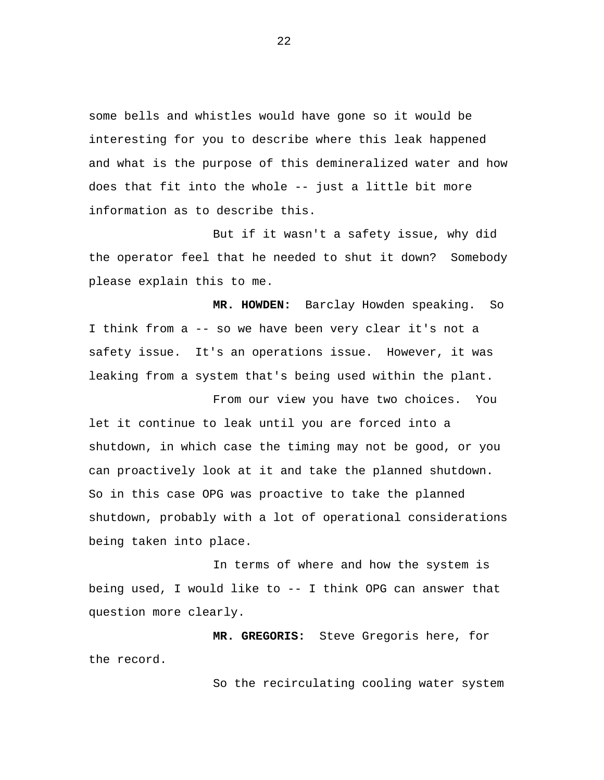some bells and whistles would have gone so it would be interesting for you to describe where this leak happened and what is the purpose of this demineralized water and how does that fit into the whole -- just a little bit more information as to describe this.

But if it wasn't a safety issue, why did the operator feel that he needed to shut it down? Somebody please explain this to me.

**MR. HOWDEN:** Barclay Howden speaking. So I think from a -- so we have been very clear it's not a safety issue. It's an operations issue. However, it was leaking from a system that's being used within the plant.

From our view you have two choices. You let it continue to leak until you are forced into a shutdown, in which case the timing may not be good, or you can proactively look at it and take the planned shutdown. So in this case OPG was proactive to take the planned shutdown, probably with a lot of operational considerations being taken into place.

In terms of where and how the system is being used, I would like to -- I think OPG can answer that question more clearly.

**MR. GREGORIS:** Steve Gregoris here, for the record.

So the recirculating cooling water system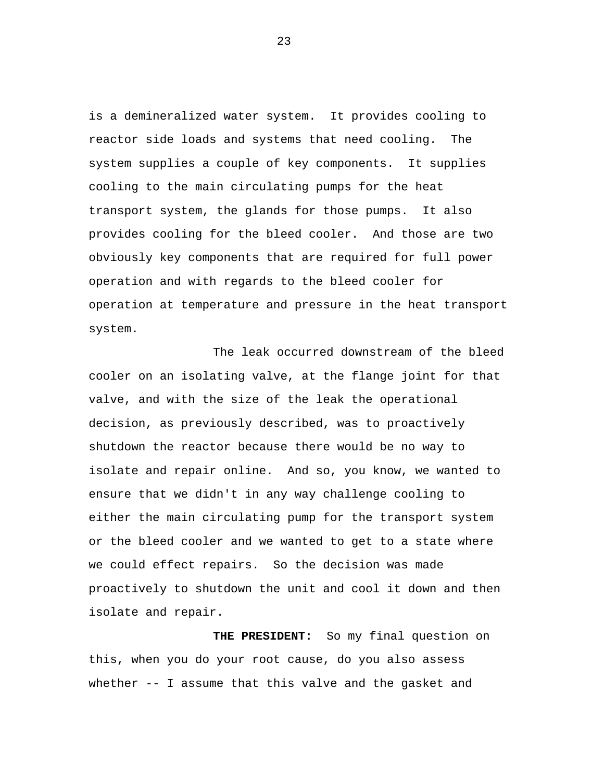is a demineralized water system. It provides cooling to reactor side loads and systems that need cooling. The system supplies a couple of key components. It supplies cooling to the main circulating pumps for the heat transport system, the glands for those pumps. It also provides cooling for the bleed cooler. And those are two obviously key components that are required for full power operation and with regards to the bleed cooler for operation at temperature and pressure in the heat transport system.

The leak occurred downstream of the bleed cooler on an isolating valve, at the flange joint for that valve, and with the size of the leak the operational decision, as previously described, was to proactively shutdown the reactor because there would be no way to isolate and repair online. And so, you know, we wanted to ensure that we didn't in any way challenge cooling to either the main circulating pump for the transport system or the bleed cooler and we wanted to get to a state where we could effect repairs. So the decision was made proactively to shutdown the unit and cool it down and then isolate and repair.

**THE PRESIDENT:** So my final question on this, when you do your root cause, do you also assess whether -- I assume that this valve and the gasket and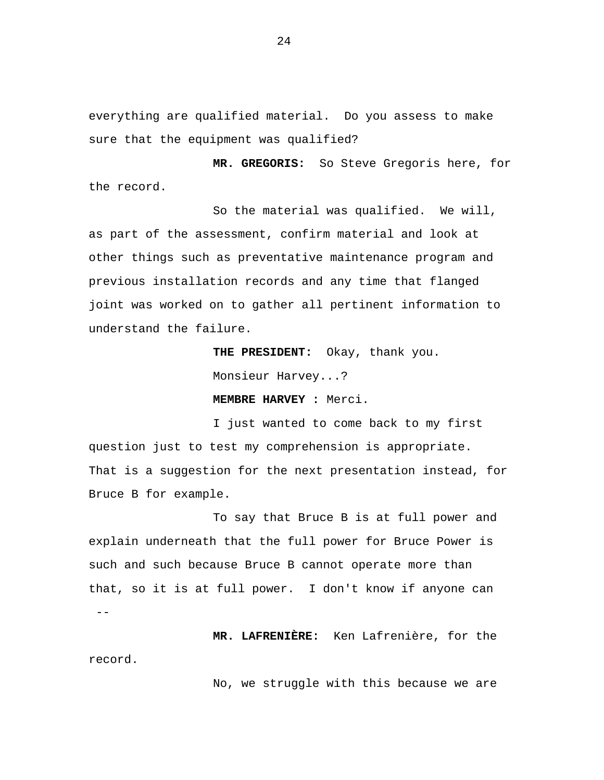everything are qualified material. Do you assess to make sure that the equipment was qualified?

**MR. GREGORIS:** So Steve Gregoris here, for the record.

So the material was qualified. We will, as part of the assessment, confirm material and look at other things such as preventative maintenance program and previous installation records and any time that flanged joint was worked on to gather all pertinent information to understand the failure.

> **THE PRESIDENT:** Okay, thank you. Monsieur Harvey...?

**MEMBRE HARVEY :** Merci.

I just wanted to come back to my first question just to test my comprehension is appropriate. That is a suggestion for the next presentation instead, for Bruce B for example.

To say that Bruce B is at full power and explain underneath that the full power for Bruce Power is such and such because Bruce B cannot operate more than that, so it is at full power. I don't know if anyone can --

**MR. LAFRENIÈRE:** Ken Lafrenière, for the record.

No, we struggle with this because we are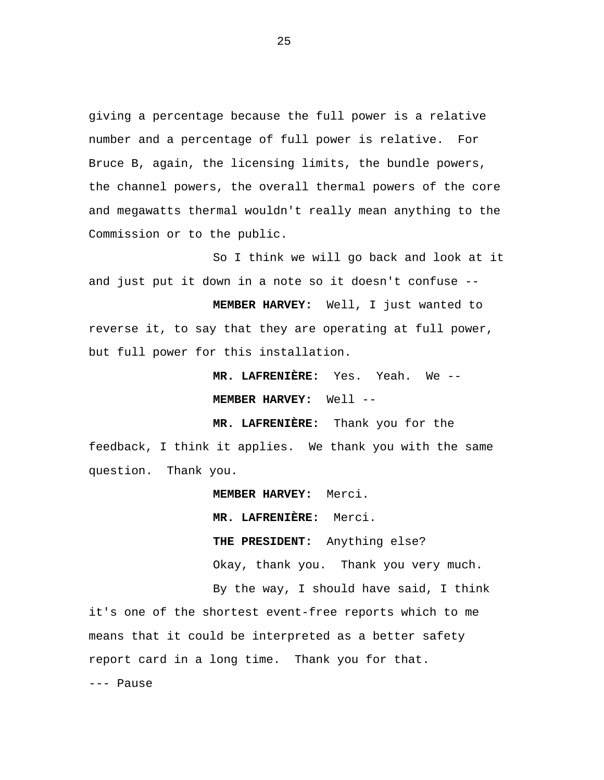giving a percentage because the full power is a relative number and a percentage of full power is relative. For Bruce B, again, the licensing limits, the bundle powers, the channel powers, the overall thermal powers of the core and megawatts thermal wouldn't really mean anything to the Commission or to the public.

So I think we will go back and look at it and just put it down in a note so it doesn't confuse --

**MEMBER HARVEY:** Well, I just wanted to reverse it, to say that they are operating at full power, but full power for this installation.

> **MR. LAFRENIÈRE:** Yes. Yeah. We -- **MEMBER HARVEY:** Well --

**MR. LAFRENIÈRE:** Thank you for the feedback, I think it applies. We thank you with the same question. Thank you.

**MEMBER HARVEY:** Merci.

**MR. LAFRENIÈRE:** Merci.

**THE PRESIDENT:** Anything else? Okay, thank you. Thank you very much.

By the way, I should have said, I think it's one of the shortest event-free reports which to me means that it could be interpreted as a better safety report card in a long time. Thank you for that. --- Pause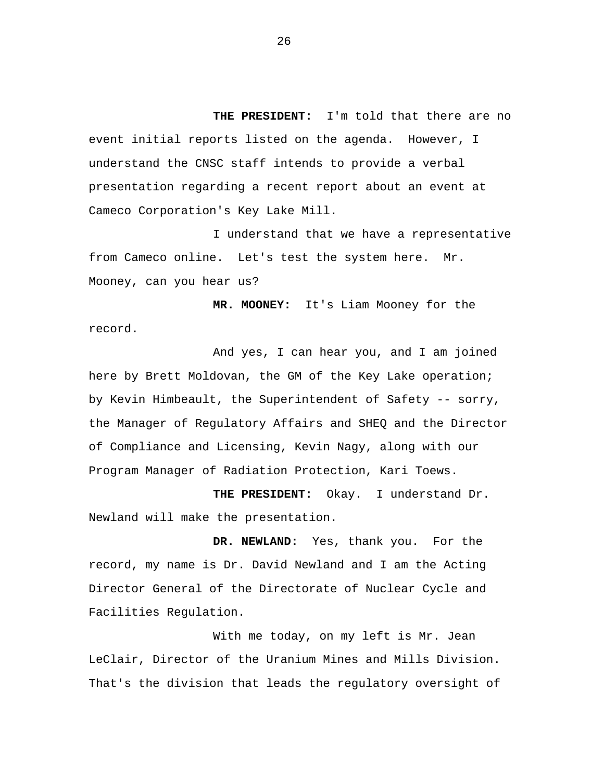**THE PRESIDENT:** I'm told that there are no event initial reports listed on the agenda. However, I understand the CNSC staff intends to provide a verbal presentation regarding a recent report about an event at Cameco Corporation's Key Lake Mill.

I understand that we have a representative from Cameco online. Let's test the system here. Mr. Mooney, can you hear us?

**MR. MOONEY:** It's Liam Mooney for the record.

And yes, I can hear you, and I am joined here by Brett Moldovan, the GM of the Key Lake operation; by Kevin Himbeault, the Superintendent of Safety -- sorry, the Manager of Regulatory Affairs and SHEQ and the Director of Compliance and Licensing, Kevin Nagy, along with our Program Manager of Radiation Protection, Kari Toews.

**THE PRESIDENT:** Okay. I understand Dr. Newland will make the presentation.

**DR. NEWLAND:** Yes, thank you. For the record, my name is Dr. David Newland and I am the Acting Director General of the Directorate of Nuclear Cycle and Facilities Regulation.

With me today, on my left is Mr. Jean LeClair, Director of the Uranium Mines and Mills Division. That's the division that leads the regulatory oversight of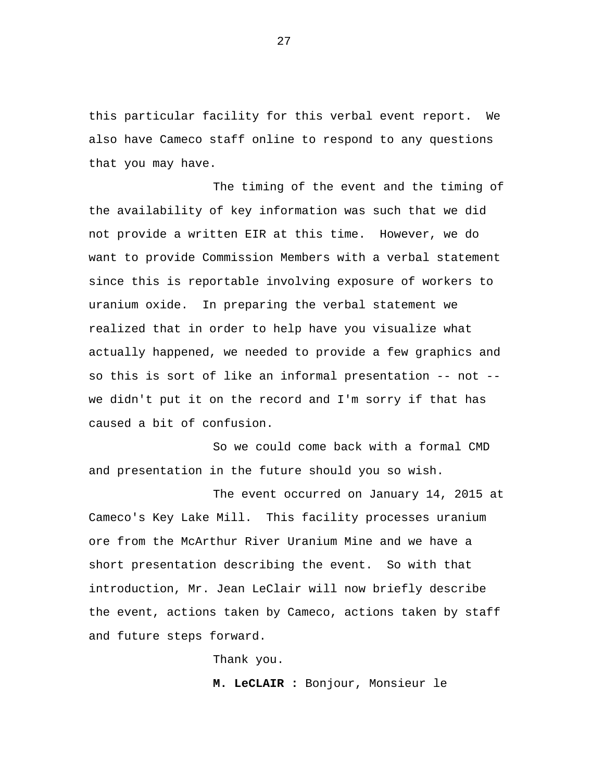this particular facility for this verbal event report. We also have Cameco staff online to respond to any questions that you may have.

The timing of the event and the timing of the availability of key information was such that we did not provide a written EIR at this time. However, we do want to provide Commission Members with a verbal statement since this is reportable involving exposure of workers to uranium oxide. In preparing the verbal statement we realized that in order to help have you visualize what actually happened, we needed to provide a few graphics and so this is sort of like an informal presentation -- not - we didn't put it on the record and I'm sorry if that has caused a bit of confusion.

So we could come back with a formal CMD and presentation in the future should you so wish.

The event occurred on January 14, 2015 at Cameco's Key Lake Mill. This facility processes uranium ore from the McArthur River Uranium Mine and we have a short presentation describing the event. So with that introduction, Mr. Jean LeClair will now briefly describe the event, actions taken by Cameco, actions taken by staff and future steps forward.

Thank you.

**M. LeCLAIR :** Bonjour, Monsieur le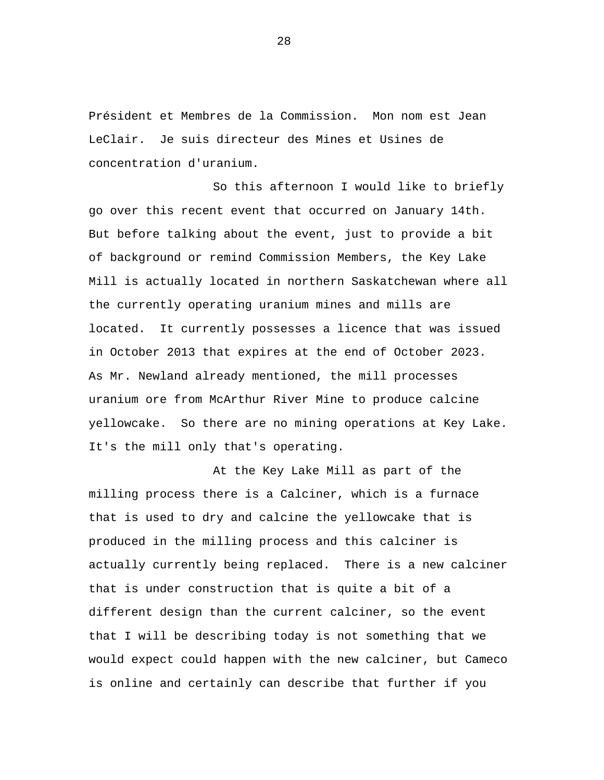Président et Membres de la Commission. Mon nom est Jean LeClair. Je suis directeur des Mines et Usines de concentration d'uranium.

So this afternoon I would like to briefly go over this recent event that occurred on January 14th. But before talking about the event, just to provide a bit of background or remind Commission Members, the Key Lake Mill is actually located in northern Saskatchewan where all the currently operating uranium mines and mills are located. It currently possesses a licence that was issued in October 2013 that expires at the end of October 2023. As Mr. Newland already mentioned, the mill processes uranium ore from McArthur River Mine to produce calcine yellowcake. So there are no mining operations at Key Lake. It's the mill only that's operating.

At the Key Lake Mill as part of the milling process there is a Calciner, which is a furnace that is used to dry and calcine the yellowcake that is produced in the milling process and this calciner is actually currently being replaced. There is a new calciner that is under construction that is quite a bit of a different design than the current calciner, so the event that I will be describing today is not something that we would expect could happen with the new calciner, but Cameco is online and certainly can describe that further if you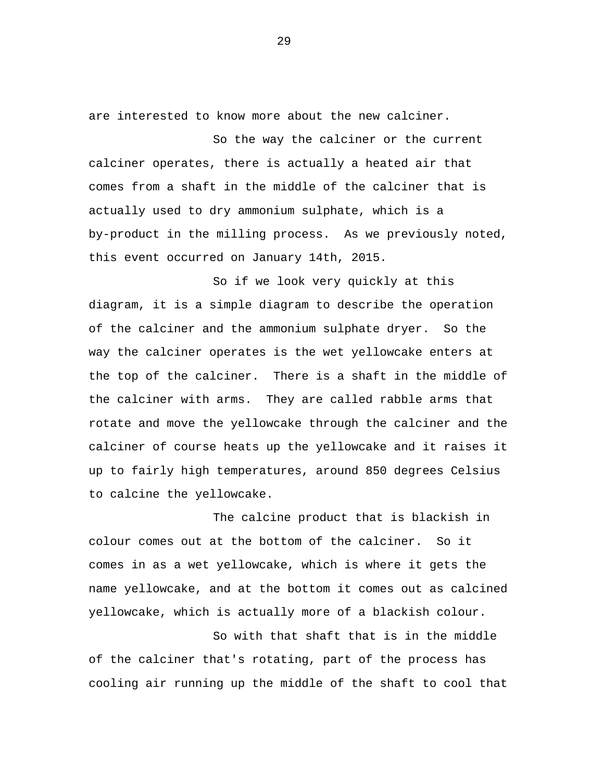are interested to know more about the new calciner.

So the way the calciner or the current calciner operates, there is actually a heated air that comes from a shaft in the middle of the calciner that is actually used to dry ammonium sulphate, which is a by-product in the milling process. As we previously noted, this event occurred on January 14th, 2015.

So if we look very quickly at this diagram, it is a simple diagram to describe the operation of the calciner and the ammonium sulphate dryer. So the way the calciner operates is the wet yellowcake enters at the top of the calciner. There is a shaft in the middle of the calciner with arms. They are called rabble arms that rotate and move the yellowcake through the calciner and the calciner of course heats up the yellowcake and it raises it up to fairly high temperatures, around 850 degrees Celsius to calcine the yellowcake.

The calcine product that is blackish in colour comes out at the bottom of the calciner. So it comes in as a wet yellowcake, which is where it gets the name yellowcake, and at the bottom it comes out as calcined yellowcake, which is actually more of a blackish colour.

So with that shaft that is in the middle of the calciner that's rotating, part of the process has cooling air running up the middle of the shaft to cool that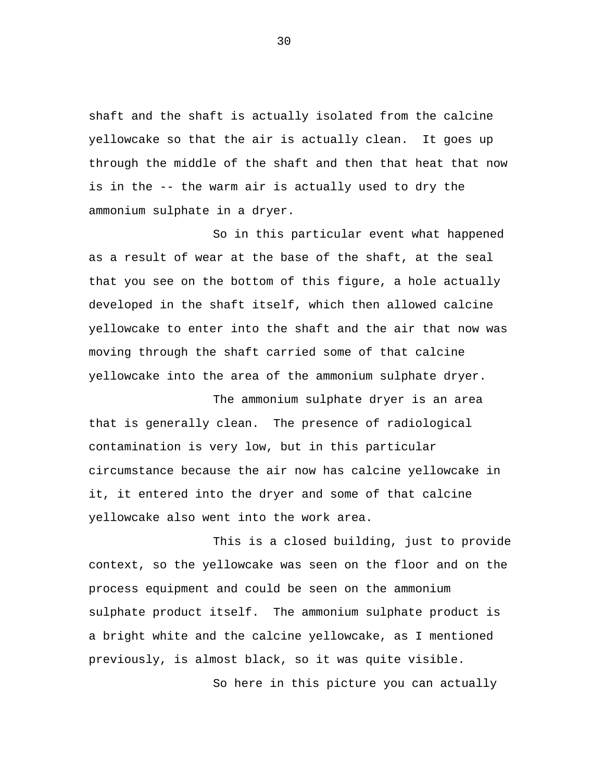shaft and the shaft is actually isolated from the calcine yellowcake so that the air is actually clean. It goes up through the middle of the shaft and then that heat that now is in the -- the warm air is actually used to dry the ammonium sulphate in a dryer.

So in this particular event what happened as a result of wear at the base of the shaft, at the seal that you see on the bottom of this figure, a hole actually developed in the shaft itself, which then allowed calcine yellowcake to enter into the shaft and the air that now was moving through the shaft carried some of that calcine yellowcake into the area of the ammonium sulphate dryer.

The ammonium sulphate dryer is an area that is generally clean. The presence of radiological contamination is very low, but in this particular circumstance because the air now has calcine yellowcake in it, it entered into the dryer and some of that calcine yellowcake also went into the work area.

This is a closed building, just to provide context, so the yellowcake was seen on the floor and on the process equipment and could be seen on the ammonium sulphate product itself. The ammonium sulphate product is a bright white and the calcine yellowcake, as I mentioned previously, is almost black, so it was quite visible.

So here in this picture you can actually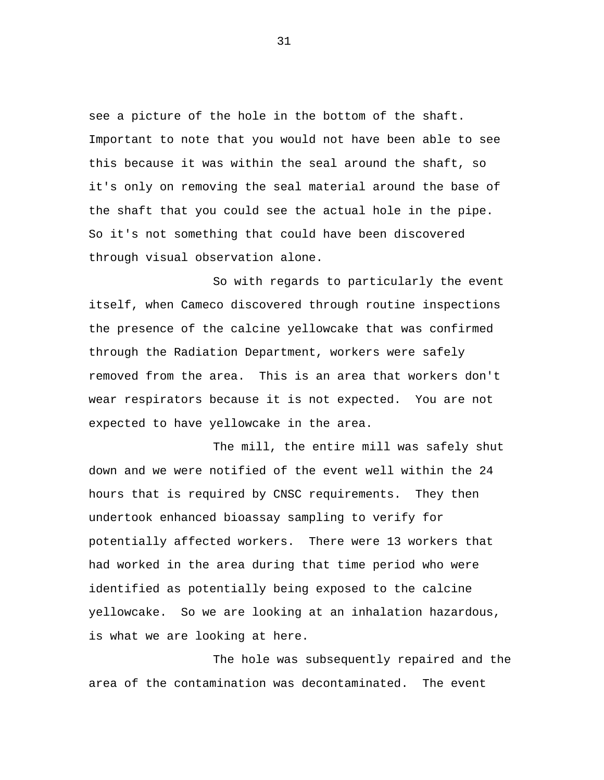see a picture of the hole in the bottom of the shaft. Important to note that you would not have been able to see this because it was within the seal around the shaft, so it's only on removing the seal material around the base of the shaft that you could see the actual hole in the pipe. So it's not something that could have been discovered through visual observation alone.

So with regards to particularly the event itself, when Cameco discovered through routine inspections the presence of the calcine yellowcake that was confirmed through the Radiation Department, workers were safely removed from the area. This is an area that workers don't wear respirators because it is not expected. You are not expected to have yellowcake in the area.

The mill, the entire mill was safely shut down and we were notified of the event well within the 24 hours that is required by CNSC requirements. They then undertook enhanced bioassay sampling to verify for potentially affected workers. There were 13 workers that had worked in the area during that time period who were identified as potentially being exposed to the calcine yellowcake. So we are looking at an inhalation hazardous, is what we are looking at here.

The hole was subsequently repaired and the area of the contamination was decontaminated. The event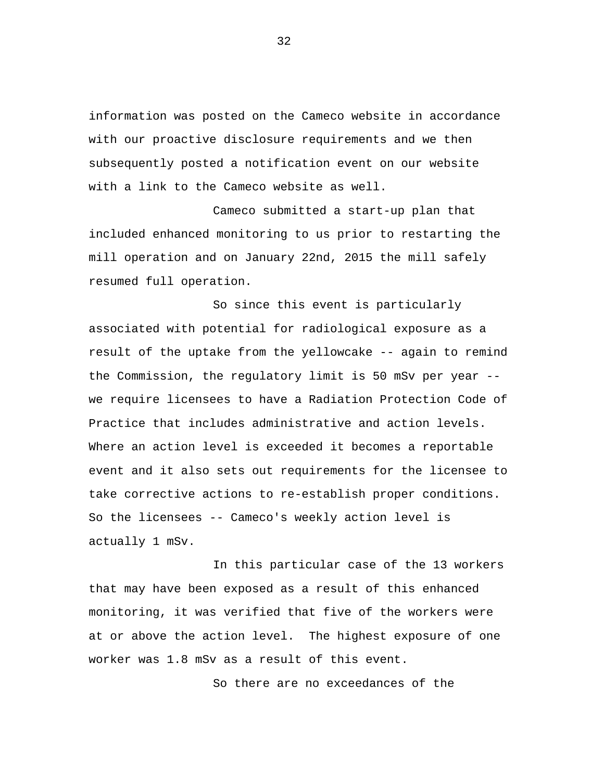information was posted on the Cameco website in accordance with our proactive disclosure requirements and we then subsequently posted a notification event on our website with a link to the Cameco website as well.

Cameco submitted a start-up plan that included enhanced monitoring to us prior to restarting the mill operation and on January 22nd, 2015 the mill safely resumed full operation.

So since this event is particularly associated with potential for radiological exposure as a result of the uptake from the yellowcake -- again to remind the Commission, the regulatory limit is 50 mSv per year - we require licensees to have a Radiation Protection Code of Practice that includes administrative and action levels. Where an action level is exceeded it becomes a reportable event and it also sets out requirements for the licensee to take corrective actions to re-establish proper conditions. So the licensees -- Cameco's weekly action level is actually 1 mSv.

In this particular case of the 13 workers that may have been exposed as a result of this enhanced monitoring, it was verified that five of the workers were at or above the action level. The highest exposure of one worker was 1.8 mSv as a result of this event.

So there are no exceedances of the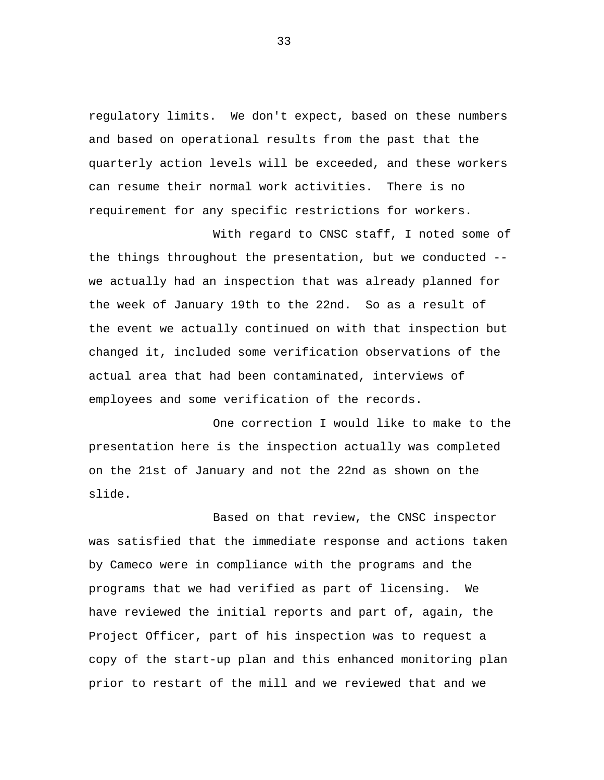regulatory limits. We don't expect, based on these numbers and based on operational results from the past that the quarterly action levels will be exceeded, and these workers can resume their normal work activities. There is no requirement for any specific restrictions for workers.

With regard to CNSC staff, I noted some of the things throughout the presentation, but we conducted - we actually had an inspection that was already planned for the week of January 19th to the 22nd. So as a result of the event we actually continued on with that inspection but changed it, included some verification observations of the actual area that had been contaminated, interviews of employees and some verification of the records.

One correction I would like to make to the presentation here is the inspection actually was completed on the 21st of January and not the 22nd as shown on the slide.

Based on that review, the CNSC inspector was satisfied that the immediate response and actions taken by Cameco were in compliance with the programs and the programs that we had verified as part of licensing. We have reviewed the initial reports and part of, again, the Project Officer, part of his inspection was to request a copy of the start-up plan and this enhanced monitoring plan prior to restart of the mill and we reviewed that and we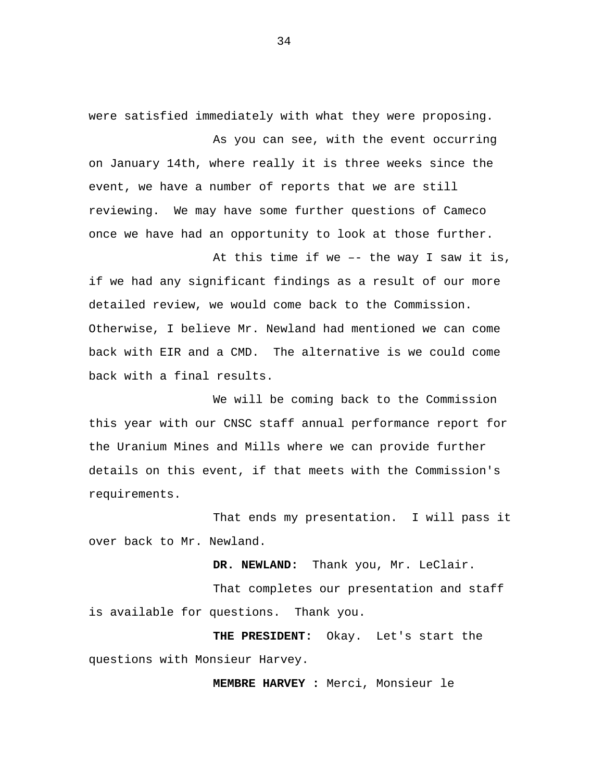were satisfied immediately with what they were proposing.

As you can see, with the event occurring on January 14th, where really it is three weeks since the event, we have a number of reports that we are still reviewing. We may have some further questions of Cameco once we have had an opportunity to look at those further.

At this time if we –- the way I saw it is, if we had any significant findings as a result of our more detailed review, we would come back to the Commission. Otherwise, I believe Mr. Newland had mentioned we can come back with EIR and a CMD. The alternative is we could come back with a final results.

We will be coming back to the Commission this year with our CNSC staff annual performance report for the Uranium Mines and Mills where we can provide further details on this event, if that meets with the Commission's requirements.

That ends my presentation. I will pass it over back to Mr. Newland.

**DR. NEWLAND:** Thank you, Mr. LeClair.

That completes our presentation and staff is available for questions. Thank you.

**THE PRESIDENT:** Okay. Let's start the questions with Monsieur Harvey.

**MEMBRE HARVEY :** Merci, Monsieur le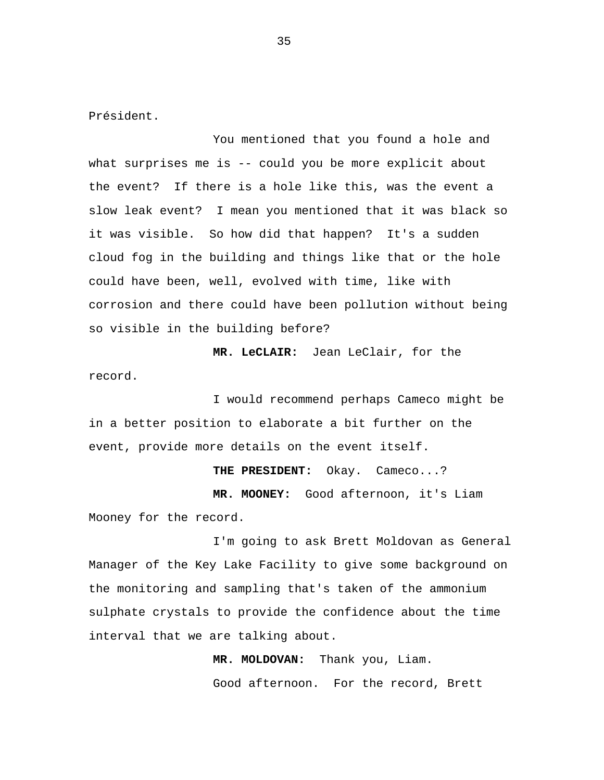Président.

You mentioned that you found a hole and what surprises me is -- could you be more explicit about the event? If there is a hole like this, was the event a slow leak event? I mean you mentioned that it was black so it was visible. So how did that happen? It's a sudden cloud fog in the building and things like that or the hole could have been, well, evolved with time, like with corrosion and there could have been pollution without being so visible in the building before?

**MR. LeCLAIR:** Jean LeClair, for the record.

I would recommend perhaps Cameco might be in a better position to elaborate a bit further on the event, provide more details on the event itself.

**THE PRESIDENT:** Okay. Cameco...? **MR. MOONEY:** Good afternoon, it's Liam Mooney for the record.

I'm going to ask Brett Moldovan as General Manager of the Key Lake Facility to give some background on the monitoring and sampling that's taken of the ammonium sulphate crystals to provide the confidence about the time interval that we are talking about.

> **MR. MOLDOVAN:** Thank you, Liam. Good afternoon. For the record, Brett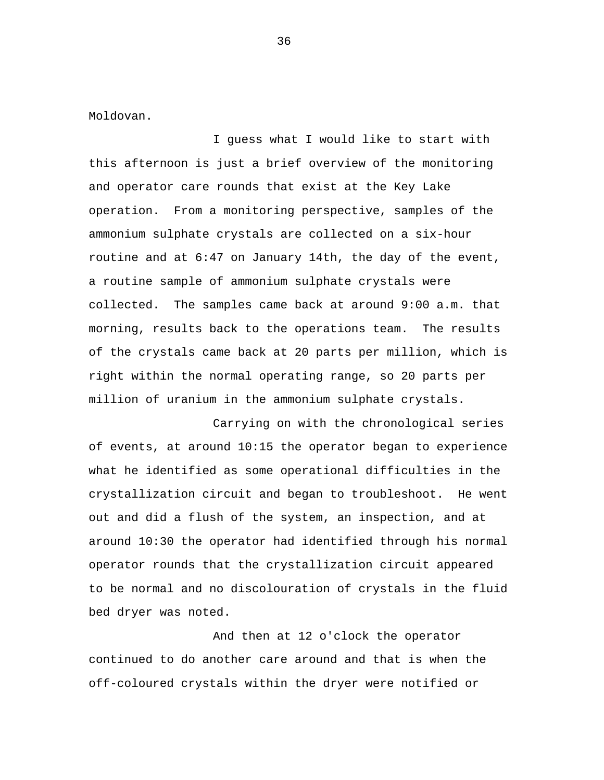Moldovan.

I guess what I would like to start with this afternoon is just a brief overview of the monitoring and operator care rounds that exist at the Key Lake operation. From a monitoring perspective, samples of the ammonium sulphate crystals are collected on a six-hour routine and at 6:47 on January 14th, the day of the event, a routine sample of ammonium sulphate crystals were collected. The samples came back at around 9:00 a.m. that morning, results back to the operations team. The results of the crystals came back at 20 parts per million, which is right within the normal operating range, so 20 parts per million of uranium in the ammonium sulphate crystals.

Carrying on with the chronological series of events, at around 10:15 the operator began to experience what he identified as some operational difficulties in the crystallization circuit and began to troubleshoot. He went out and did a flush of the system, an inspection, and at around 10:30 the operator had identified through his normal operator rounds that the crystallization circuit appeared to be normal and no discolouration of crystals in the fluid bed dryer was noted.

And then at 12 o'clock the operator continued to do another care around and that is when the off-coloured crystals within the dryer were notified or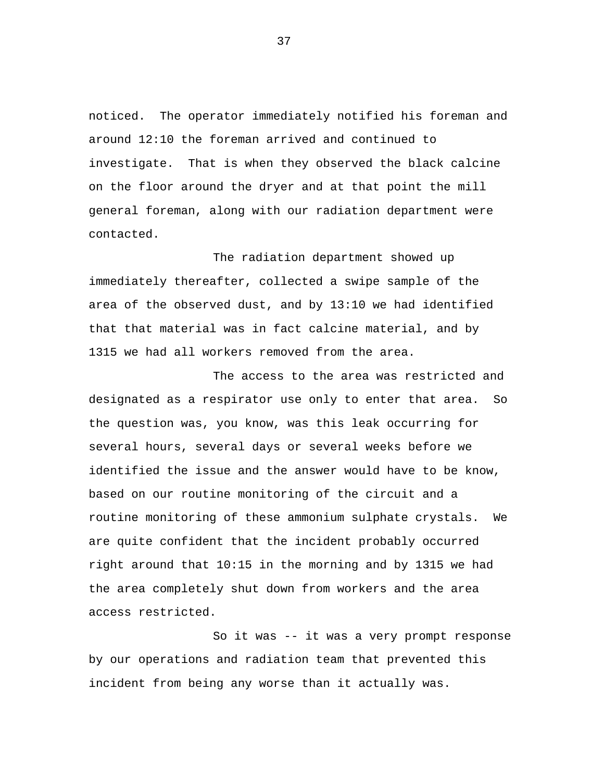noticed. The operator immediately notified his foreman and around 12:10 the foreman arrived and continued to investigate. That is when they observed the black calcine on the floor around the dryer and at that point the mill general foreman, along with our radiation department were contacted.

The radiation department showed up immediately thereafter, collected a swipe sample of the area of the observed dust, and by 13:10 we had identified that that material was in fact calcine material, and by 1315 we had all workers removed from the area.

The access to the area was restricted and designated as a respirator use only to enter that area. So the question was, you know, was this leak occurring for several hours, several days or several weeks before we identified the issue and the answer would have to be know, based on our routine monitoring of the circuit and a routine monitoring of these ammonium sulphate crystals. We are quite confident that the incident probably occurred right around that 10:15 in the morning and by 1315 we had the area completely shut down from workers and the area access restricted.

So it was -- it was a very prompt response by our operations and radiation team that prevented this incident from being any worse than it actually was.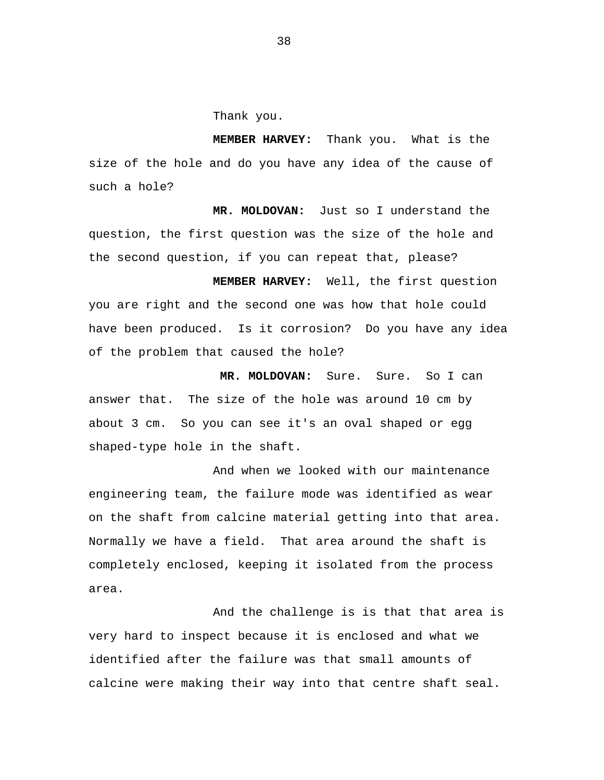Thank you.

**MEMBER HARVEY:** Thank you. What is the size of the hole and do you have any idea of the cause of such a hole?

**MR. MOLDOVAN:** Just so I understand the question, the first question was the size of the hole and the second question, if you can repeat that, please?

**MEMBER HARVEY:** Well, the first question you are right and the second one was how that hole could have been produced. Is it corrosion? Do you have any idea of the problem that caused the hole?

**MR. MOLDOVAN:** Sure. Sure. So I can answer that. The size of the hole was around 10 cm by about 3 cm. So you can see it's an oval shaped or egg shaped-type hole in the shaft.

And when we looked with our maintenance engineering team, the failure mode was identified as wear on the shaft from calcine material getting into that area. Normally we have a field. That area around the shaft is completely enclosed, keeping it isolated from the process area.

And the challenge is is that that area is very hard to inspect because it is enclosed and what we identified after the failure was that small amounts of calcine were making their way into that centre shaft seal.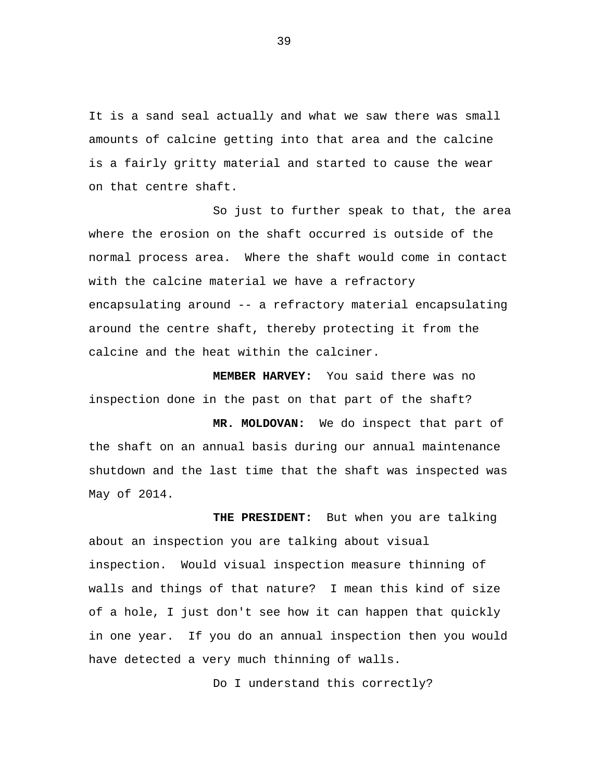It is a sand seal actually and what we saw there was small amounts of calcine getting into that area and the calcine is a fairly gritty material and started to cause the wear on that centre shaft.

So just to further speak to that, the area where the erosion on the shaft occurred is outside of the normal process area. Where the shaft would come in contact with the calcine material we have a refractory encapsulating around -- a refractory material encapsulating around the centre shaft, thereby protecting it from the calcine and the heat within the calciner.

**MEMBER HARVEY:** You said there was no inspection done in the past on that part of the shaft?

**MR. MOLDOVAN:** We do inspect that part of the shaft on an annual basis during our annual maintenance shutdown and the last time that the shaft was inspected was May of 2014.

**THE PRESIDENT:** But when you are talking about an inspection you are talking about visual inspection. Would visual inspection measure thinning of walls and things of that nature? I mean this kind of size of a hole, I just don't see how it can happen that quickly in one year. If you do an annual inspection then you would have detected a very much thinning of walls.

Do I understand this correctly?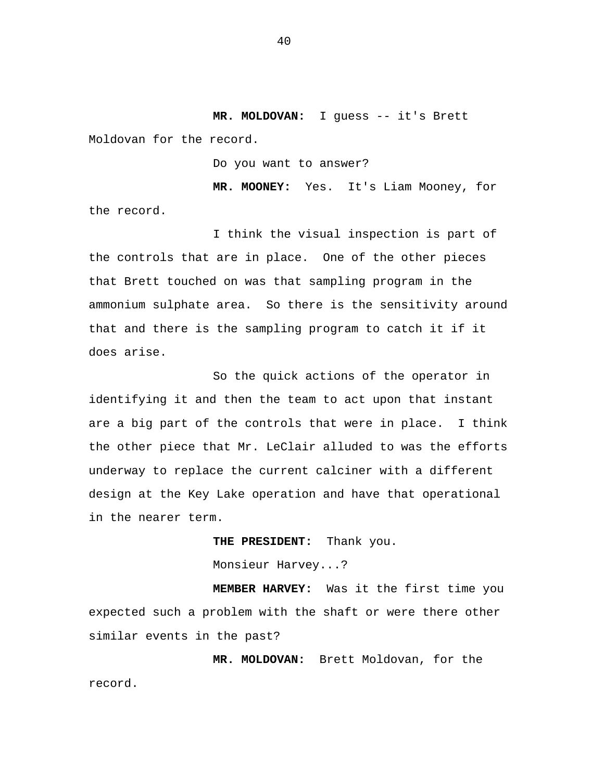**MR. MOLDOVAN:** I guess -- it's Brett Moldovan for the record.

Do you want to answer?

**MR. MOONEY:** Yes. It's Liam Mooney, for the record.

I think the visual inspection is part of the controls that are in place. One of the other pieces that Brett touched on was that sampling program in the ammonium sulphate area. So there is the sensitivity around that and there is the sampling program to catch it if it does arise.

So the quick actions of the operator in identifying it and then the team to act upon that instant are a big part of the controls that were in place. I think the other piece that Mr. LeClair alluded to was the efforts underway to replace the current calciner with a different design at the Key Lake operation and have that operational in the nearer term.

> **THE PRESIDENT:** Thank you. Monsieur Harvey...?

**MEMBER HARVEY:** Was it the first time you expected such a problem with the shaft or were there other similar events in the past?

**MR. MOLDOVAN:** Brett Moldovan, for the record.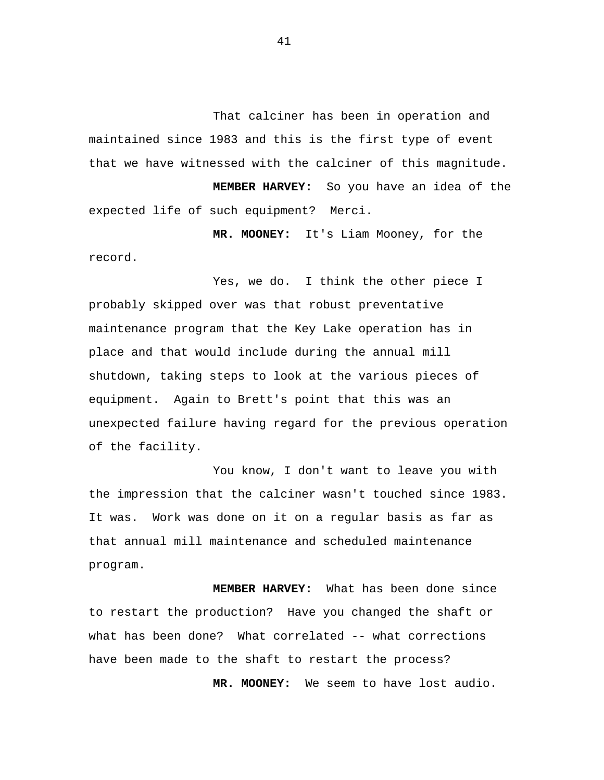That calciner has been in operation and maintained since 1983 and this is the first type of event that we have witnessed with the calciner of this magnitude.

 **MEMBER HARVEY:** So you have an idea of the expected life of such equipment? Merci.

 **MR. MOONEY:** It's Liam Mooney, for the record.

Yes, we do. I think the other piece I probably skipped over was that robust preventative maintenance program that the Key Lake operation has in place and that would include during the annual mill shutdown, taking steps to look at the various pieces of equipment. Again to Brett's point that this was an unexpected failure having regard for the previous operation of the facility.

You know, I don't want to leave you with the impression that the calciner wasn't touched since 1983. It was. Work was done on it on a regular basis as far as that annual mill maintenance and scheduled maintenance program.

 **MEMBER HARVEY:** What has been done since to restart the production? Have you changed the shaft or what has been done? What correlated -- what corrections have been made to the shaft to restart the process?

 **MR. MOONEY:** We seem to have lost audio.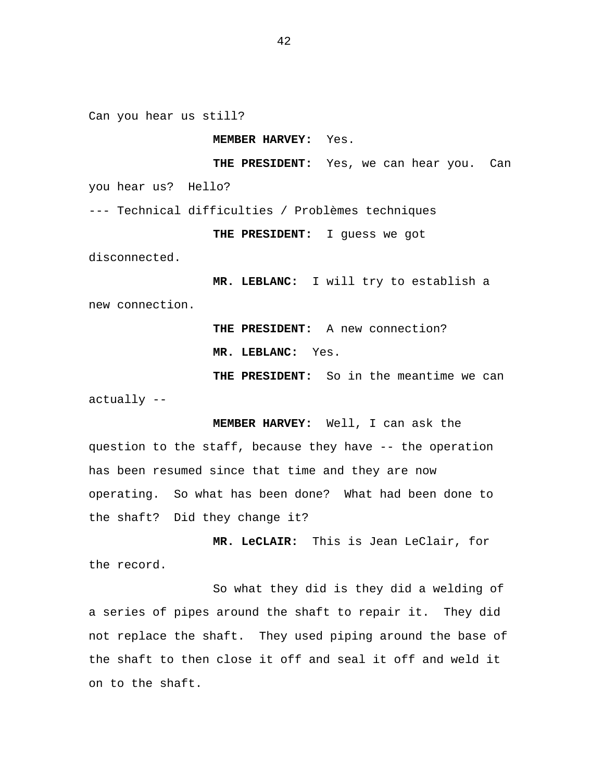Can you hear us still?

## **MEMBER HARVEY:** Yes.

 **THE PRESIDENT:** Yes, we can hear you. Can you hear us? Hello?

--- Technical difficulties / Problèmes techniques

**THE PRESIDENT:** I guess we got

disconnected.

**MR. LEBLANC:** I will try to establish a new connection.

> **THE PRESIDENT:** A new connection? **MR. LEBLANC:** Yes.

**THE PRESIDENT:** So in the meantime we can actually --

 **MEMBER HARVEY:** Well, I can ask the question to the staff, because they have -- the operation has been resumed since that time and they are now operating. So what has been done? What had been done to the shaft? Did they change it?

**MR. LeCLAIR:** This is Jean LeClair, for the record.

So what they did is they did a welding of a series of pipes around the shaft to repair it. They did not replace the shaft. They used piping around the base of the shaft to then close it off and seal it off and weld it on to the shaft.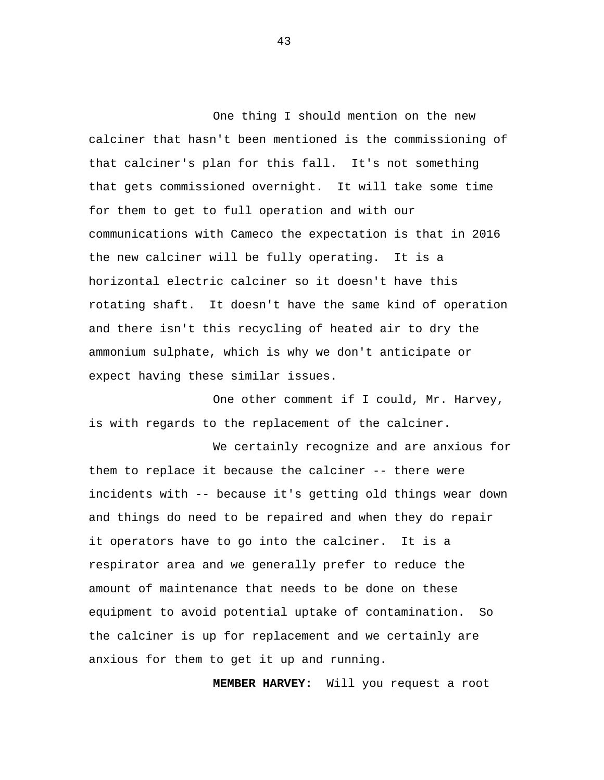One thing I should mention on the new calciner that hasn't been mentioned is the commissioning of that calciner's plan for this fall. It's not something that gets commissioned overnight. It will take some time for them to get to full operation and with our communications with Cameco the expectation is that in 2016 the new calciner will be fully operating. It is a horizontal electric calciner so it doesn't have this rotating shaft. It doesn't have the same kind of operation and there isn't this recycling of heated air to dry the ammonium sulphate, which is why we don't anticipate or expect having these similar issues.

One other comment if I could, Mr. Harvey, is with regards to the replacement of the calciner.

We certainly recognize and are anxious for them to replace it because the calciner -- there were incidents with -- because it's getting old things wear down and things do need to be repaired and when they do repair it operators have to go into the calciner. It is a respirator area and we generally prefer to reduce the amount of maintenance that needs to be done on these equipment to avoid potential uptake of contamination. So the calciner is up for replacement and we certainly are anxious for them to get it up and running.

**MEMBER HARVEY:** Will you request a root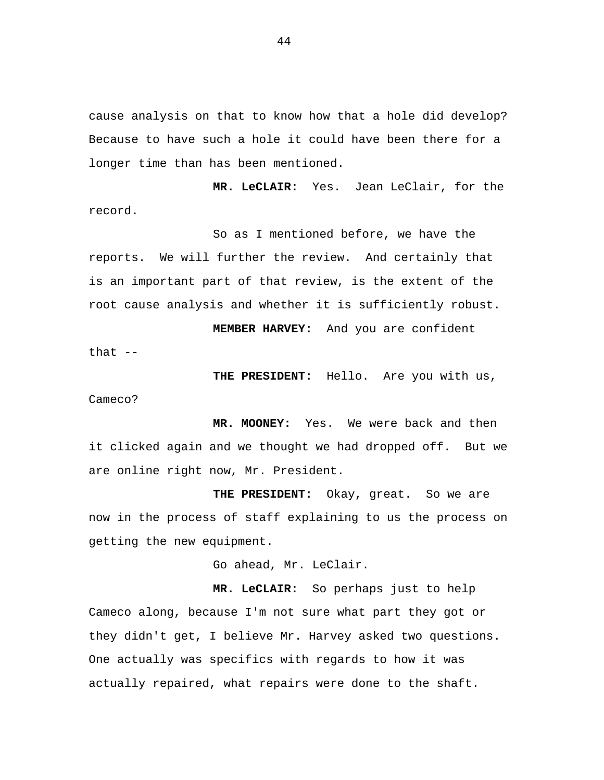cause analysis on that to know how that a hole did develop? Because to have such a hole it could have been there for a longer time than has been mentioned.

**MR. LeCLAIR:** Yes. Jean LeClair, for the record.

So as I mentioned before, we have the reports. We will further the review. And certainly that is an important part of that review, is the extent of the root cause analysis and whether it is sufficiently robust.

**MEMBER HARVEY:** And you are confident

that --

**THE PRESIDENT:** Hello. Are you with us,

Cameco?

**MR. MOONEY:** Yes. We were back and then it clicked again and we thought we had dropped off. But we are online right now, Mr. President.

**THE PRESIDENT:** Okay, great. So we are now in the process of staff explaining to us the process on getting the new equipment.

Go ahead, Mr. LeClair.

**MR. LeCLAIR:** So perhaps just to help Cameco along, because I'm not sure what part they got or they didn't get, I believe Mr. Harvey asked two questions. One actually was specifics with regards to how it was actually repaired, what repairs were done to the shaft.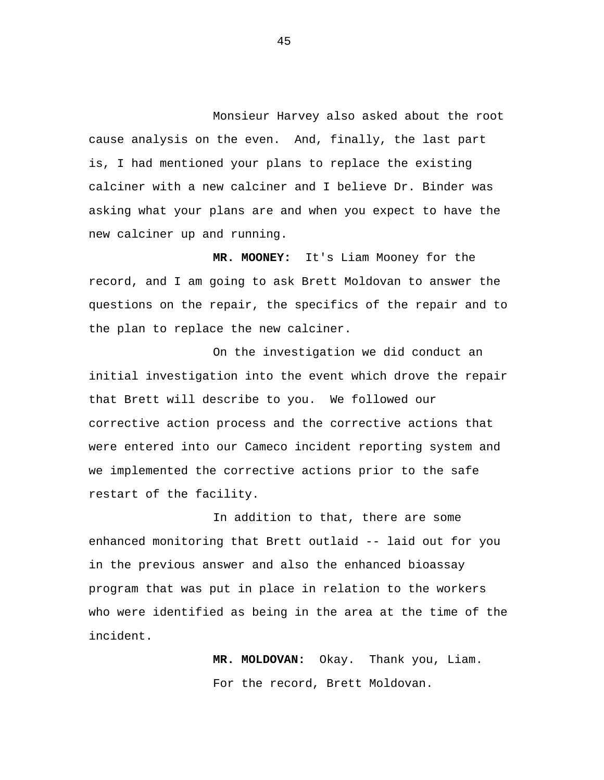Monsieur Harvey also asked about the root cause analysis on the even. And, finally, the last part is, I had mentioned your plans to replace the existing calciner with a new calciner and I believe Dr. Binder was asking what your plans are and when you expect to have the new calciner up and running.

**MR. MOONEY:** It's Liam Mooney for the record, and I am going to ask Brett Moldovan to answer the questions on the repair, the specifics of the repair and to the plan to replace the new calciner.

On the investigation we did conduct an initial investigation into the event which drove the repair that Brett will describe to you. We followed our corrective action process and the corrective actions that were entered into our Cameco incident reporting system and we implemented the corrective actions prior to the safe restart of the facility.

In addition to that, there are some enhanced monitoring that Brett outlaid -- laid out for you in the previous answer and also the enhanced bioassay program that was put in place in relation to the workers who were identified as being in the area at the time of the incident.

> **MR. MOLDOVAN:** Okay. Thank you, Liam. For the record, Brett Moldovan.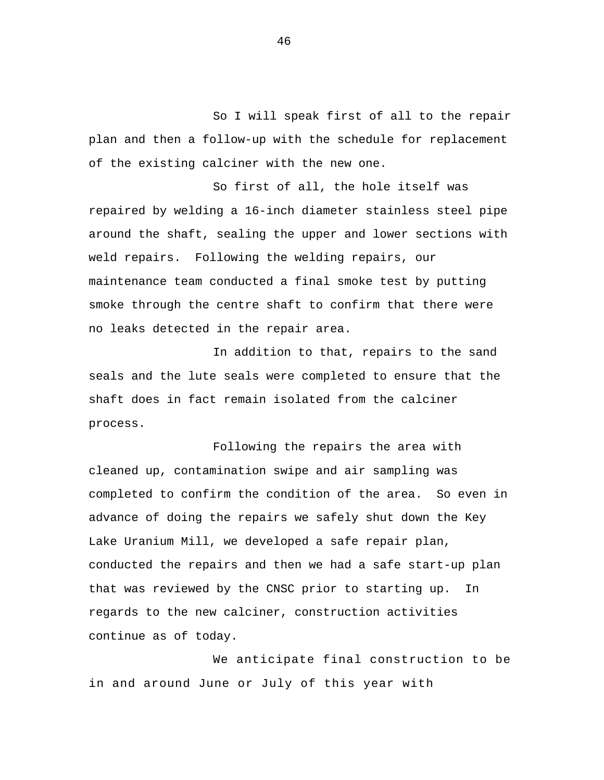So I will speak first of all to the repair plan and then a follow-up with the schedule for replacement of the existing calciner with the new one.

So first of all, the hole itself was repaired by welding a 16-inch diameter stainless steel pipe around the shaft, sealing the upper and lower sections with weld repairs. Following the welding repairs, our maintenance team conducted a final smoke test by putting smoke through the centre shaft to confirm that there were no leaks detected in the repair area.

In addition to that, repairs to the sand seals and the lute seals were completed to ensure that the shaft does in fact remain isolated from the calciner process.

Following the repairs the area with cleaned up, contamination swipe and air sampling was completed to confirm the condition of the area. So even in advance of doing the repairs we safely shut down the Key Lake Uranium Mill, we developed a safe repair plan, conducted the repairs and then we had a safe start-up plan that was reviewed by the CNSC prior to starting up. In regards to the new calciner, construction activities continue as of today.

 We anticipate final construction to be in and around June or July of this year with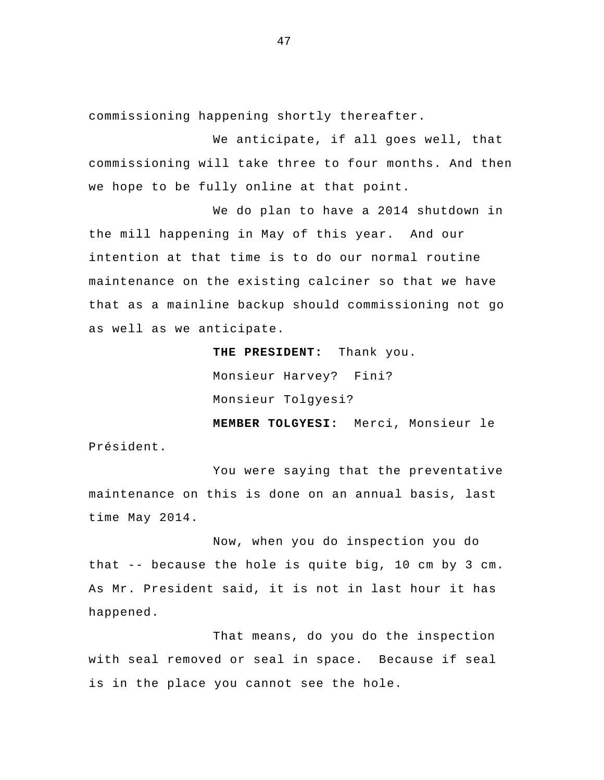commissioning happening shortly thereafter.

 We anticipate, if all goes well, that commissioning will take three to four months. And then we hope to be fully online at that point.

We do plan to have a 2014 shutdown in the mill happening in May of this year. And our intention at that time is to do our normal routine maintenance on the existing calciner so that we have that as a mainline backup should commissioning not go as well as we anticipate.

> **THE PRESIDENT:** Thank you. Monsieur Harvey? Fini? Monsieur Tolgyesi?

**MEMBER TOLGYESI:** Merci, Monsieur le Président.

You were saying that the preventative maintenance on this is done on an annual basis, last time May 2014.

Now, when you do inspection you do that -- because the hole is quite big, 10 cm by 3 cm. As Mr. President said, it is not in last hour it has happened.

That means, do you do the inspection with seal removed or seal in space. Because if seal is in the place you cannot see the hole.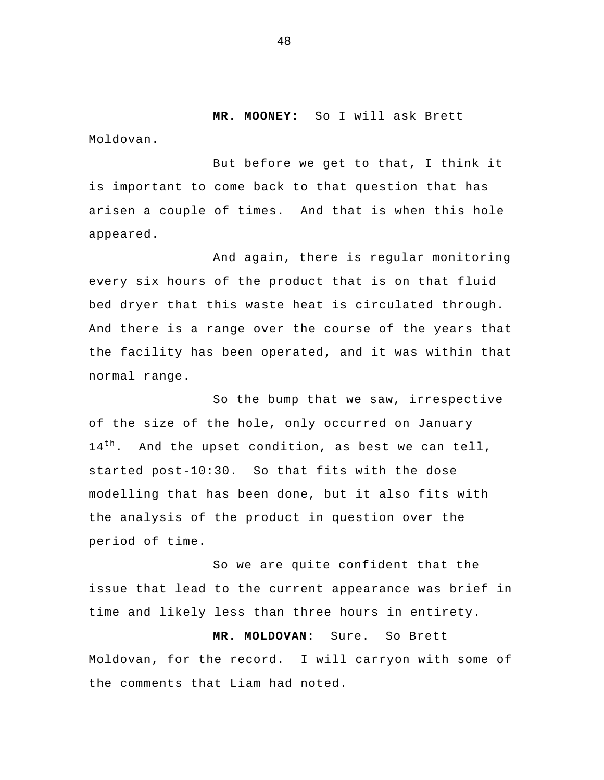**MR. MOONEY:** So I will ask Brett

Moldovan.

But before we get to that, I think it is important to come back to that question that has arisen a couple of times. And that is when this hole appeared.

And again, there is regular monitoring every six hours of the product that is on that fluid bed dryer that this waste heat is circulated through. And there is a range over the course of the years that the facility has been operated, and it was within that normal range.

So the bump that we saw, irrespective of the size of the hole, only occurred on January  $14<sup>th</sup>$ . And the upset condition, as best we can tell, started post-10:30. So that fits with the dose modelling that has been done, but it also fits with the analysis of the product in question over the period of time.

So we are quite confident that the issue that lead to the current appearance was brief in time and likely less than three hours in entirety.

**MR. MOLDOVAN:** Sure. So Brett Moldovan, for the record. I will carryon with some of the comments that Liam had noted.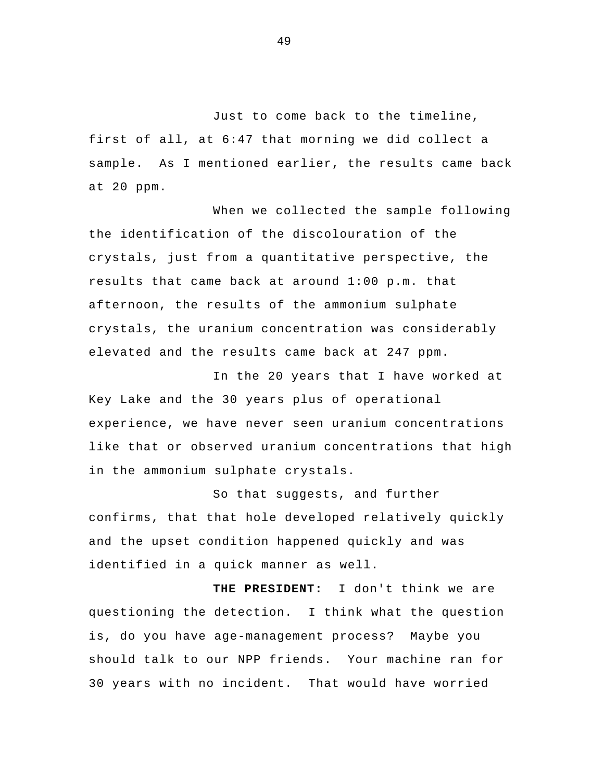Just to come back to the timeline, first of all, at 6:47 that morning we did collect a sample. As I mentioned earlier, the results came back at 20 ppm.

 When we collected the sample following the identification of the discolouration of the crystals, just from a quantitative perspective, the results that came back at around 1:00 p.m. that afternoon, the results of the ammonium sulphate crystals, the uranium concentration was considerably elevated and the results came back at 247 ppm.

In the 20 years that I have worked at Key Lake and the 30 years plus of operational experience, we have never seen uranium concentrations like that or observed uranium concentrations that high in the ammonium sulphate crystals.

 So that suggests, and further confirms, that that hole developed relatively quickly and the upset condition happened quickly and was identified in a quick manner as well.

**THE PRESIDENT:** I don't think we are questioning the detection. I think what the question is, do you have age-management process? Maybe you should talk to our NPP friends. Your machine ran for 30 years with no incident. That would have worried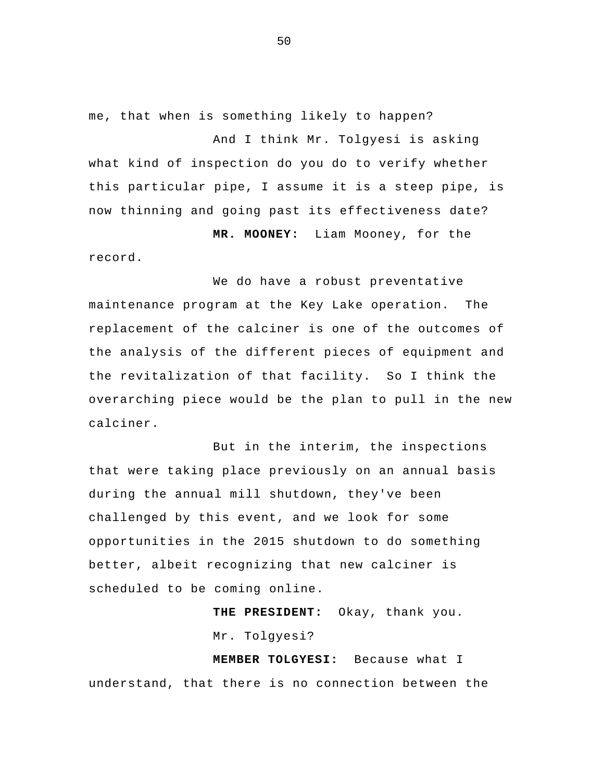me, that when is something likely to happen? And I think Mr. Tolgyesi is asking what kind of inspection do you do to verify whether this particular pipe, I assume it is a steep pipe, is now thinning and going past its effectiveness date?  **MR. MOONEY:** Liam Mooney, for the

record.

We do have a robust preventative maintenance program at the Key Lake operation. The replacement of the calciner is one of the outcomes of the analysis of the different pieces of equipment and the revitalization of that facility. So I think the overarching piece would be the plan to pull in the new calciner.

But in the interim, the inspections that were taking place previously on an annual basis during the annual mill shutdown, they've been challenged by this event, and we look for some opportunities in the 2015 shutdown to do something better, albeit recognizing that new calciner is scheduled to be coming online.

 **THE PRESIDENT:** Okay, thank you.

Mr. Tolgyesi?

 **MEMBER TOLGYESI:** Because what I understand, that there is no connection between the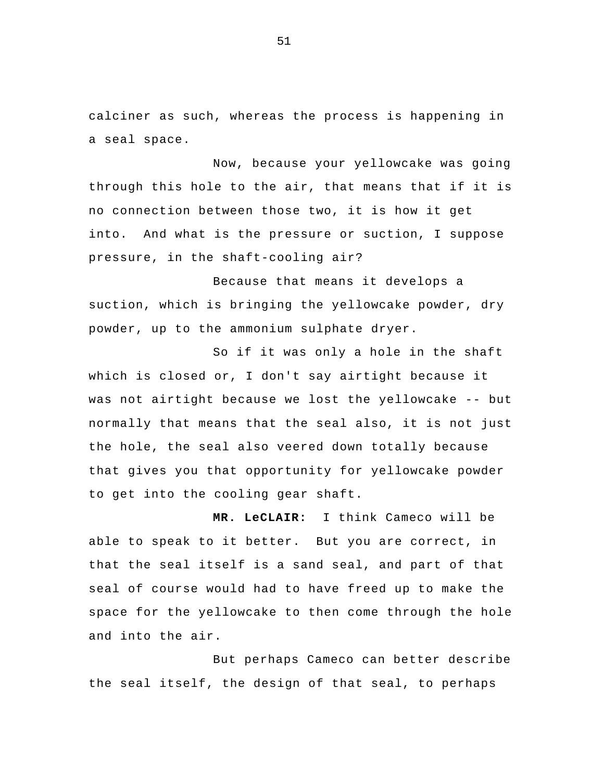calciner as such, whereas the process is happening in a seal space.

 Now, because your yellowcake was going through this hole to the air, that means that if it is no connection between those two, it is how it get into. And what is the pressure or suction, I suppose pressure, in the shaft-cooling air?

Because that means it develops a suction, which is bringing the yellowcake powder, dry powder, up to the ammonium sulphate dryer.

So if it was only a hole in the shaft which is closed or, I don't say airtight because it was not airtight because we lost the yellowcake -- but normally that means that the seal also, it is not just the hole, the seal also veered down totally because that gives you that opportunity for yellowcake powder to get into the cooling gear shaft.

 **MR. LeCLAIR:** I think Cameco will be able to speak to it better. But you are correct, in that the seal itself is a sand seal, and part of that seal of course would had to have freed up to make the space for the yellowcake to then come through the hole and into the air.

 But perhaps Cameco can better describe the seal itself, the design of that seal, to perhaps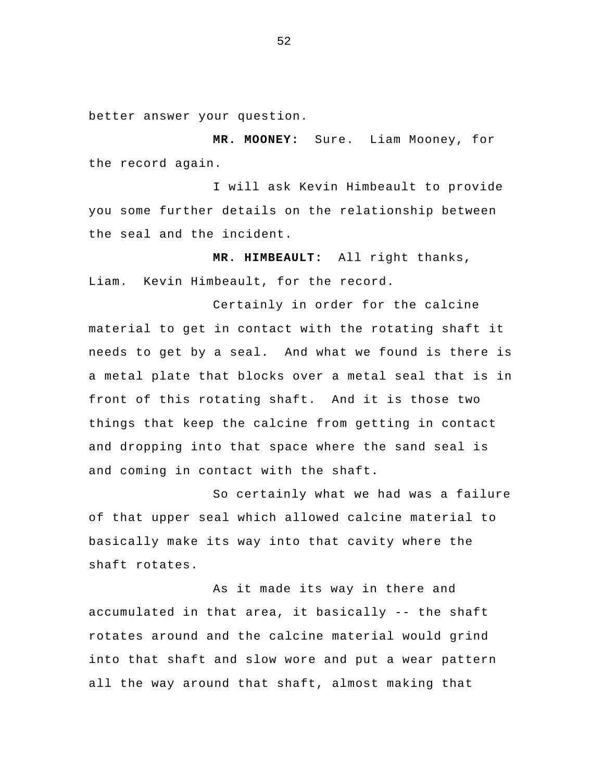better answer your question.

 **MR. MOONEY:** Sure. Liam Mooney, for the record again.

I will ask Kevin Himbeault to provide you some further details on the relationship between the seal and the incident.

 **MR. HIMBEAULT:** All right thanks, Liam. Kevin Himbeault, for the record.

 Certainly in order for the calcine material to get in contact with the rotating shaft it needs to get by a seal. And what we found is there is a metal plate that blocks over a metal seal that is in front of this rotating shaft. And it is those two things that keep the calcine from getting in contact and dropping into that space where the sand seal is and coming in contact with the shaft.

 So certainly what we had was a failure of that upper seal which allowed calcine material to basically make its way into that cavity where the shaft rotates.

As it made its way in there and accumulated in that area, it basically -- the shaft rotates around and the calcine material would grind into that shaft and slow wore and put a wear pattern all the way around that shaft, almost making that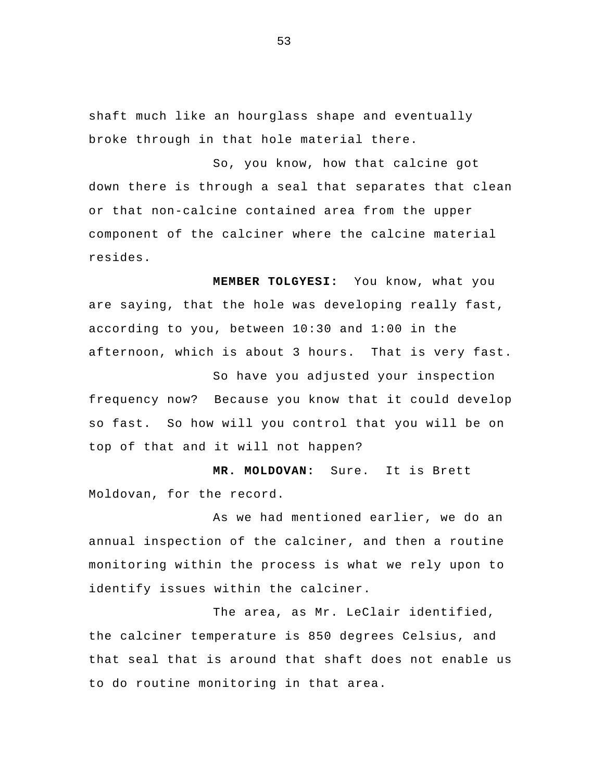shaft much like an hourglass shape and eventually broke through in that hole material there.

So, you know, how that calcine got down there is through a seal that separates that clean or that non-calcine contained area from the upper component of the calciner where the calcine material resides.

**MEMBER TOLGYESI:** You know, what you are saying, that the hole was developing really fast, according to you, between 10:30 and 1:00 in the afternoon, which is about 3 hours. That is very fast.

So have you adjusted your inspection frequency now? Because you know that it could develop so fast. So how will you control that you will be on top of that and it will not happen?

 **MR. MOLDOVAN:** Sure. It is Brett Moldovan, for the record.

As we had mentioned earlier, we do an annual inspection of the calciner, and then a routine monitoring within the process is what we rely upon to identify issues within the calciner.

The area, as Mr. LeClair identified, the calciner temperature is 850 degrees Celsius, and that seal that is around that shaft does not enable us to do routine monitoring in that area.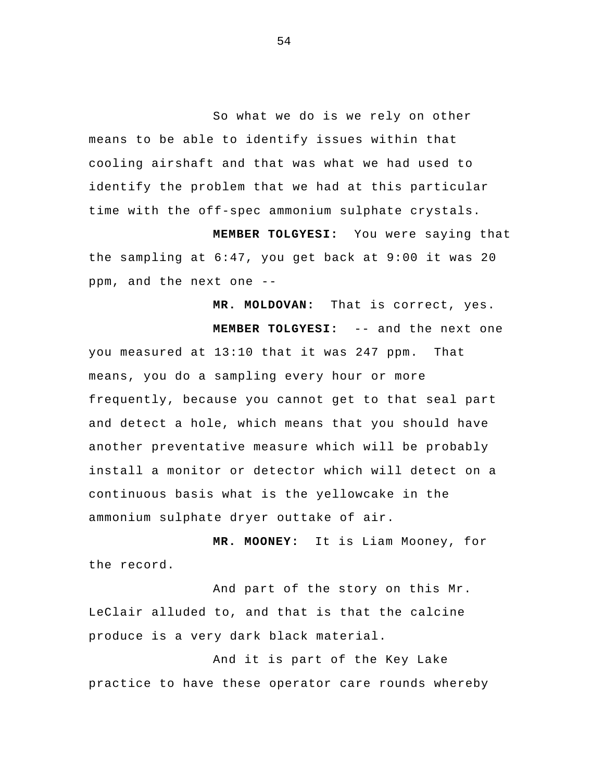So what we do is we rely on other means to be able to identify issues within that cooling airshaft and that was what we had used to identify the problem that we had at this particular time with the off-spec ammonium sulphate crystals.

 **MEMBER TOLGYESI:** You were saying that the sampling at 6:47, you get back at 9:00 it was 20 ppm, and the next one --

 **MR. MOLDOVAN:** That is correct, yes.  **MEMBER TOLGYESI:** -- and the next one you measured at 13:10 that it was 247 ppm. That means, you do a sampling every hour or more frequently, because you cannot get to that seal part and detect a hole, which means that you should have another preventative measure which will be probably install a monitor or detector which will detect on a continuous basis what is the yellowcake in the ammonium sulphate dryer outtake of air.

 **MR. MOONEY:** It is Liam Mooney, for the record.

And part of the story on this Mr. LeClair alluded to, and that is that the calcine produce is a very dark black material.

And it is part of the Key Lake practice to have these operator care rounds whereby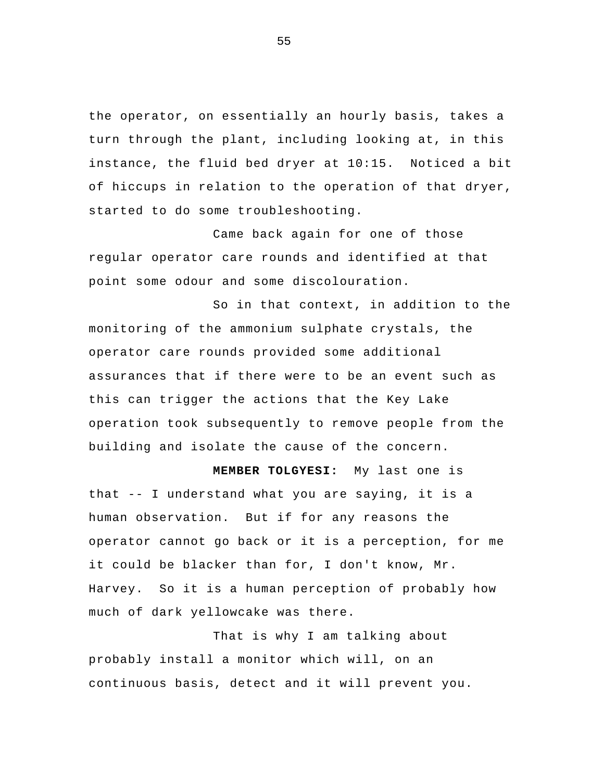the operator, on essentially an hourly basis, takes a turn through the plant, including looking at, in this instance, the fluid bed dryer at 10:15. Noticed a bit of hiccups in relation to the operation of that dryer, started to do some troubleshooting.

Came back again for one of those regular operator care rounds and identified at that point some odour and some discolouration.

So in that context, in addition to the monitoring of the ammonium sulphate crystals, the operator care rounds provided some additional assurances that if there were to be an event such as this can trigger the actions that the Key Lake operation took subsequently to remove people from the building and isolate the cause of the concern.

**MEMBER TOLGYESI:** My last one is that -- I understand what you are saying, it is a human observation. But if for any reasons the operator cannot go back or it is a perception, for me it could be blacker than for, I don't know, Mr. Harvey. So it is a human perception of probably how much of dark yellowcake was there.

That is why I am talking about probably install a monitor which will, on an continuous basis, detect and it will prevent you.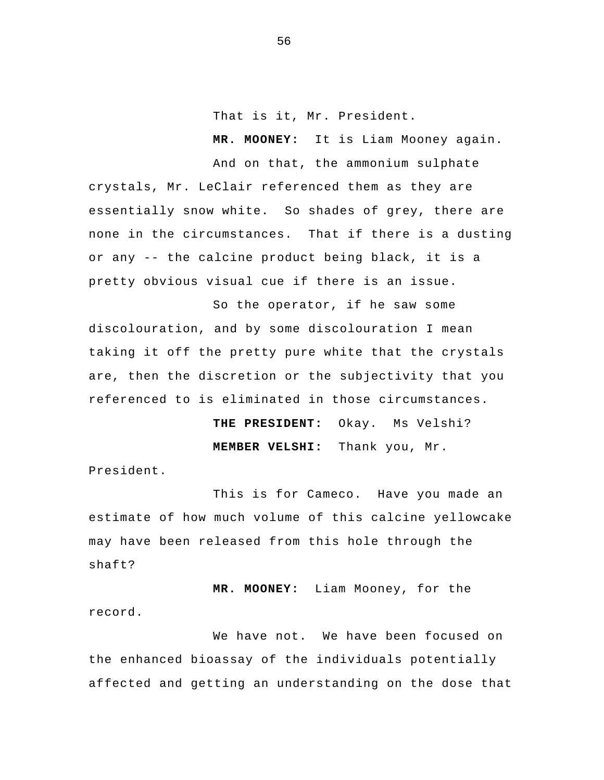That is it, Mr. President.

 **MR. MOONEY:** It is Liam Mooney again.

And on that, the ammonium sulphate crystals, Mr. LeClair referenced them as they are essentially snow white. So shades of grey, there are none in the circumstances. That if there is a dusting or any -- the calcine product being black, it is a pretty obvious visual cue if there is an issue.

So the operator, if he saw some discolouration, and by some discolouration I mean taking it off the pretty pure white that the crystals are, then the discretion or the subjectivity that you referenced to is eliminated in those circumstances.

> **THE PRESIDENT:** Okay. Ms Velshi? **MEMBER VELSHI:** Thank you, Mr.

President.

 This is for Cameco. Have you made an estimate of how much volume of this calcine yellowcake may have been released from this hole through the shaft?

 **MR. MOONEY:** Liam Mooney, for the record.

 We have not. We have been focused on the enhanced bioassay of the individuals potentially affected and getting an understanding on the dose that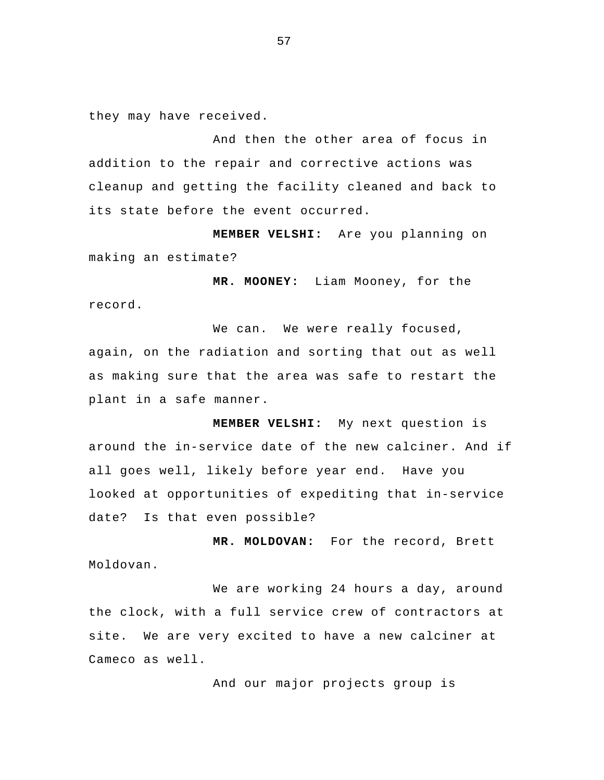they may have received.

And then the other area of focus in addition to the repair and corrective actions was cleanup and getting the facility cleaned and back to its state before the event occurred.

 **MEMBER VELSHI:** Are you planning on making an estimate?

 **MR. MOONEY:** Liam Mooney, for the record.

We can. We were really focused, again, on the radiation and sorting that out as well as making sure that the area was safe to restart the plant in a safe manner.

**MEMBER VELSHI:** My next question is around the in-service date of the new calciner. And if all goes well, likely before year end. Have you looked at opportunities of expediting that in-service date? Is that even possible?

 **MR. MOLDOVAN:** For the record, Brett Moldovan.

We are working 24 hours a day, around the clock, with a full service crew of contractors at site. We are very excited to have a new calciner at Cameco as well.

And our major projects group is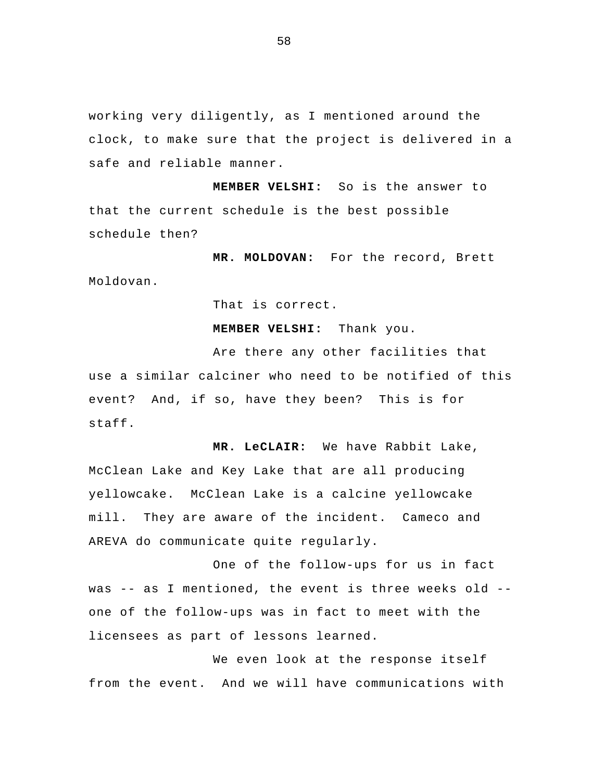working very diligently, as I mentioned around the clock, to make sure that the project is delivered in a safe and reliable manner.

 **MEMBER VELSHI:** So is the answer to that the current schedule is the best possible schedule then?

 **MR. MOLDOVAN:** For the record, Brett Moldovan.

That is correct.

 **MEMBER VELSHI:** Thank you.

Are there any other facilities that use a similar calciner who need to be notified of this event? And, if so, have they been? This is for staff.

**MR. LeCLAIR:** We have Rabbit Lake, McClean Lake and Key Lake that are all producing yellowcake. McClean Lake is a calcine yellowcake mill. They are aware of the incident. Cameco and AREVA do communicate quite regularly.

One of the follow-ups for us in fact was -- as I mentioned, the event is three weeks old - one of the follow-ups was in fact to meet with the licensees as part of lessons learned.

We even look at the response itself from the event. And we will have communications with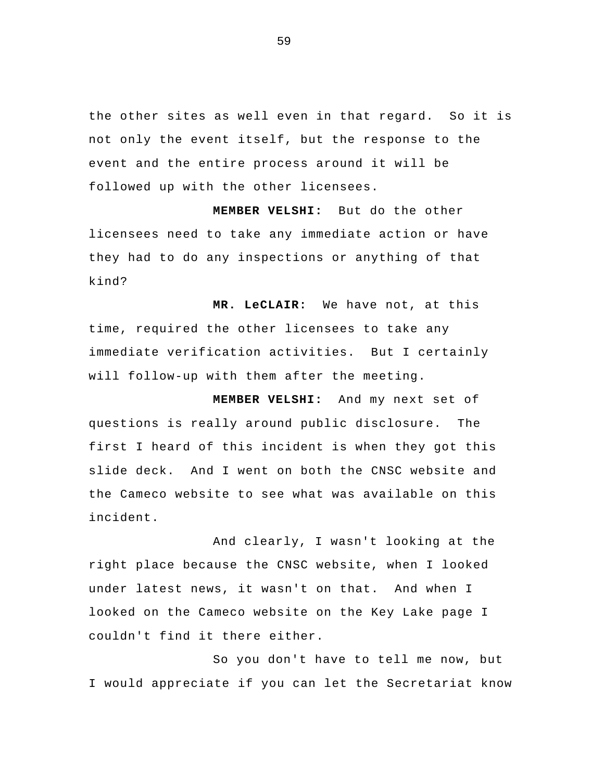the other sites as well even in that regard. So it is not only the event itself, but the response to the event and the entire process around it will be followed up with the other licensees.

 **MEMBER VELSHI:** But do the other licensees need to take any immediate action or have they had to do any inspections or anything of that kind?

 **MR. LeCLAIR:** We have not, at this time, required the other licensees to take any immediate verification activities. But I certainly will follow-up with them after the meeting.

 **MEMBER VELSHI:** And my next set of questions is really around public disclosure. The first I heard of this incident is when they got this slide deck. And I went on both the CNSC website and the Cameco website to see what was available on this incident.

And clearly, I wasn't looking at the right place because the CNSC website, when I looked under latest news, it wasn't on that. And when I looked on the Cameco website on the Key Lake page I couldn't find it there either.

So you don't have to tell me now, but I would appreciate if you can let the Secretariat know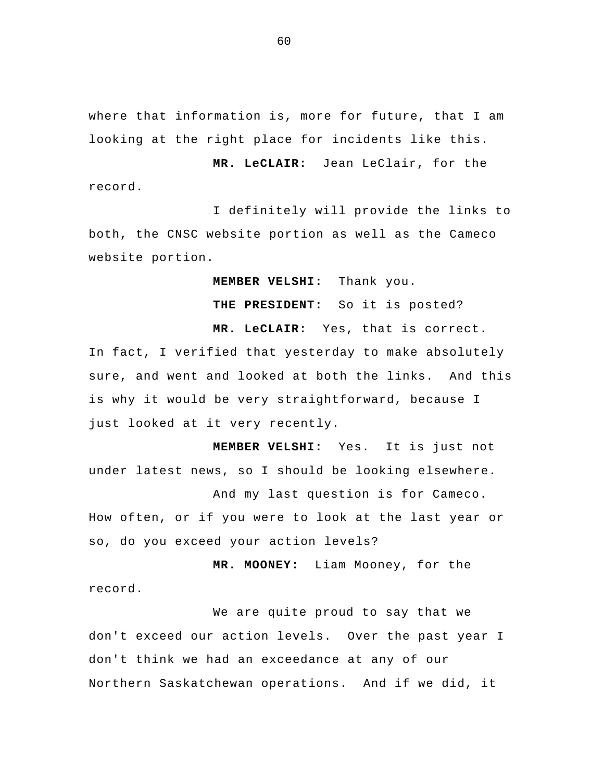where that information is, more for future, that I am looking at the right place for incidents like this.

 **MR. LeCLAIR:** Jean LeClair, for the record.

I definitely will provide the links to both, the CNSC website portion as well as the Cameco website portion.

 **MEMBER VELSHI:** Thank you.

 **THE PRESIDENT:** So it is posted?

**MR. LeCLAIR:** Yes, that is correct. In fact, I verified that yesterday to make absolutely sure, and went and looked at both the links. And this is why it would be very straightforward, because I just looked at it very recently.

 **MEMBER VELSHI:** Yes. It is just not under latest news, so I should be looking elsewhere. And my last question is for Cameco. How often, or if you were to look at the last year or

so, do you exceed your action levels?

 **MR. MOONEY:** Liam Mooney, for the record.

We are quite proud to say that we don't exceed our action levels. Over the past year I don't think we had an exceedance at any of our Northern Saskatchewan operations. And if we did, it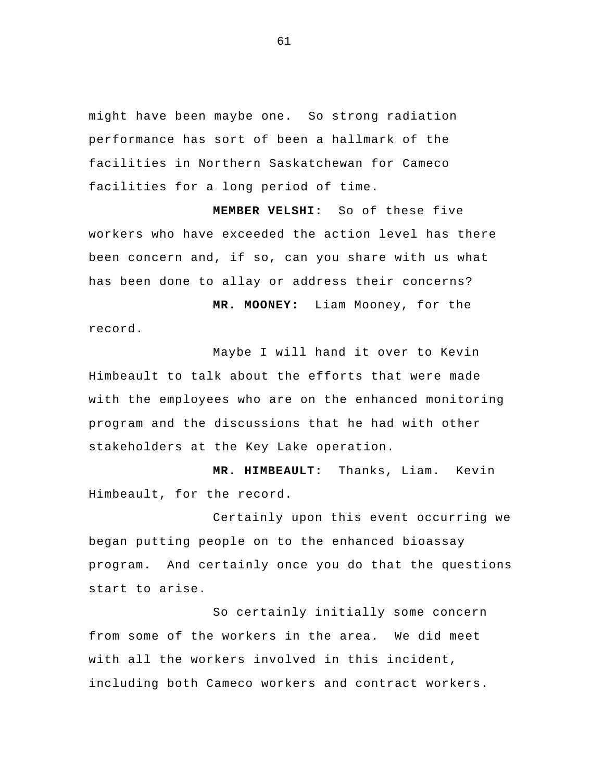might have been maybe one. So strong radiation performance has sort of been a hallmark of the facilities in Northern Saskatchewan for Cameco facilities for a long period of time.

 **MEMBER VELSHI:** So of these five workers who have exceeded the action level has there been concern and, if so, can you share with us what has been done to allay or address their concerns?

 **MR. MOONEY:** Liam Mooney, for the record.

Maybe I will hand it over to Kevin Himbeault to talk about the efforts that were made with the employees who are on the enhanced monitoring program and the discussions that he had with other stakeholders at the Key Lake operation.

 **MR. HIMBEAULT:** Thanks, Liam. Kevin Himbeault, for the record.

 Certainly upon this event occurring we began putting people on to the enhanced bioassay program. And certainly once you do that the questions start to arise.

 So certainly initially some concern from some of the workers in the area. We did meet with all the workers involved in this incident, including both Cameco workers and contract workers.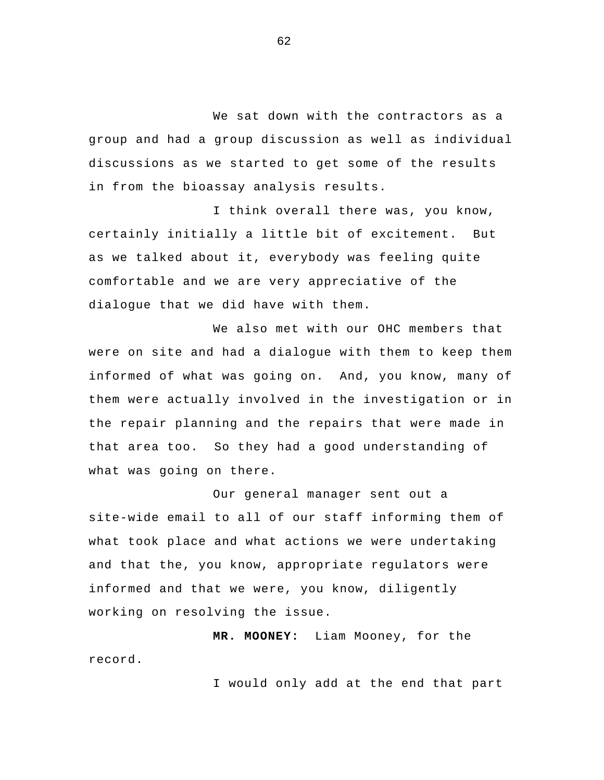We sat down with the contractors as a group and had a group discussion as well as individual discussions as we started to get some of the results in from the bioassay analysis results.

I think overall there was, you know, certainly initially a little bit of excitement. But as we talked about it, everybody was feeling quite comfortable and we are very appreciative of the dialogue that we did have with them.

We also met with our OHC members that were on site and had a dialogue with them to keep them informed of what was going on. And, you know, many of them were actually involved in the investigation or in the repair planning and the repairs that were made in that area too. So they had a good understanding of what was going on there.

 Our general manager sent out a site-wide email to all of our staff informing them of what took place and what actions we were undertaking and that the, you know, appropriate regulators were informed and that we were, you know, diligently working on resolving the issue.

 **MR. MOONEY:** Liam Mooney, for the record.

I would only add at the end that part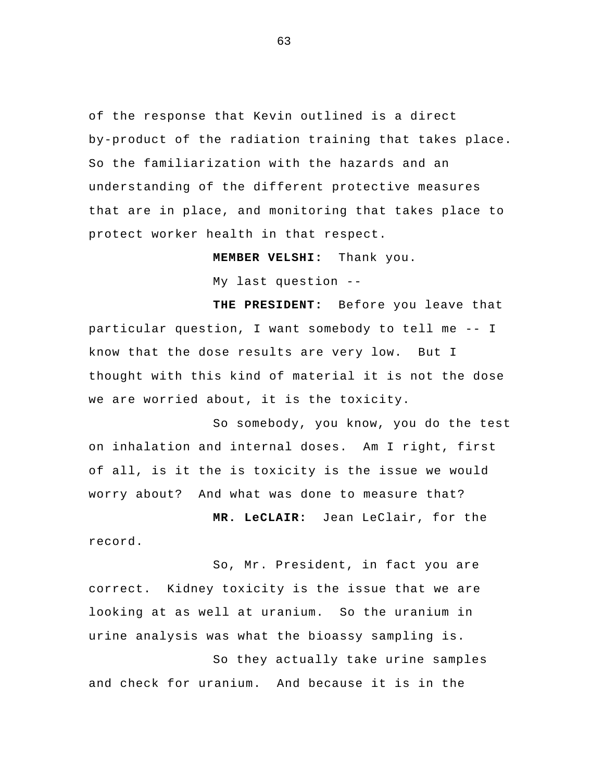of the response that Kevin outlined is a direct by-product of the radiation training that takes place. So the familiarization with the hazards and an understanding of the different protective measures that are in place, and monitoring that takes place to protect worker health in that respect.

> **MEMBER VELSHI:** Thank you. My last question --

 **THE PRESIDENT:** Before you leave that particular question, I want somebody to tell me -- I know that the dose results are very low. But I thought with this kind of material it is not the dose we are worried about, it is the toxicity.

 So somebody, you know, you do the test on inhalation and internal doses. Am I right, first of all, is it the is toxicity is the issue we would worry about? And what was done to measure that?

 **MR. LeCLAIR:** Jean LeClair, for the record.

So, Mr. President, in fact you are correct. Kidney toxicity is the issue that we are looking at as well at uranium. So the uranium in urine analysis was what the bioassy sampling is.

 So they actually take urine samples and check for uranium. And because it is in the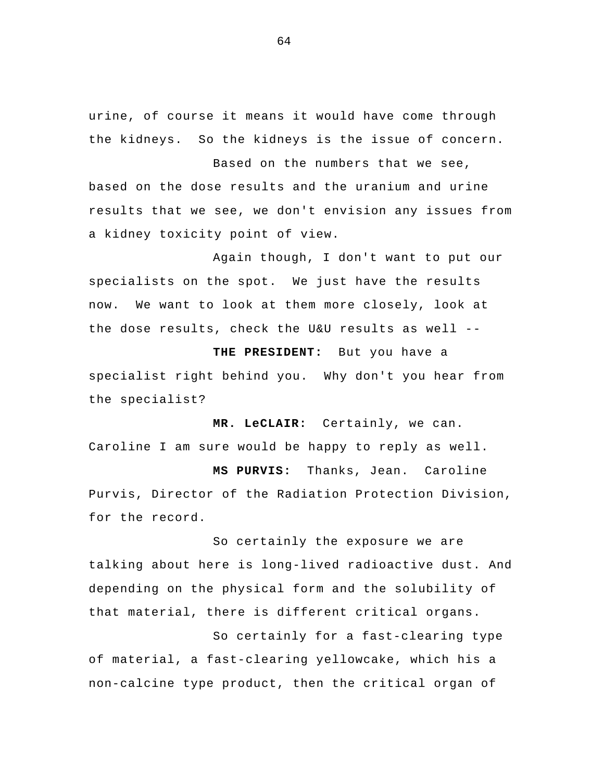urine, of course it means it would have come through the kidneys. So the kidneys is the issue of concern.

Based on the numbers that we see, based on the dose results and the uranium and urine results that we see, we don't envision any issues from a kidney toxicity point of view.

Again though, I don't want to put our specialists on the spot. We just have the results now. We want to look at them more closely, look at the dose results, check the U&U results as well --

 **THE PRESIDENT:** But you have a specialist right behind you. Why don't you hear from the specialist?

 **MR. LeCLAIR:** Certainly, we can. Caroline I am sure would be happy to reply as well.

 **MS PURVIS:** Thanks, Jean. Caroline Purvis, Director of the Radiation Protection Division, for the record.

 So certainly the exposure we are talking about here is long-lived radioactive dust. And depending on the physical form and the solubility of that material, there is different critical organs.

 So certainly for a fast-clearing type of material, a fast-clearing yellowcake, which his a non-calcine type product, then the critical organ of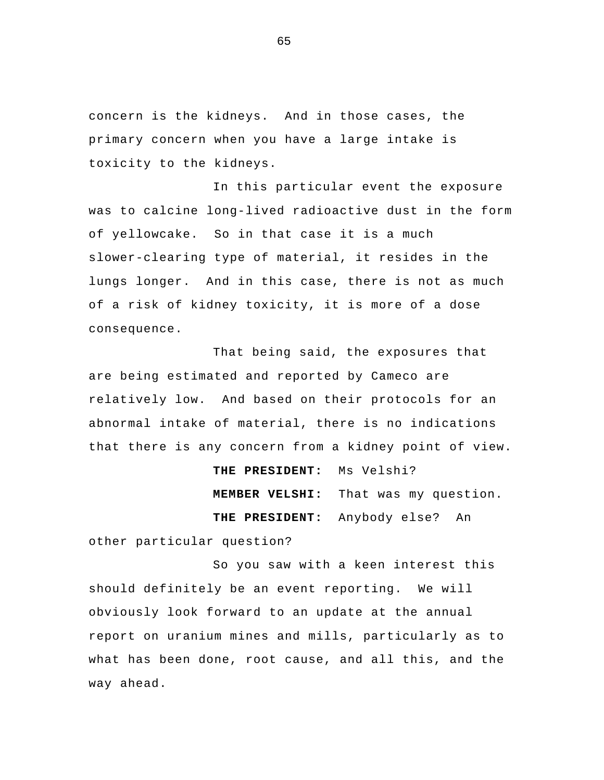concern is the kidneys. And in those cases, the primary concern when you have a large intake is toxicity to the kidneys.

 In this particular event the exposure was to calcine long-lived radioactive dust in the form of yellowcake. So in that case it is a much slower-clearing type of material, it resides in the lungs longer. And in this case, there is not as much of a risk of kidney toxicity, it is more of a dose consequence.

 That being said, the exposures that are being estimated and reported by Cameco are relatively low. And based on their protocols for an abnormal intake of material, there is no indications that there is any concern from a kidney point of view.

> **THE PRESIDENT:** Ms Velshi? **MEMBER VELSHI:** That was my question. **THE PRESIDENT:** Anybody else? An

other particular question?

So you saw with a keen interest this should definitely be an event reporting. We will obviously look forward to an update at the annual report on uranium mines and mills, particularly as to what has been done, root cause, and all this, and the way ahead.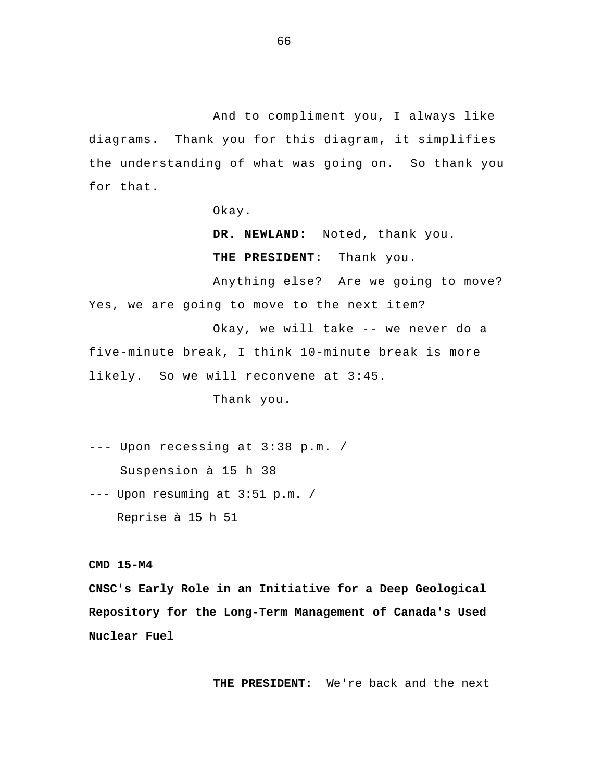And to compliment you, I always like diagrams. Thank you for this diagram, it simplifies the understanding of what was going on. So thank you for that.

Okay.

 **DR. NEWLAND:** Noted, thank you.  **THE PRESIDENT:** Thank you.

Anything else? Are we going to move? Yes, we are going to move to the next item?

Okay, we will take -- we never do a five-minute break, I think 10-minute break is more likely. So we will reconvene at 3:45.

Thank you.

--- Upon recessing at 3:38 p.m. / Suspension à 15 h 38 --- Upon resuming at 3:51 p.m. / Reprise à 15 h 51

**CMD 15-M4** 

**CNSC's Early Role in an Initiative for a Deep Geological Repository for the Long-Term Management of Canada's Used Nuclear Fuel** 

**THE PRESIDENT:** We're back and the next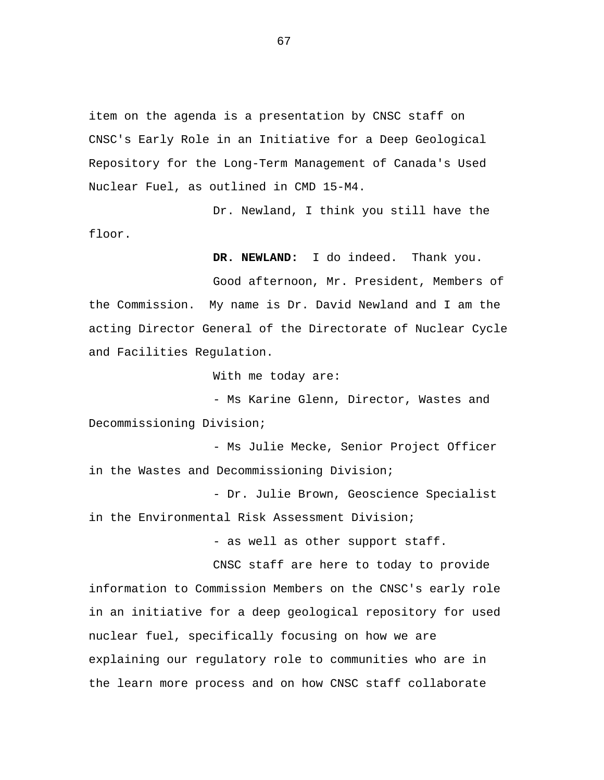item on the agenda is a presentation by CNSC staff on CNSC's Early Role in an Initiative for a Deep Geological Repository for the Long-Term Management of Canada's Used Nuclear Fuel, as outlined in CMD 15-M4.

Dr. Newland, I think you still have the floor.

**DR. NEWLAND:** I do indeed. Thank you.

Good afternoon, Mr. President, Members of the Commission. My name is Dr. David Newland and I am the acting Director General of the Directorate of Nuclear Cycle and Facilities Regulation.

With me today are:

- Ms Karine Glenn, Director, Wastes and Decommissioning Division;

- Ms Julie Mecke, Senior Project Officer in the Wastes and Decommissioning Division;

- Dr. Julie Brown, Geoscience Specialist in the Environmental Risk Assessment Division;

- as well as other support staff.

CNSC staff are here to today to provide information to Commission Members on the CNSC's early role in an initiative for a deep geological repository for used nuclear fuel, specifically focusing on how we are explaining our regulatory role to communities who are in the learn more process and on how CNSC staff collaborate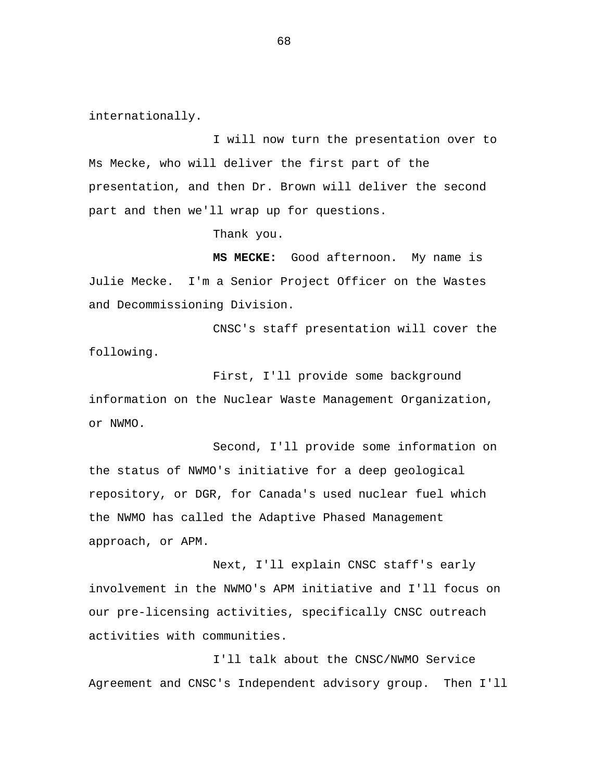internationally.

I will now turn the presentation over to Ms Mecke, who will deliver the first part of the presentation, and then Dr. Brown will deliver the second part and then we'll wrap up for questions.

Thank you.

**MS MECKE:** Good afternoon. My name is Julie Mecke. I'm a Senior Project Officer on the Wastes and Decommissioning Division.

CNSC's staff presentation will cover the following.

First, I'll provide some background information on the Nuclear Waste Management Organization, or NWMO.

Second, I'll provide some information on the status of NWMO's initiative for a deep geological repository, or DGR, for Canada's used nuclear fuel which the NWMO has called the Adaptive Phased Management approach, or APM.

Next, I'll explain CNSC staff's early involvement in the NWMO's APM initiative and I'll focus on our pre-licensing activities, specifically CNSC outreach activities with communities.

I'll talk about the CNSC/NWMO Service Agreement and CNSC's Independent advisory group. Then I'll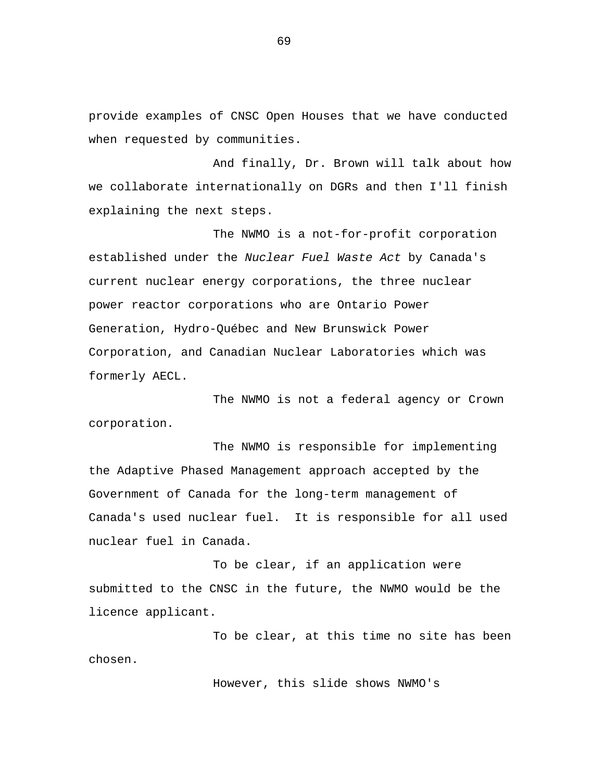provide examples of CNSC Open Houses that we have conducted when requested by communities.

And finally, Dr. Brown will talk about how we collaborate internationally on DGRs and then I'll finish explaining the next steps.

The NWMO is a not-for-profit corporation established under the *Nuclear Fuel Waste Act* by Canada's current nuclear energy corporations, the three nuclear power reactor corporations who are Ontario Power Generation, Hydro-Québec and New Brunswick Power Corporation, and Canadian Nuclear Laboratories which was formerly AECL.

The NWMO is not a federal agency or Crown corporation.

The NWMO is responsible for implementing the Adaptive Phased Management approach accepted by the Government of Canada for the long-term management of Canada's used nuclear fuel. It is responsible for all used nuclear fuel in Canada.

To be clear, if an application were submitted to the CNSC in the future, the NWMO would be the licence applicant.

To be clear, at this time no site has been chosen.

However, this slide shows NWMO's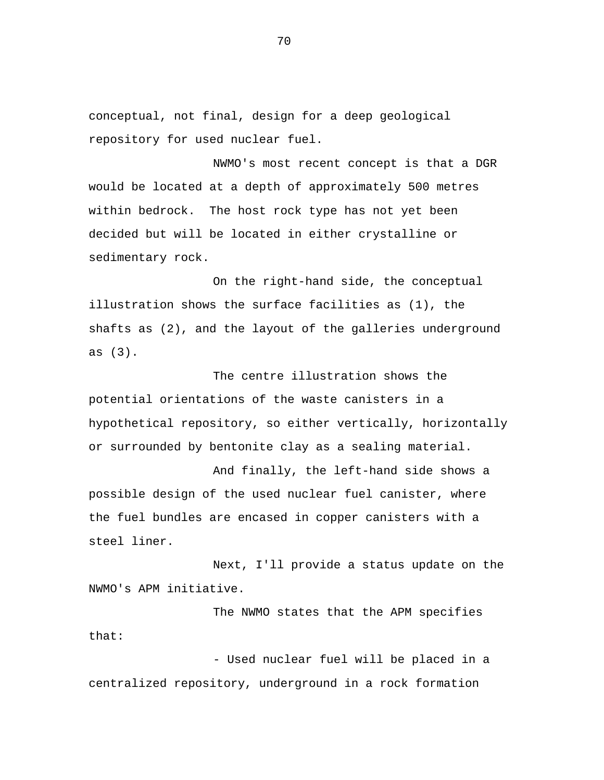conceptual, not final, design for a deep geological repository for used nuclear fuel.

NWMO's most recent concept is that a DGR would be located at a depth of approximately 500 metres within bedrock. The host rock type has not yet been decided but will be located in either crystalline or sedimentary rock.

On the right-hand side, the conceptual illustration shows the surface facilities as (1), the shafts as (2), and the layout of the galleries underground as (3).

The centre illustration shows the potential orientations of the waste canisters in a hypothetical repository, so either vertically, horizontally or surrounded by bentonite clay as a sealing material.

And finally, the left-hand side shows a possible design of the used nuclear fuel canister, where the fuel bundles are encased in copper canisters with a steel liner.

Next, I'll provide a status update on the NWMO's APM initiative.

The NWMO states that the APM specifies that:

- Used nuclear fuel will be placed in a centralized repository, underground in a rock formation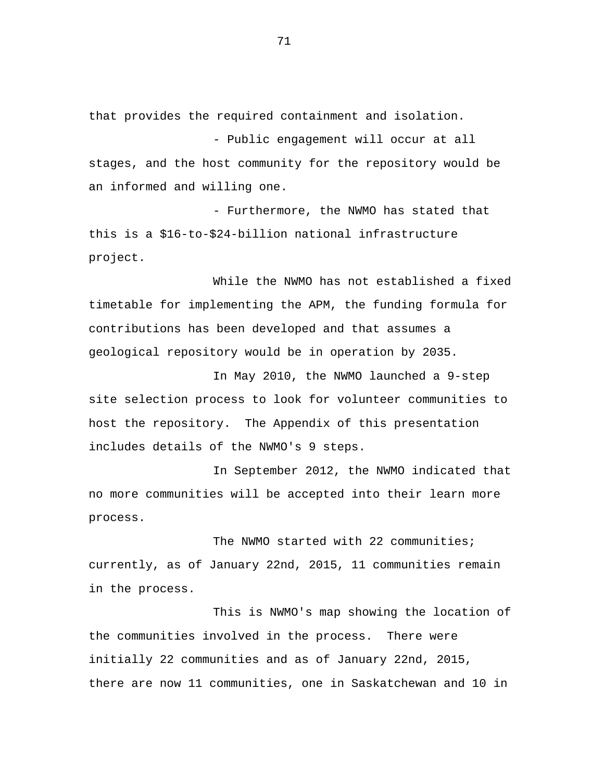that provides the required containment and isolation.

- Public engagement will occur at all stages, and the host community for the repository would be an informed and willing one.

- Furthermore, the NWMO has stated that this is a \$16-to-\$24-billion national infrastructure project.

While the NWMO has not established a fixed timetable for implementing the APM, the funding formula for contributions has been developed and that assumes a geological repository would be in operation by 2035.

In May 2010, the NWMO launched a 9-step site selection process to look for volunteer communities to host the repository. The Appendix of this presentation includes details of the NWMO's 9 steps.

In September 2012, the NWMO indicated that no more communities will be accepted into their learn more process.

The NWMO started with 22 communities; currently, as of January 22nd, 2015, 11 communities remain in the process.

This is NWMO's map showing the location of the communities involved in the process. There were initially 22 communities and as of January 22nd, 2015, there are now 11 communities, one in Saskatchewan and 10 in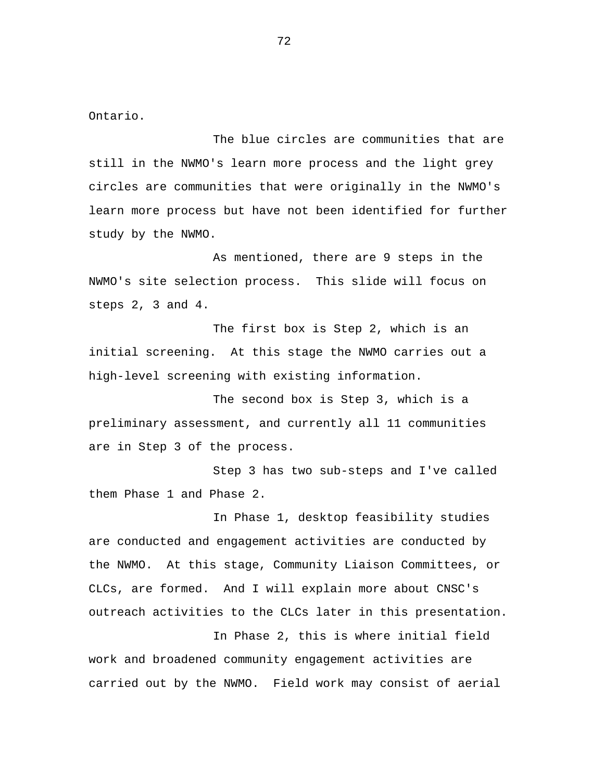Ontario.

The blue circles are communities that are still in the NWMO's learn more process and the light grey circles are communities that were originally in the NWMO's learn more process but have not been identified for further study by the NWMO.

As mentioned, there are 9 steps in the NWMO's site selection process. This slide will focus on steps 2, 3 and 4.

The first box is Step 2, which is an initial screening. At this stage the NWMO carries out a high-level screening with existing information.

The second box is Step 3, which is a preliminary assessment, and currently all 11 communities are in Step 3 of the process.

Step 3 has two sub-steps and I've called them Phase 1 and Phase 2.

In Phase 1, desktop feasibility studies are conducted and engagement activities are conducted by the NWMO. At this stage, Community Liaison Committees, or CLCs, are formed. And I will explain more about CNSC's outreach activities to the CLCs later in this presentation.

In Phase 2, this is where initial field work and broadened community engagement activities are carried out by the NWMO. Field work may consist of aerial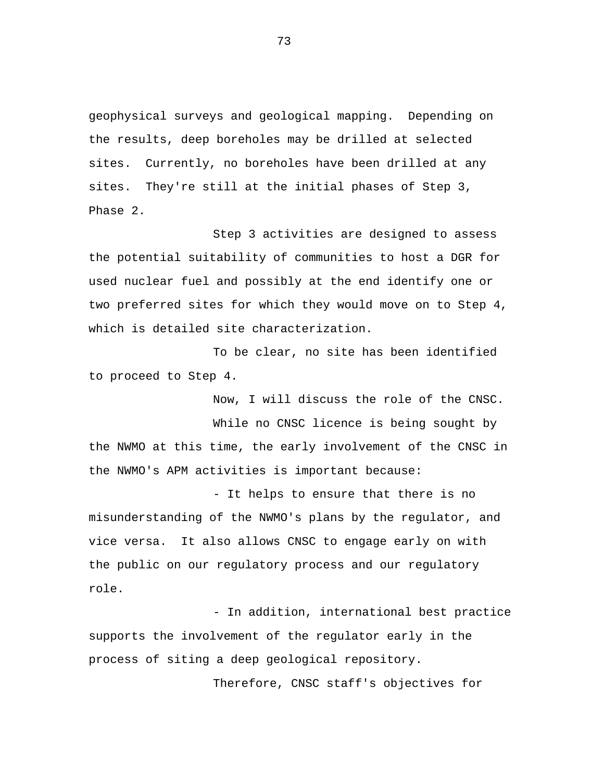geophysical surveys and geological mapping. Depending on the results, deep boreholes may be drilled at selected sites. Currently, no boreholes have been drilled at any sites. They're still at the initial phases of Step 3, Phase 2.

Step 3 activities are designed to assess the potential suitability of communities to host a DGR for used nuclear fuel and possibly at the end identify one or two preferred sites for which they would move on to Step 4, which is detailed site characterization.

To be clear, no site has been identified to proceed to Step 4.

Now, I will discuss the role of the CNSC.

While no CNSC licence is being sought by the NWMO at this time, the early involvement of the CNSC in the NWMO's APM activities is important because:

- It helps to ensure that there is no misunderstanding of the NWMO's plans by the regulator, and vice versa. It also allows CNSC to engage early on with the public on our regulatory process and our regulatory role.

- In addition, international best practice supports the involvement of the regulator early in the process of siting a deep geological repository.

Therefore, CNSC staff's objectives for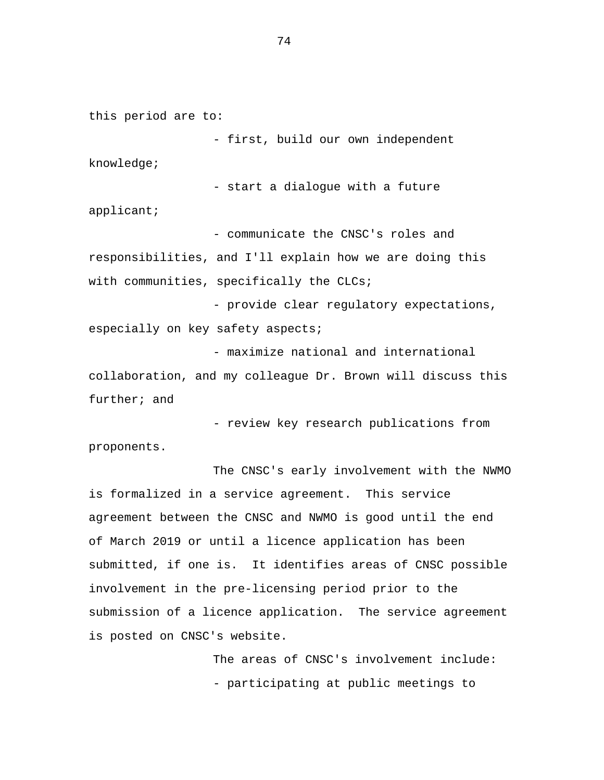this period are to:

- first, build our own independent knowledge;

- start a dialogue with a future

applicant;

- communicate the CNSC's roles and responsibilities, and I'll explain how we are doing this with communities, specifically the CLCs;

- provide clear regulatory expectations, especially on key safety aspects;

- maximize national and international collaboration, and my colleague Dr. Brown will discuss this further; and

- review key research publications from proponents.

The CNSC's early involvement with the NWMO is formalized in a service agreement. This service agreement between the CNSC and NWMO is good until the end of March 2019 or until a licence application has been submitted, if one is. It identifies areas of CNSC possible involvement in the pre-licensing period prior to the submission of a licence application. The service agreement is posted on CNSC's website.

> The areas of CNSC's involvement include: - participating at public meetings to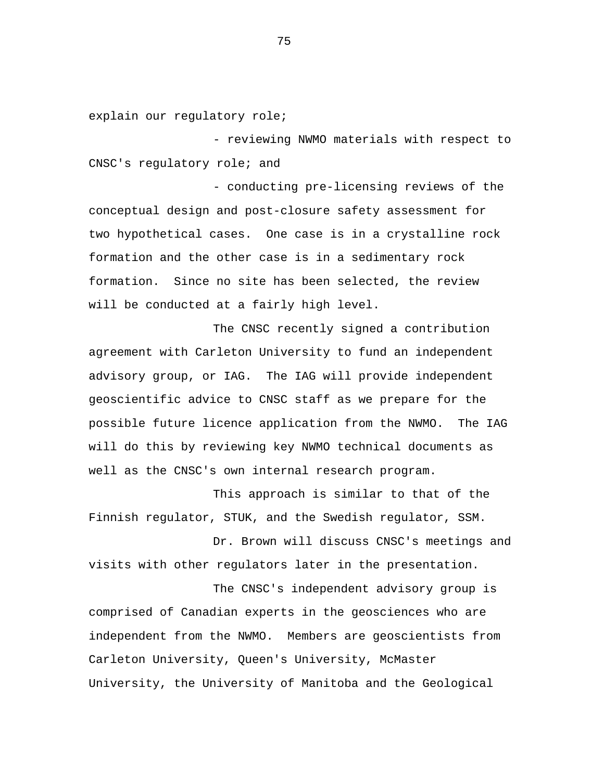explain our regulatory role;

- reviewing NWMO materials with respect to CNSC's regulatory role; and

- conducting pre-licensing reviews of the conceptual design and post-closure safety assessment for two hypothetical cases. One case is in a crystalline rock formation and the other case is in a sedimentary rock formation. Since no site has been selected, the review will be conducted at a fairly high level.

The CNSC recently signed a contribution agreement with Carleton University to fund an independent advisory group, or IAG. The IAG will provide independent geoscientific advice to CNSC staff as we prepare for the possible future licence application from the NWMO. The IAG will do this by reviewing key NWMO technical documents as well as the CNSC's own internal research program.

This approach is similar to that of the Finnish regulator, STUK, and the Swedish regulator, SSM.

Dr. Brown will discuss CNSC's meetings and visits with other regulators later in the presentation.

The CNSC's independent advisory group is comprised of Canadian experts in the geosciences who are independent from the NWMO. Members are geoscientists from Carleton University, Queen's University, McMaster University, the University of Manitoba and the Geological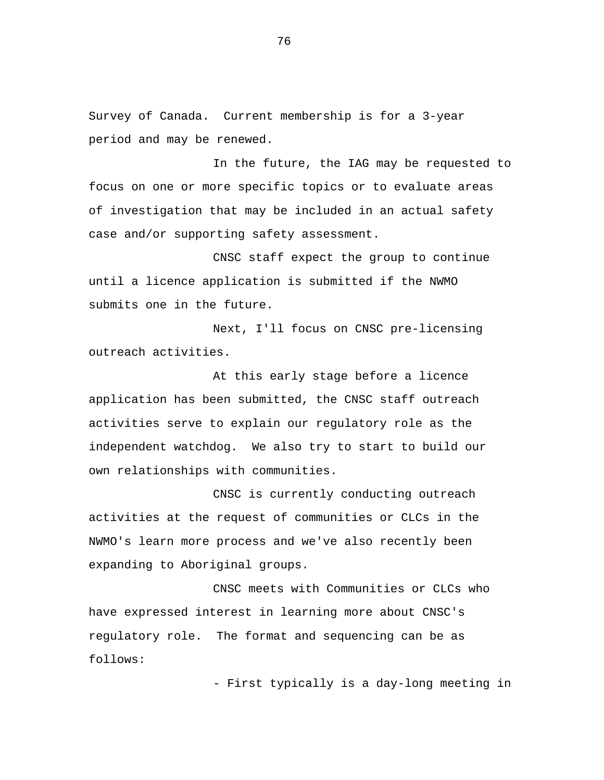Survey of Canada. Current membership is for a 3-year period and may be renewed.

In the future, the IAG may be requested to focus on one or more specific topics or to evaluate areas of investigation that may be included in an actual safety case and/or supporting safety assessment.

CNSC staff expect the group to continue until a licence application is submitted if the NWMO submits one in the future.

Next, I'll focus on CNSC pre-licensing outreach activities.

At this early stage before a licence application has been submitted, the CNSC staff outreach activities serve to explain our regulatory role as the independent watchdog. We also try to start to build our own relationships with communities.

CNSC is currently conducting outreach activities at the request of communities or CLCs in the NWMO's learn more process and we've also recently been expanding to Aboriginal groups.

CNSC meets with Communities or CLCs who have expressed interest in learning more about CNSC's regulatory role. The format and sequencing can be as follows:

- First typically is a day-long meeting in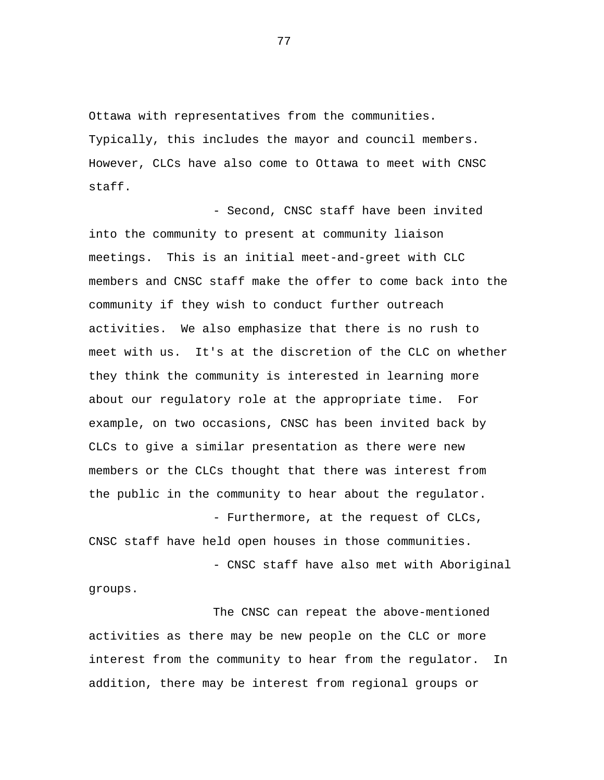Ottawa with representatives from the communities. Typically, this includes the mayor and council members. However, CLCs have also come to Ottawa to meet with CNSC staff.

- Second, CNSC staff have been invited into the community to present at community liaison meetings. This is an initial meet-and-greet with CLC members and CNSC staff make the offer to come back into the community if they wish to conduct further outreach activities. We also emphasize that there is no rush to meet with us. It's at the discretion of the CLC on whether they think the community is interested in learning more about our regulatory role at the appropriate time. For example, on two occasions, CNSC has been invited back by CLCs to give a similar presentation as there were new members or the CLCs thought that there was interest from the public in the community to hear about the regulator.

- Furthermore, at the request of CLCs, CNSC staff have held open houses in those communities. - CNSC staff have also met with Aboriginal

groups.

The CNSC can repeat the above-mentioned activities as there may be new people on the CLC or more interest from the community to hear from the regulator. In addition, there may be interest from regional groups or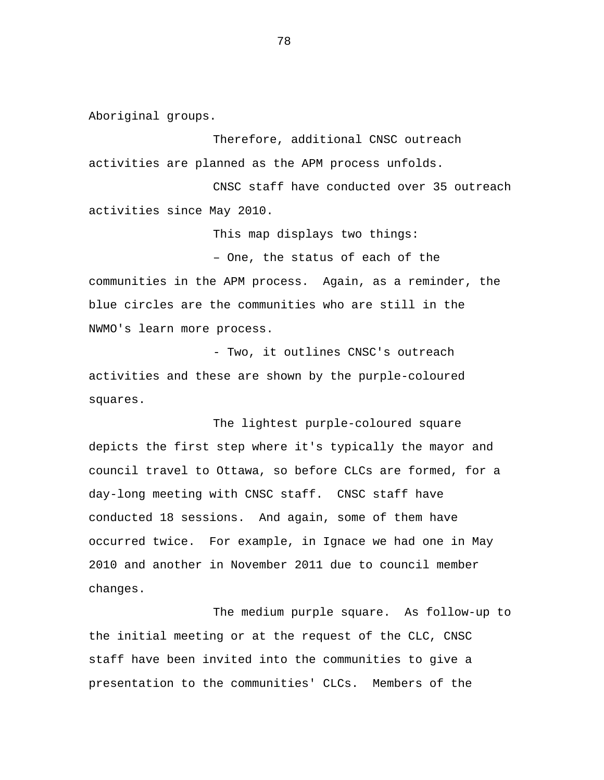Aboriginal groups.

Therefore, additional CNSC outreach activities are planned as the APM process unfolds.

CNSC staff have conducted over 35 outreach activities since May 2010.

This map displays two things:

– One, the status of each of the

communities in the APM process. Again, as a reminder, the blue circles are the communities who are still in the NWMO's learn more process.

- Two, it outlines CNSC's outreach activities and these are shown by the purple-coloured squares.

The lightest purple-coloured square depicts the first step where it's typically the mayor and council travel to Ottawa, so before CLCs are formed, for a day-long meeting with CNSC staff. CNSC staff have conducted 18 sessions. And again, some of them have occurred twice. For example, in Ignace we had one in May 2010 and another in November 2011 due to council member changes.

The medium purple square. As follow-up to the initial meeting or at the request of the CLC, CNSC staff have been invited into the communities to give a presentation to the communities' CLCs. Members of the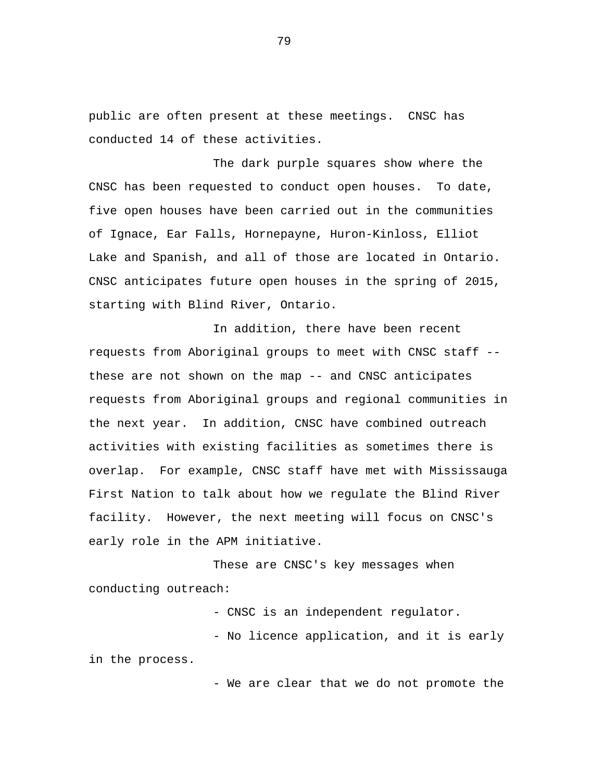public are often present at these meetings. CNSC has conducted 14 of these activities.

The dark purple squares show where the CNSC has been requested to conduct open houses. To date, five open houses have been carried out in the communities of Ignace, Ear Falls, Hornepayne, Huron-Kinloss, Elliot Lake and Spanish, and all of those are located in Ontario. CNSC anticipates future open houses in the spring of 2015, starting with Blind River, Ontario.

In addition, there have been recent requests from Aboriginal groups to meet with CNSC staff - these are not shown on the map -- and CNSC anticipates requests from Aboriginal groups and regional communities in the next year. In addition, CNSC have combined outreach activities with existing facilities as sometimes there is overlap. For example, CNSC staff have met with Mississauga First Nation to talk about how we regulate the Blind River facility. However, the next meeting will focus on CNSC's early role in the APM initiative.

These are CNSC's key messages when conducting outreach:

- CNSC is an independent regulator.

- No licence application, and it is early in the process.

- We are clear that we do not promote the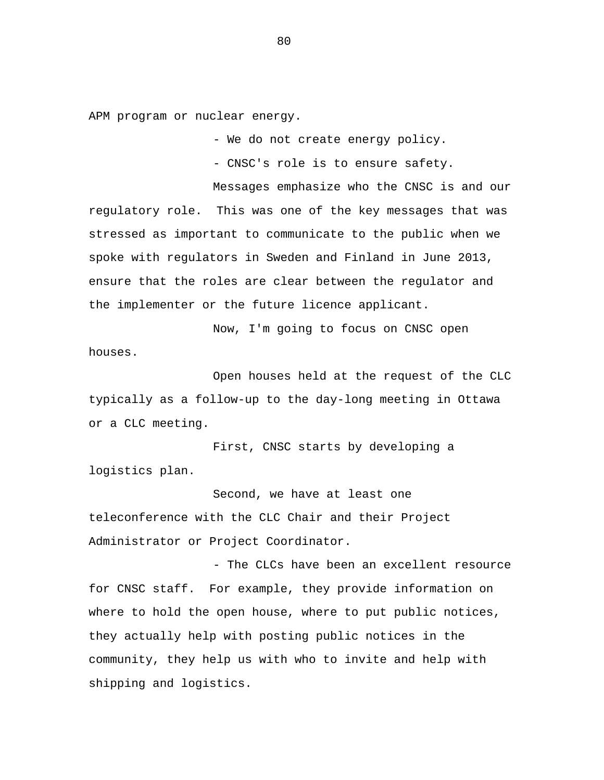APM program or nuclear energy.

- We do not create energy policy.

- CNSC's role is to ensure safety.

Messages emphasize who the CNSC is and our regulatory role. This was one of the key messages that was stressed as important to communicate to the public when we spoke with regulators in Sweden and Finland in June 2013, ensure that the roles are clear between the regulator and the implementer or the future licence applicant.

Now, I'm going to focus on CNSC open houses.

Open houses held at the request of the CLC typically as a follow-up to the day-long meeting in Ottawa or a CLC meeting.

First, CNSC starts by developing a logistics plan.

Second, we have at least one teleconference with the CLC Chair and their Project Administrator or Project Coordinator.

- The CLCs have been an excellent resource for CNSC staff. For example, they provide information on where to hold the open house, where to put public notices, they actually help with posting public notices in the community, they help us with who to invite and help with shipping and logistics.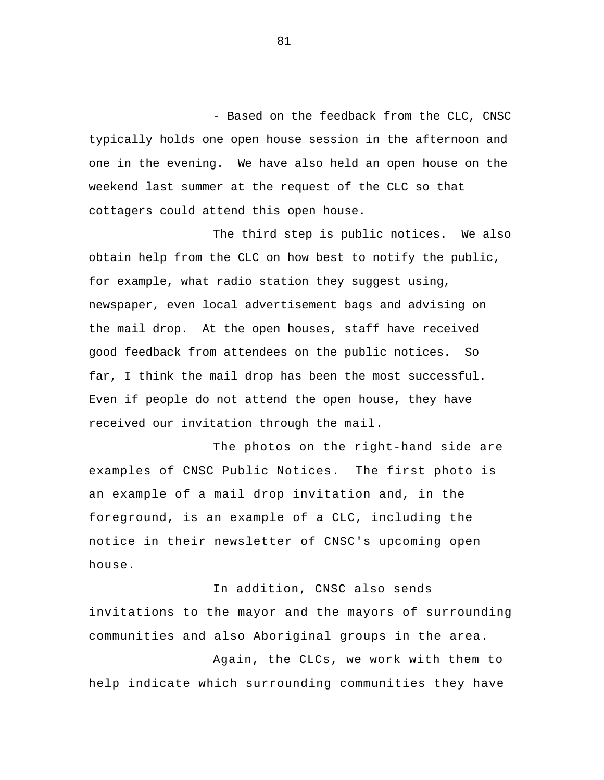- Based on the feedback from the CLC, CNSC typically holds one open house session in the afternoon and one in the evening. We have also held an open house on the weekend last summer at the request of the CLC so that cottagers could attend this open house.

The third step is public notices. We also obtain help from the CLC on how best to notify the public, for example, what radio station they suggest using, newspaper, even local advertisement bags and advising on the mail drop. At the open houses, staff have received good feedback from attendees on the public notices. So far, I think the mail drop has been the most successful. Even if people do not attend the open house, they have received our invitation through the mail.

The photos on the right-hand side are examples of CNSC Public Notices. The first photo is an example of a mail drop invitation and, in the foreground, is an example of a CLC, including the notice in their newsletter of CNSC's upcoming open house.

 In addition, CNSC also sends invitations to the mayor and the mayors of surrounding communities and also Aboriginal groups in the area.

 Again, the CLCs, we work with them to help indicate which surrounding communities they have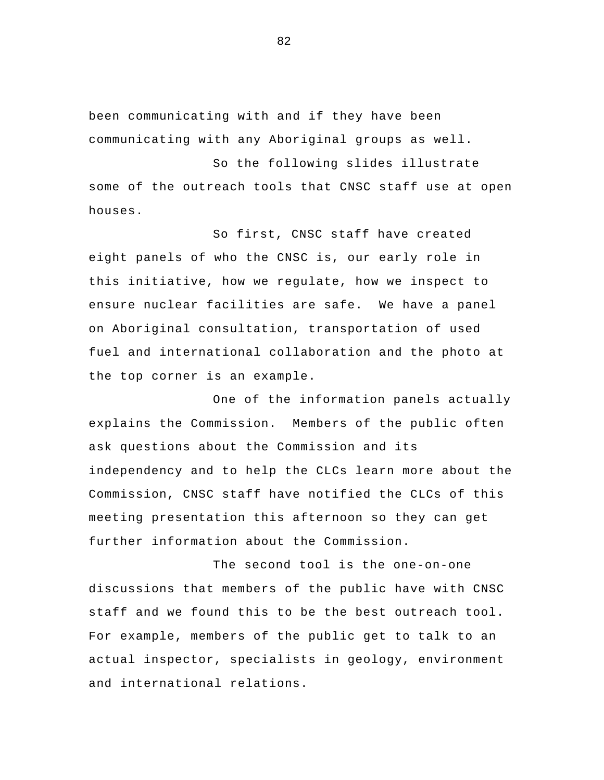been communicating with and if they have been communicating with any Aboriginal groups as well.

So the following slides illustrate some of the outreach tools that CNSC staff use at open houses.

So first, CNSC staff have created eight panels of who the CNSC is, our early role in this initiative, how we regulate, how we inspect to ensure nuclear facilities are safe. We have a panel on Aboriginal consultation, transportation of used fuel and international collaboration and the photo at the top corner is an example.

One of the information panels actually explains the Commission. Members of the public often ask questions about the Commission and its independency and to help the CLCs learn more about the Commission, CNSC staff have notified the CLCs of this meeting presentation this afternoon so they can get further information about the Commission.

The second tool is the one-on-one discussions that members of the public have with CNSC staff and we found this to be the best outreach tool. For example, members of the public get to talk to an actual inspector, specialists in geology, environment and international relations.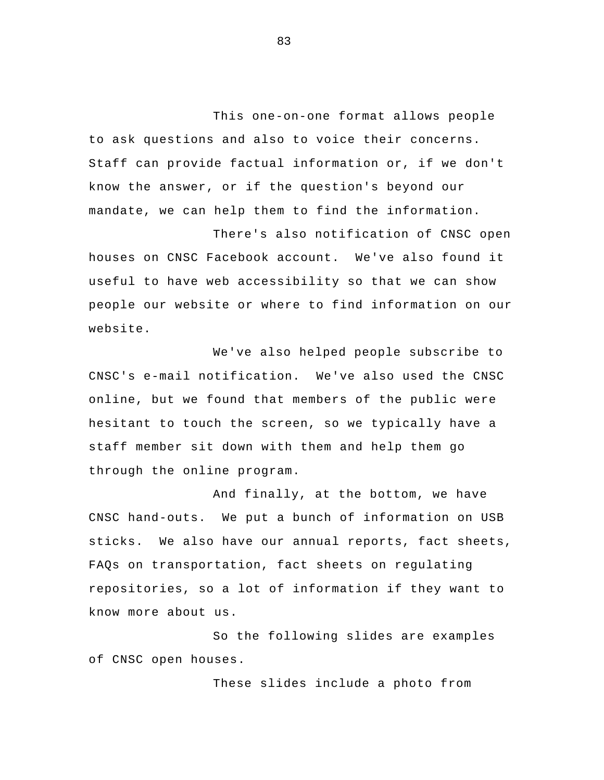This one-on-one format allows people to ask questions and also to voice their concerns. Staff can provide factual information or, if we don't know the answer, or if the question's beyond our mandate, we can help them to find the information.

 There's also notification of CNSC open houses on CNSC Facebook account. We've also found it useful to have web accessibility so that we can show people our website or where to find information on our website.

We've also helped people subscribe to CNSC's e-mail notification. We've also used the CNSC online, but we found that members of the public were hesitant to touch the screen, so we typically have a staff member sit down with them and help them go through the online program.

And finally, at the bottom, we have CNSC hand-outs. We put a bunch of information on USB sticks. We also have our annual reports, fact sheets, FAQs on transportation, fact sheets on regulating repositories, so a lot of information if they want to know more about us.

So the following slides are examples of CNSC open houses.

These slides include a photo from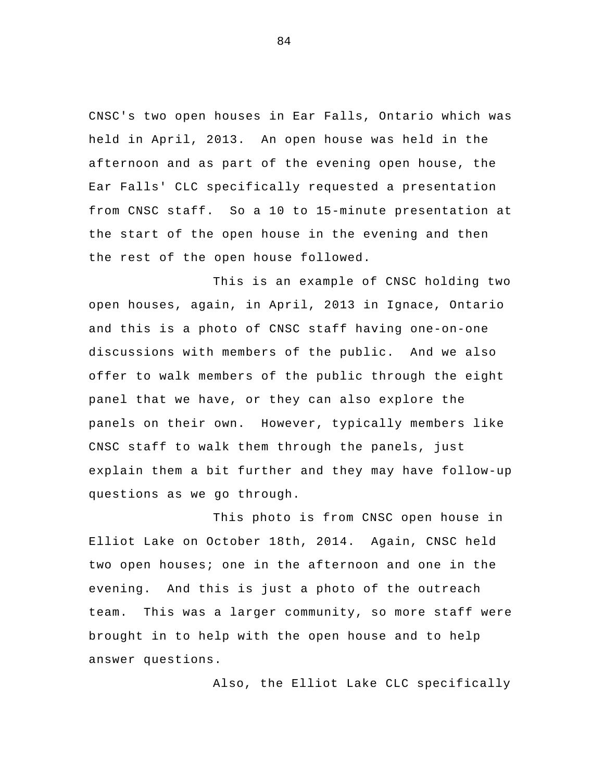CNSC's two open houses in Ear Falls, Ontario which was held in April, 2013. An open house was held in the afternoon and as part of the evening open house, the Ear Falls' CLC specifically requested a presentation from CNSC staff. So a 10 to 15-minute presentation at the start of the open house in the evening and then the rest of the open house followed.

This is an example of CNSC holding two open houses, again, in April, 2013 in Ignace, Ontario and this is a photo of CNSC staff having one-on-one discussions with members of the public. And we also offer to walk members of the public through the eight panel that we have, or they can also explore the panels on their own. However, typically members like CNSC staff to walk them through the panels, just explain them a bit further and they may have follow-up questions as we go through.

This photo is from CNSC open house in Elliot Lake on October 18th, 2014. Again, CNSC held two open houses; one in the afternoon and one in the evening. And this is just a photo of the outreach team. This was a larger community, so more staff were brought in to help with the open house and to help answer questions.

Also, the Elliot Lake CLC specifically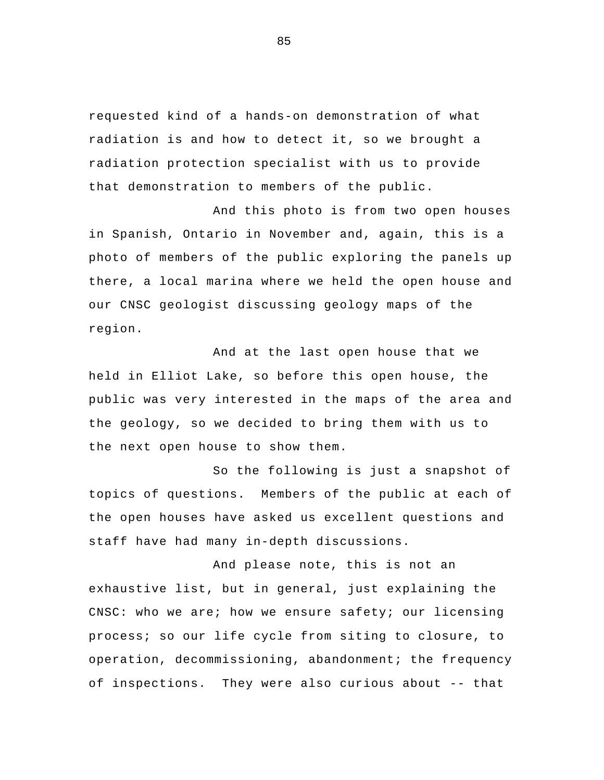requested kind of a hands-on demonstration of what radiation is and how to detect it, so we brought a radiation protection specialist with us to provide that demonstration to members of the public.

And this photo is from two open houses in Spanish, Ontario in November and, again, this is a photo of members of the public exploring the panels up there, a local marina where we held the open house and our CNSC geologist discussing geology maps of the region.

And at the last open house that we held in Elliot Lake, so before this open house, the public was very interested in the maps of the area and the geology, so we decided to bring them with us to the next open house to show them.

So the following is just a snapshot of topics of questions. Members of the public at each of the open houses have asked us excellent questions and staff have had many in-depth discussions.

And please note, this is not an exhaustive list, but in general, just explaining the CNSC: who we are; how we ensure safety; our licensing process; so our life cycle from siting to closure, to operation, decommissioning, abandonment; the frequency of inspections. They were also curious about -- that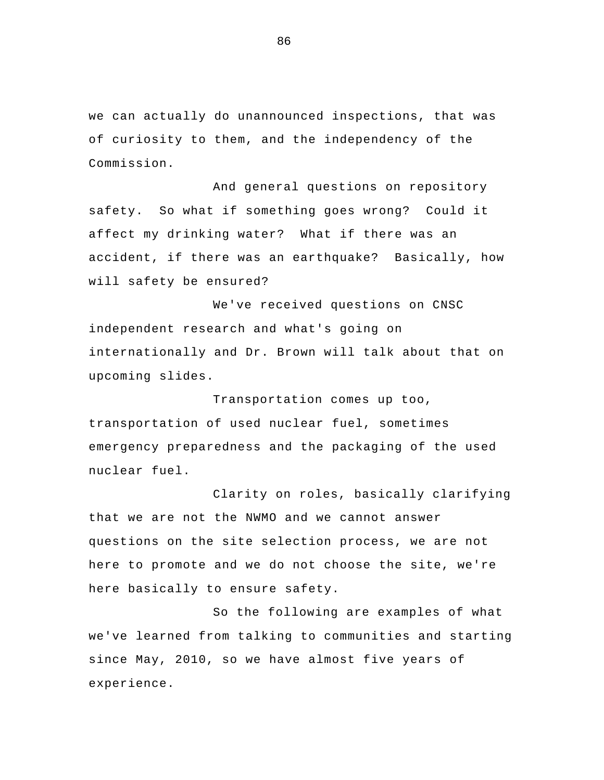we can actually do unannounced inspections, that was of curiosity to them, and the independency of the Commission.

 And general questions on repository safety. So what if something goes wrong? Could it affect my drinking water? What if there was an accident, if there was an earthquake? Basically, how will safety be ensured?

 We've received questions on CNSC independent research and what's going on internationally and Dr. Brown will talk about that on upcoming slides.

 Transportation comes up too, transportation of used nuclear fuel, sometimes emergency preparedness and the packaging of the used nuclear fuel.

Clarity on roles, basically clarifying that we are not the NWMO and we cannot answer questions on the site selection process, we are not here to promote and we do not choose the site, we're here basically to ensure safety.

So the following are examples of what we've learned from talking to communities and starting since May, 2010, so we have almost five years of experience.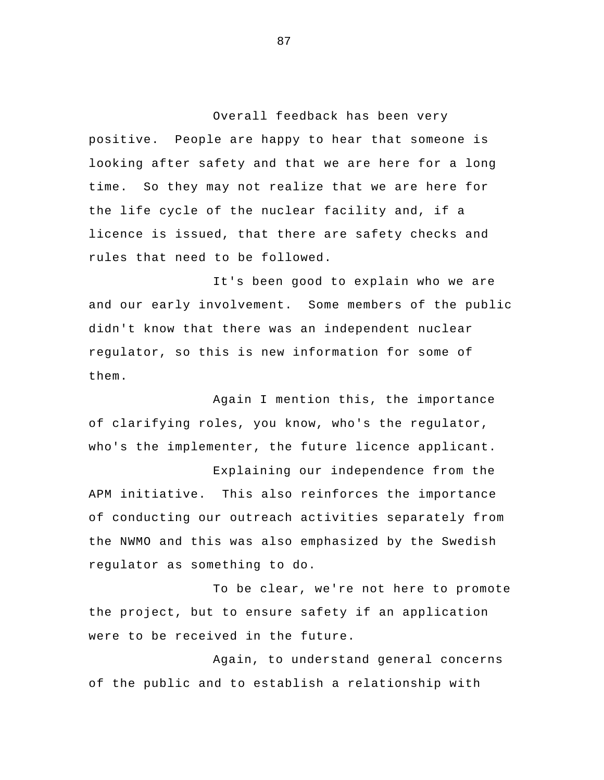Overall feedback has been very positive. People are happy to hear that someone is looking after safety and that we are here for a long time. So they may not realize that we are here for the life cycle of the nuclear facility and, if a licence is issued, that there are safety checks and rules that need to be followed.

It's been good to explain who we are and our early involvement. Some members of the public didn't know that there was an independent nuclear regulator, so this is new information for some of them.

Again I mention this, the importance of clarifying roles, you know, who's the regulator, who's the implementer, the future licence applicant.

Explaining our independence from the APM initiative. This also reinforces the importance of conducting our outreach activities separately from the NWMO and this was also emphasized by the Swedish regulator as something to do.

 To be clear, we're not here to promote the project, but to ensure safety if an application were to be received in the future.

Again, to understand general concerns of the public and to establish a relationship with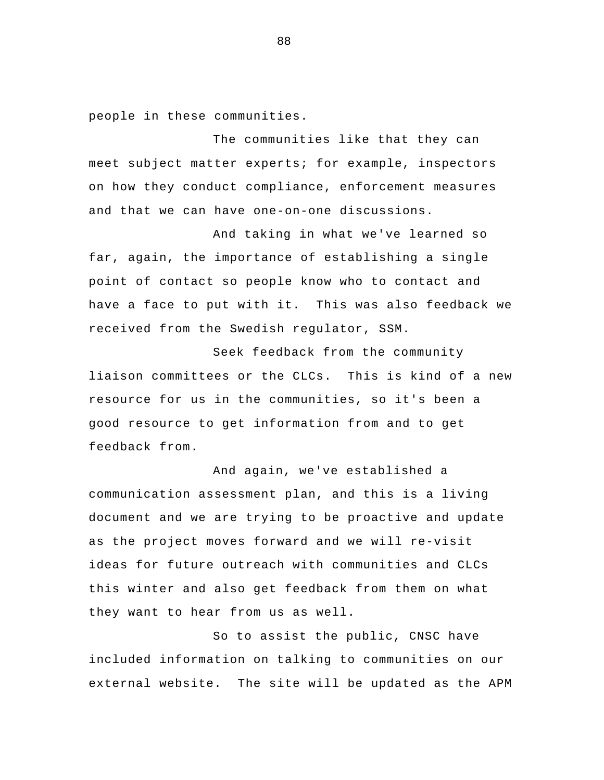people in these communities.

 The communities like that they can meet subject matter experts; for example, inspectors on how they conduct compliance, enforcement measures and that we can have one-on-one discussions.

And taking in what we've learned so far, again, the importance of establishing a single point of contact so people know who to contact and have a face to put with it. This was also feedback we received from the Swedish regulator, SSM.

Seek feedback from the community liaison committees or the CLCs. This is kind of a new resource for us in the communities, so it's been a good resource to get information from and to get feedback from.

And again, we've established a communication assessment plan, and this is a living document and we are trying to be proactive and update as the project moves forward and we will re-visit ideas for future outreach with communities and CLCs this winter and also get feedback from them on what they want to hear from us as well.

 So to assist the public, CNSC have included information on talking to communities on our external website. The site will be updated as the APM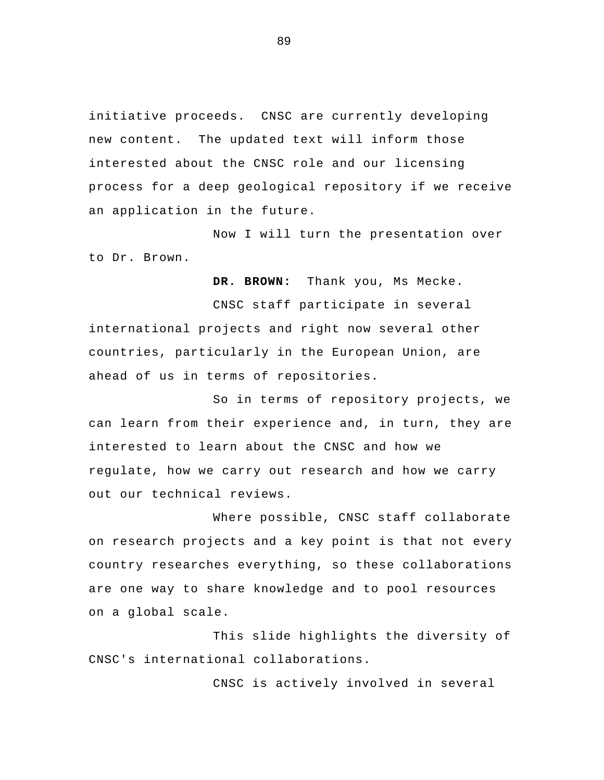initiative proceeds. CNSC are currently developing new content. The updated text will inform those interested about the CNSC role and our licensing process for a deep geological repository if we receive an application in the future.

Now I will turn the presentation over to Dr. Brown.

**DR. BROWN:** Thank you, Ms Mecke.

 CNSC staff participate in several international projects and right now several other countries, particularly in the European Union, are ahead of us in terms of repositories.

 So in terms of repository projects, we can learn from their experience and, in turn, they are interested to learn about the CNSC and how we regulate, how we carry out research and how we carry out our technical reviews.

Where possible, CNSC staff collaborate on research projects and a key point is that not every country researches everything, so these collaborations are one way to share knowledge and to pool resources on a global scale.

 This slide highlights the diversity of CNSC's international collaborations.

CNSC is actively involved in several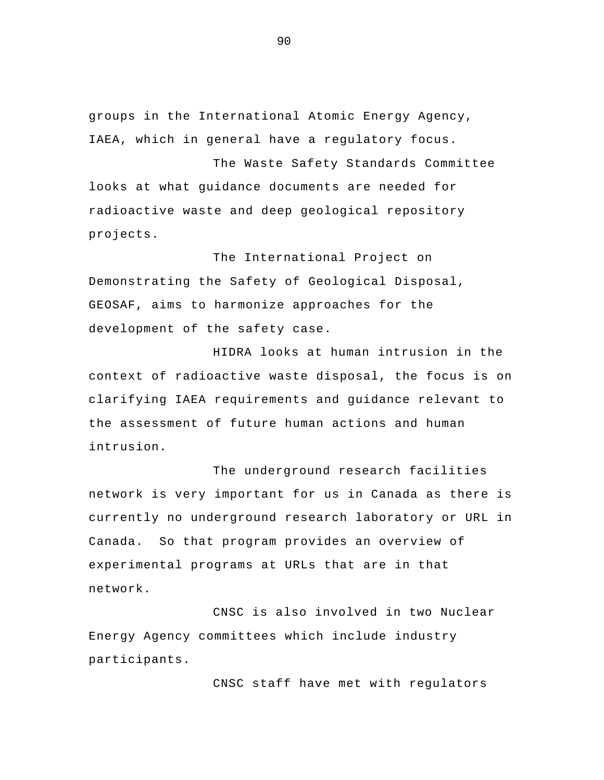groups in the International Atomic Energy Agency, IAEA, which in general have a regulatory focus.

The Waste Safety Standards Committee looks at what guidance documents are needed for radioactive waste and deep geological repository projects.

 The International Project on Demonstrating the Safety of Geological Disposal, GEOSAF, aims to harmonize approaches for the development of the safety case.

 HIDRA looks at human intrusion in the context of radioactive waste disposal, the focus is on clarifying IAEA requirements and guidance relevant to the assessment of future human actions and human intrusion.

The underground research facilities network is very important for us in Canada as there is currently no underground research laboratory or URL in Canada. So that program provides an overview of experimental programs at URLs that are in that network.

 CNSC is also involved in two Nuclear Energy Agency committees which include industry participants.

CNSC staff have met with regulators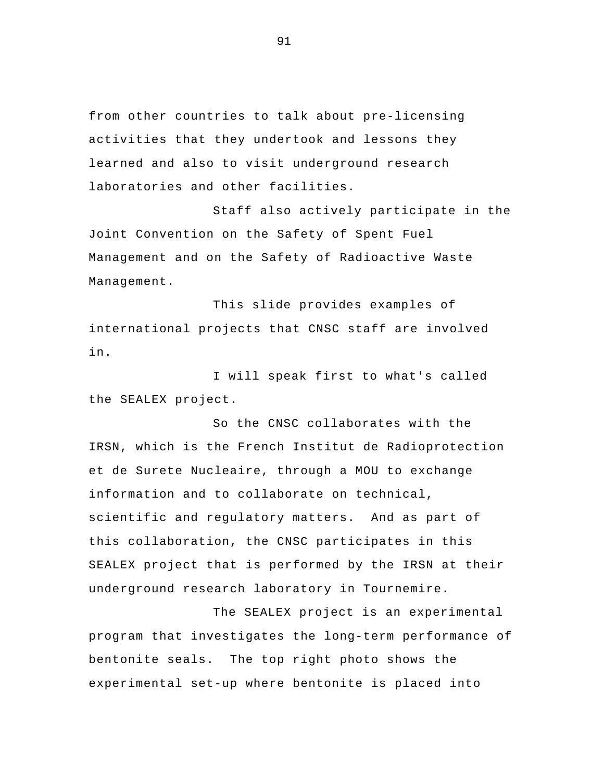from other countries to talk about pre-licensing activities that they undertook and lessons they learned and also to visit underground research laboratories and other facilities.

Staff also actively participate in the Joint Convention on the Safety of Spent Fuel Management and on the Safety of Radioactive Waste Management.

 This slide provides examples of international projects that CNSC staff are involved in.

I will speak first to what's called the SEALEX project.

So the CNSC collaborates with the IRSN, which is the French Institut de Radioprotection et de Surete Nucleaire, through a MOU to exchange information and to collaborate on technical, scientific and regulatory matters. And as part of this collaboration, the CNSC participates in this SEALEX project that is performed by the IRSN at their underground research laboratory in Tournemire.

The SEALEX project is an experimental program that investigates the long-term performance of bentonite seals. The top right photo shows the experimental set-up where bentonite is placed into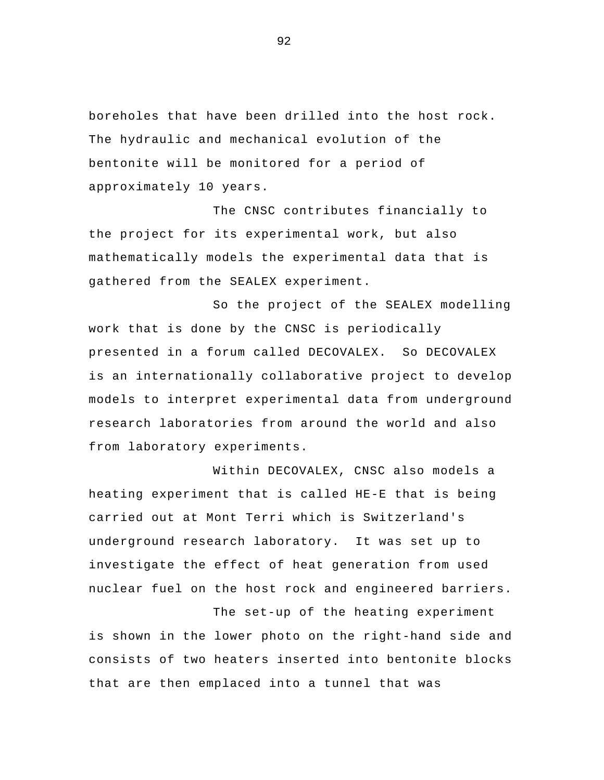boreholes that have been drilled into the host rock. The hydraulic and mechanical evolution of the bentonite will be monitored for a period of approximately 10 years.

The CNSC contributes financially to the project for its experimental work, but also mathematically models the experimental data that is gathered from the SEALEX experiment.

So the project of the SEALEX modelling work that is done by the CNSC is periodically presented in a forum called DECOVALEX. So DECOVALEX is an internationally collaborative project to develop models to interpret experimental data from underground research laboratories from around the world and also from laboratory experiments.

 Within DECOVALEX, CNSC also models a heating experiment that is called HE-E that is being carried out at Mont Terri which is Switzerland's underground research laboratory. It was set up to investigate the effect of heat generation from used nuclear fuel on the host rock and engineered barriers.

The set-up of the heating experiment is shown in the lower photo on the right-hand side and consists of two heaters inserted into bentonite blocks that are then emplaced into a tunnel that was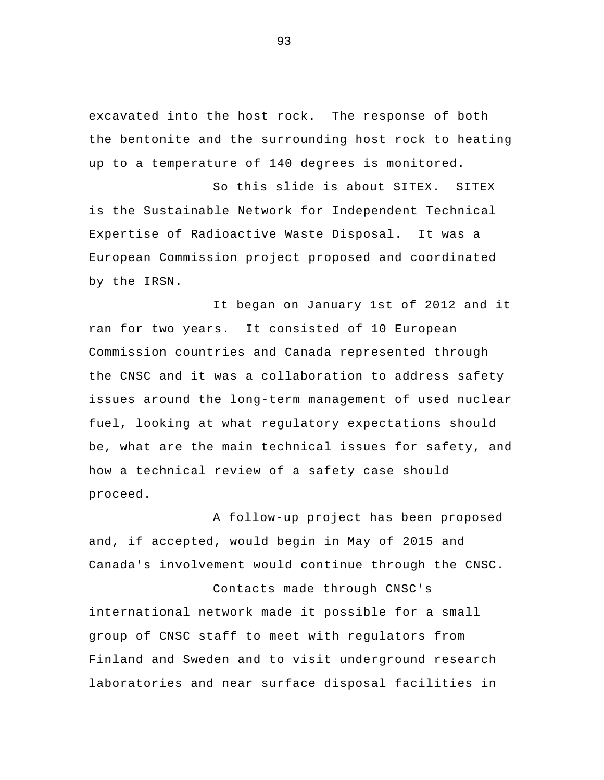excavated into the host rock. The response of both the bentonite and the surrounding host rock to heating up to a temperature of 140 degrees is monitored.

So this slide is about SITEX. SITEX is the Sustainable Network for Independent Technical Expertise of Radioactive Waste Disposal. It was a European Commission project proposed and coordinated by the IRSN.

It began on January 1st of 2012 and it ran for two years. It consisted of 10 European Commission countries and Canada represented through the CNSC and it was a collaboration to address safety issues around the long-term management of used nuclear fuel, looking at what regulatory expectations should be, what are the main technical issues for safety, and how a technical review of a safety case should proceed.

 A follow-up project has been proposed and, if accepted, would begin in May of 2015 and Canada's involvement would continue through the CNSC.

 Contacts made through CNSC's international network made it possible for a small group of CNSC staff to meet with regulators from Finland and Sweden and to visit underground research laboratories and near surface disposal facilities in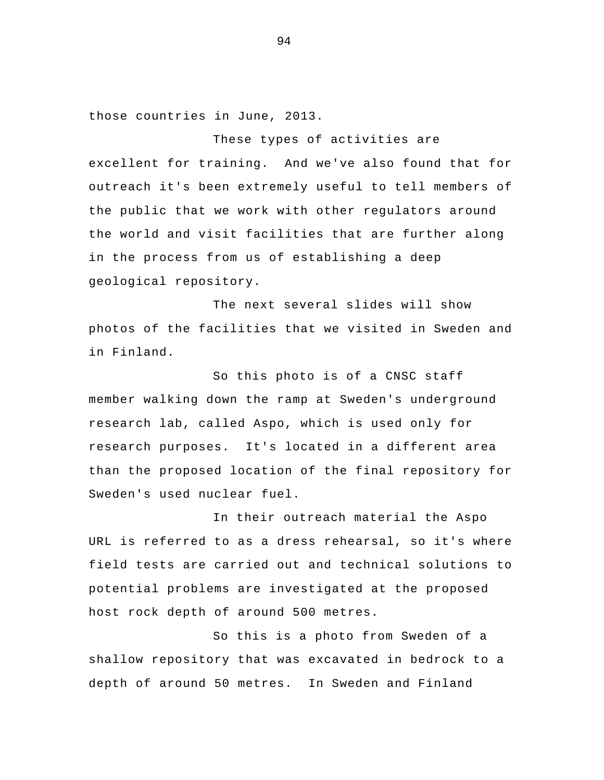those countries in June, 2013.

 These types of activities are excellent for training. And we've also found that for outreach it's been extremely useful to tell members of the public that we work with other regulators around the world and visit facilities that are further along in the process from us of establishing a deep geological repository.

The next several slides will show photos of the facilities that we visited in Sweden and in Finland.

So this photo is of a CNSC staff member walking down the ramp at Sweden's underground research lab, called Aspo, which is used only for research purposes. It's located in a different area than the proposed location of the final repository for Sweden's used nuclear fuel.

 In their outreach material the Aspo URL is referred to as a dress rehearsal, so it's where field tests are carried out and technical solutions to potential problems are investigated at the proposed host rock depth of around 500 metres.

So this is a photo from Sweden of a shallow repository that was excavated in bedrock to a depth of around 50 metres. In Sweden and Finland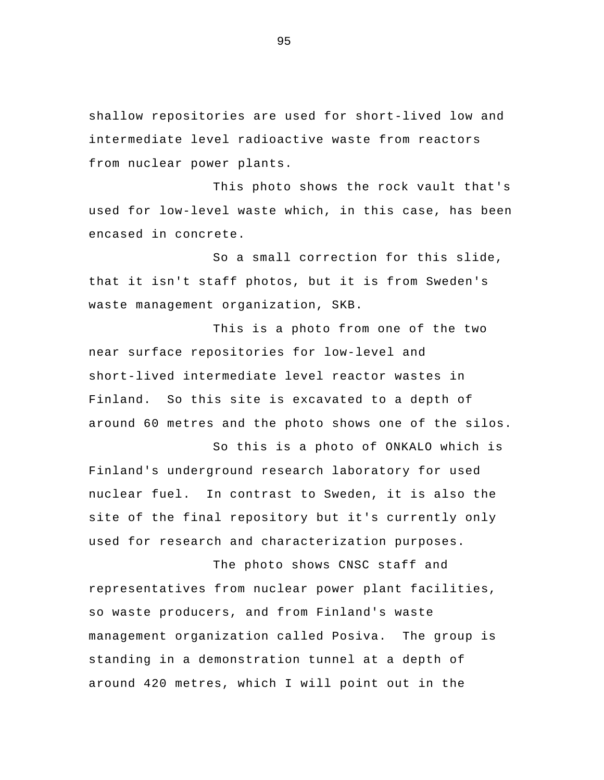shallow repositories are used for short-lived low and intermediate level radioactive waste from reactors from nuclear power plants.

This photo shows the rock vault that's used for low-level waste which, in this case, has been encased in concrete.

So a small correction for this slide, that it isn't staff photos, but it is from Sweden's waste management organization, SKB.

This is a photo from one of the two near surface repositories for low-level and short-lived intermediate level reactor wastes in Finland. So this site is excavated to a depth of around 60 metres and the photo shows one of the silos.

So this is a photo of ONKALO which is Finland's underground research laboratory for used nuclear fuel. In contrast to Sweden, it is also the site of the final repository but it's currently only used for research and characterization purposes.

 The photo shows CNSC staff and representatives from nuclear power plant facilities, so waste producers, and from Finland's waste management organization called Posiva. The group is standing in a demonstration tunnel at a depth of around 420 metres, which I will point out in the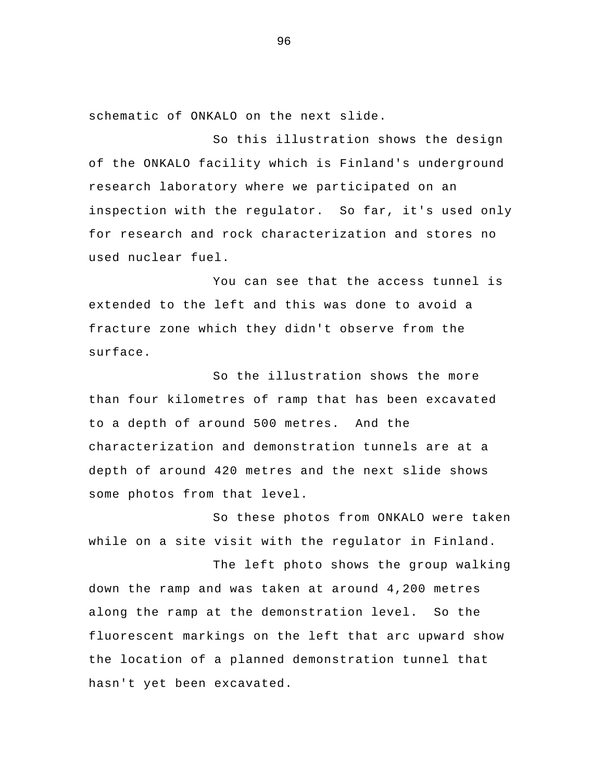schematic of ONKALO on the next slide.

 So this illustration shows the design of the ONKALO facility which is Finland's underground research laboratory where we participated on an inspection with the regulator. So far, it's used only for research and rock characterization and stores no used nuclear fuel.

You can see that the access tunnel is extended to the left and this was done to avoid a fracture zone which they didn't observe from the surface.

So the illustration shows the more than four kilometres of ramp that has been excavated to a depth of around 500 metres. And the characterization and demonstration tunnels are at a depth of around 420 metres and the next slide shows some photos from that level.

So these photos from ONKALO were taken while on a site visit with the regulator in Finland.

The left photo shows the group walking down the ramp and was taken at around 4,200 metres along the ramp at the demonstration level. So the fluorescent markings on the left that arc upward show the location of a planned demonstration tunnel that hasn't yet been excavated.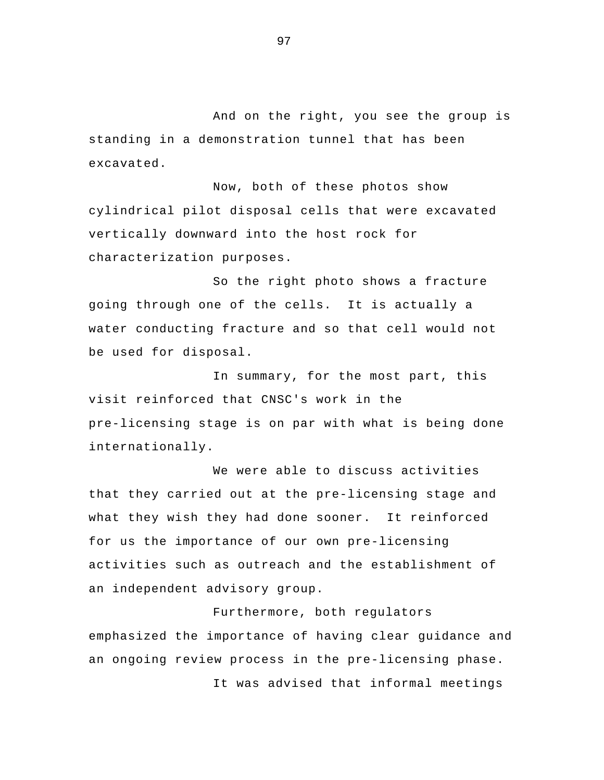And on the right, you see the group is standing in a demonstration tunnel that has been excavated.

Now, both of these photos show cylindrical pilot disposal cells that were excavated vertically downward into the host rock for characterization purposes.

So the right photo shows a fracture going through one of the cells. It is actually a water conducting fracture and so that cell would not be used for disposal.

In summary, for the most part, this visit reinforced that CNSC's work in the pre-licensing stage is on par with what is being done internationally.

We were able to discuss activities that they carried out at the pre-licensing stage and what they wish they had done sooner. It reinforced for us the importance of our own pre-licensing activities such as outreach and the establishment of an independent advisory group.

 Furthermore, both regulators emphasized the importance of having clear guidance and an ongoing review process in the pre-licensing phase. It was advised that informal meetings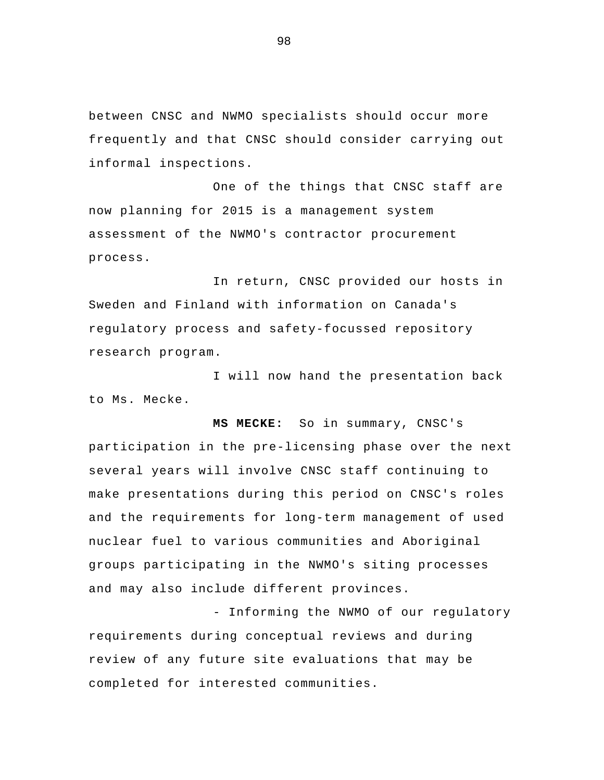between CNSC and NWMO specialists should occur more frequently and that CNSC should consider carrying out informal inspections.

One of the things that CNSC staff are now planning for 2015 is a management system assessment of the NWMO's contractor procurement process.

In return, CNSC provided our hosts in Sweden and Finland with information on Canada's regulatory process and safety-focussed repository research program.

I will now hand the presentation back to Ms. Mecke.

**MS MECKE:** So in summary, CNSC's participation in the pre-licensing phase over the next several years will involve CNSC staff continuing to make presentations during this period on CNSC's roles and the requirements for long-term management of used nuclear fuel to various communities and Aboriginal groups participating in the NWMO's siting processes and may also include different provinces.

- Informing the NWMO of our regulatory requirements during conceptual reviews and during review of any future site evaluations that may be completed for interested communities.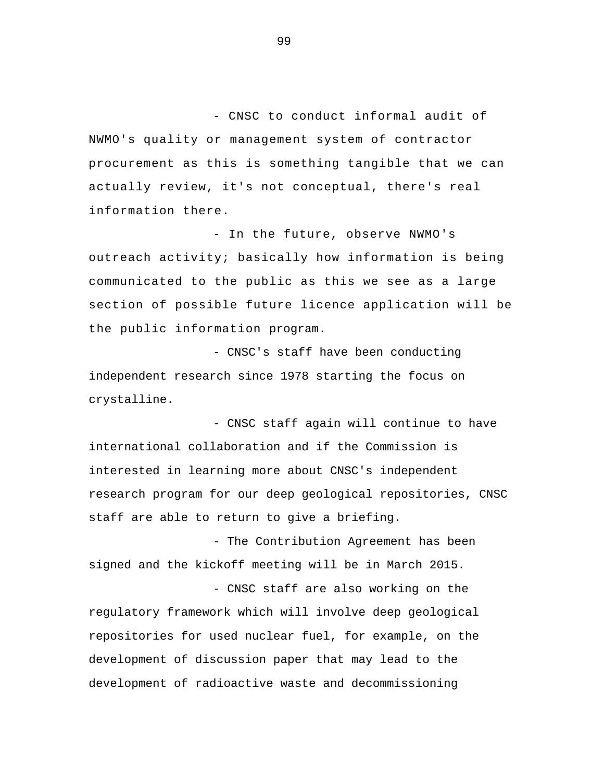- CNSC to conduct informal audit of NWMO's quality or management system of contractor procurement as this is something tangible that we can actually review, it's not conceptual, there's real information there.

- In the future, observe NWMO's outreach activity; basically how information is being communicated to the public as this we see as a large section of possible future licence application will be the public information program.

- CNSC's staff have been conducting independent research since 1978 starting the focus on crystalline.

- CNSC staff again will continue to have international collaboration and if the Commission is interested in learning more about CNSC's independent research program for our deep geological repositories, CNSC staff are able to return to give a briefing.

- The Contribution Agreement has been signed and the kickoff meeting will be in March 2015.

- CNSC staff are also working on the regulatory framework which will involve deep geological repositories for used nuclear fuel, for example, on the development of discussion paper that may lead to the development of radioactive waste and decommissioning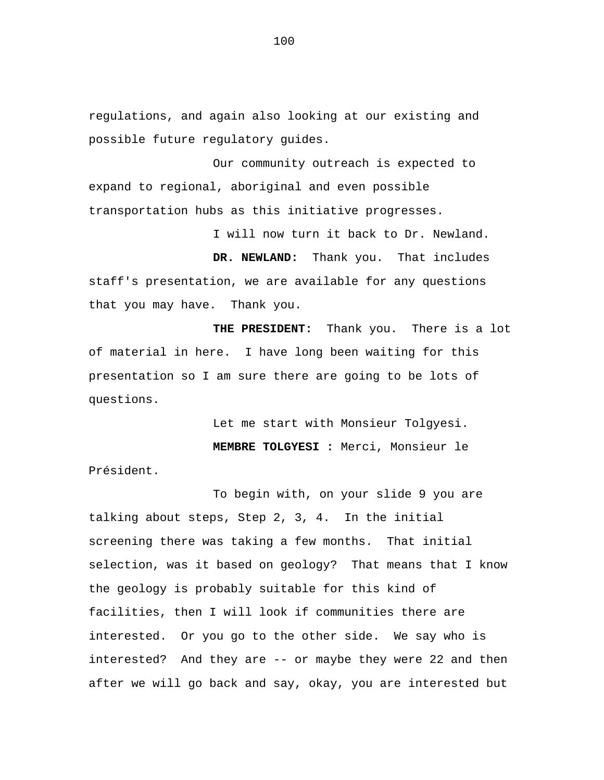regulations, and again also looking at our existing and possible future regulatory guides.

Our community outreach is expected to expand to regional, aboriginal and even possible transportation hubs as this initiative progresses.

I will now turn it back to Dr. Newland.

**DR. NEWLAND:** Thank you. That includes staff's presentation, we are available for any questions that you may have. Thank you.

**THE PRESIDENT:** Thank you. There is a lot of material in here. I have long been waiting for this presentation so I am sure there are going to be lots of questions.

Let me start with Monsieur Tolgyesi.

**MEMBRE TOLGYESI :** Merci, Monsieur le

Président.

To begin with, on your slide 9 you are talking about steps, Step 2, 3, 4. In the initial screening there was taking a few months. That initial selection, was it based on geology? That means that I know the geology is probably suitable for this kind of facilities, then I will look if communities there are interested. Or you go to the other side. We say who is interested? And they are -- or maybe they were 22 and then after we will go back and say, okay, you are interested but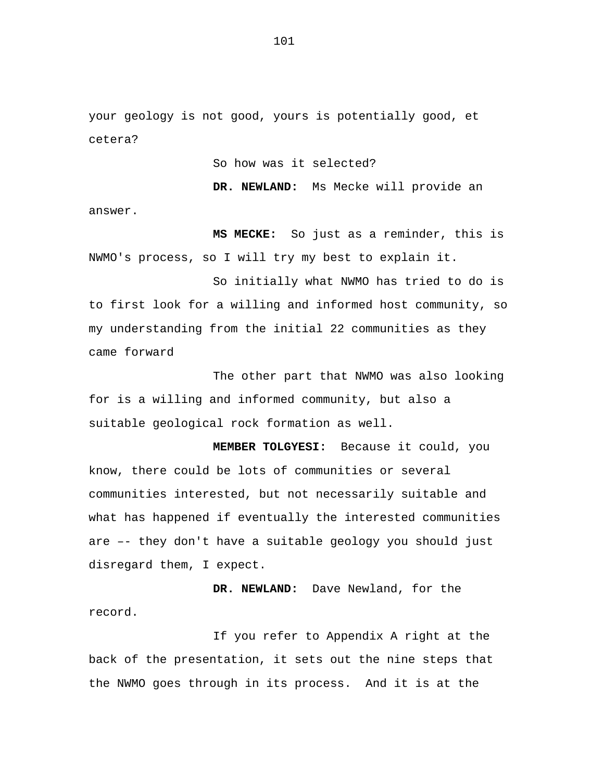your geology is not good, yours is potentially good, et cetera?

So how was it selected?

**DR. NEWLAND:** Ms Mecke will provide an answer.

**MS MECKE:** So just as a reminder, this is NWMO's process, so I will try my best to explain it.

So initially what NWMO has tried to do is to first look for a willing and informed host community, so my understanding from the initial 22 communities as they came forward

The other part that NWMO was also looking for is a willing and informed community, but also a suitable geological rock formation as well.

**MEMBER TOLGYESI:** Because it could, you know, there could be lots of communities or several communities interested, but not necessarily suitable and what has happened if eventually the interested communities are –- they don't have a suitable geology you should just disregard them, I expect.

**DR. NEWLAND:** Dave Newland, for the record.

If you refer to Appendix A right at the back of the presentation, it sets out the nine steps that the NWMO goes through in its process. And it is at the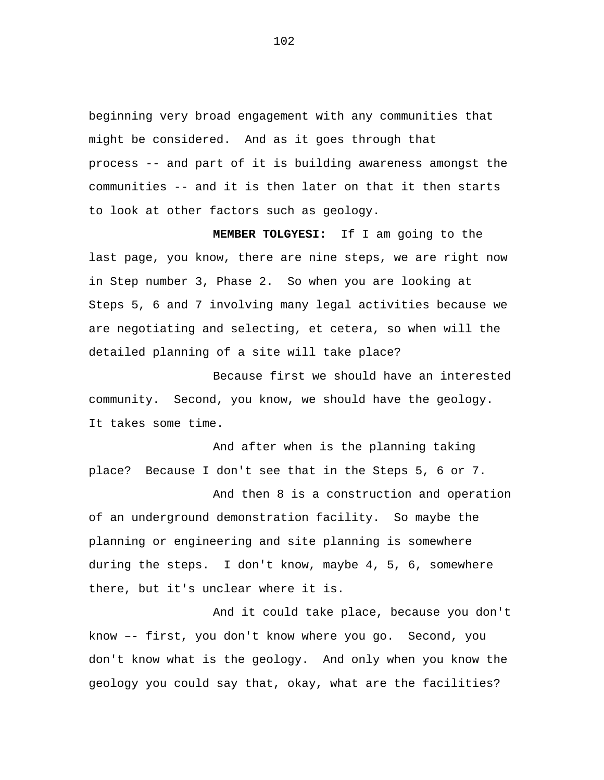beginning very broad engagement with any communities that might be considered. And as it goes through that process -- and part of it is building awareness amongst the communities -- and it is then later on that it then starts to look at other factors such as geology.

**MEMBER TOLGYESI:** If I am going to the last page, you know, there are nine steps, we are right now in Step number 3, Phase 2. So when you are looking at Steps 5, 6 and 7 involving many legal activities because we are negotiating and selecting, et cetera, so when will the detailed planning of a site will take place?

Because first we should have an interested community. Second, you know, we should have the geology. It takes some time.

And after when is the planning taking place? Because I don't see that in the Steps 5, 6 or 7.

And then 8 is a construction and operation of an underground demonstration facility. So maybe the planning or engineering and site planning is somewhere during the steps. I don't know, maybe 4, 5, 6, somewhere there, but it's unclear where it is.

And it could take place, because you don't know –- first, you don't know where you go. Second, you don't know what is the geology. And only when you know the geology you could say that, okay, what are the facilities?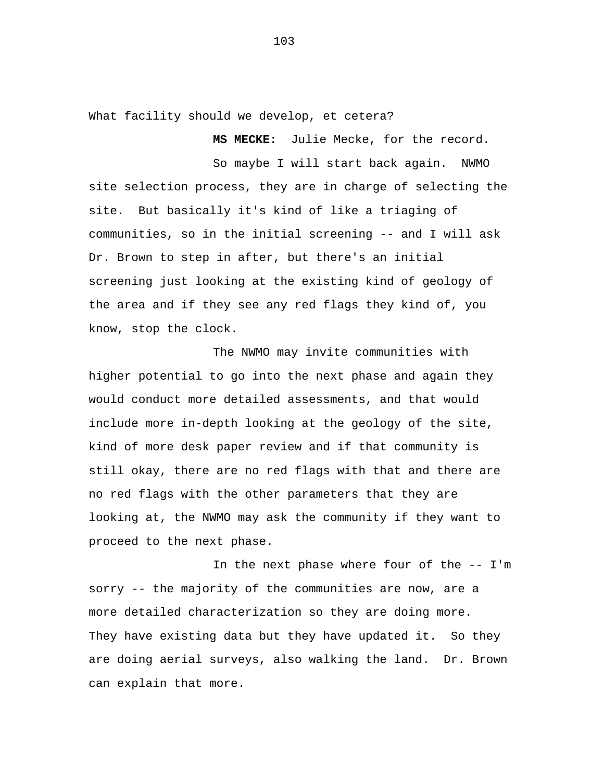What facility should we develop, et cetera?

**MS MECKE:** Julie Mecke, for the record.

So maybe I will start back again. NWMO site selection process, they are in charge of selecting the site. But basically it's kind of like a triaging of communities, so in the initial screening -- and I will ask Dr. Brown to step in after, but there's an initial screening just looking at the existing kind of geology of the area and if they see any red flags they kind of, you know, stop the clock.

The NWMO may invite communities with higher potential to go into the next phase and again they would conduct more detailed assessments, and that would include more in-depth looking at the geology of the site, kind of more desk paper review and if that community is still okay, there are no red flags with that and there are no red flags with the other parameters that they are looking at, the NWMO may ask the community if they want to proceed to the next phase.

In the next phase where four of the -- I'm sorry -- the majority of the communities are now, are a more detailed characterization so they are doing more. They have existing data but they have updated it. So they are doing aerial surveys, also walking the land. Dr. Brown can explain that more.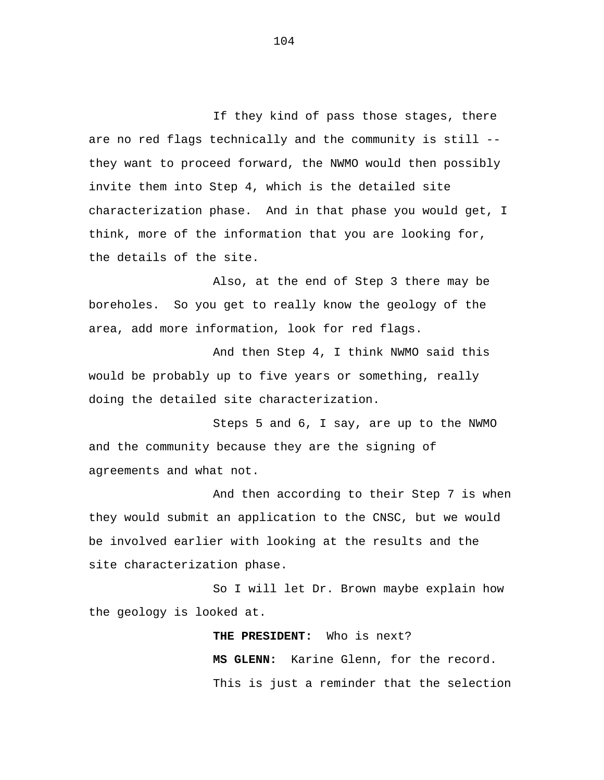If they kind of pass those stages, there are no red flags technically and the community is still - they want to proceed forward, the NWMO would then possibly invite them into Step 4, which is the detailed site characterization phase. And in that phase you would get, I think, more of the information that you are looking for, the details of the site.

Also, at the end of Step 3 there may be boreholes. So you get to really know the geology of the area, add more information, look for red flags.

And then Step 4, I think NWMO said this would be probably up to five years or something, really doing the detailed site characterization.

Steps 5 and 6, I say, are up to the NWMO and the community because they are the signing of agreements and what not.

And then according to their Step 7 is when they would submit an application to the CNSC, but we would be involved earlier with looking at the results and the site characterization phase.

So I will let Dr. Brown maybe explain how the geology is looked at.

> **THE PRESIDENT:** Who is next? **MS GLENN:** Karine Glenn, for the record. This is just a reminder that the selection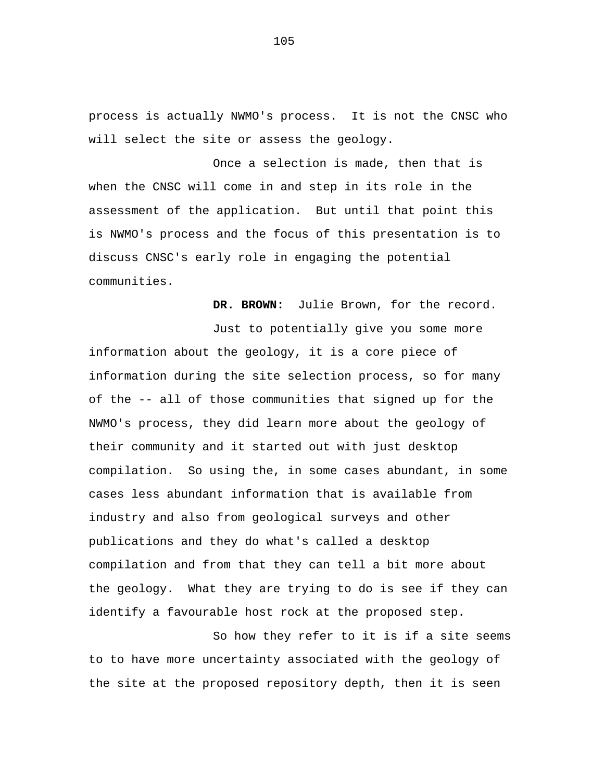process is actually NWMO's process. It is not the CNSC who will select the site or assess the geology.

Once a selection is made, then that is when the CNSC will come in and step in its role in the assessment of the application. But until that point this is NWMO's process and the focus of this presentation is to discuss CNSC's early role in engaging the potential communities.

**DR. BROWN:** Julie Brown, for the record.

Just to potentially give you some more information about the geology, it is a core piece of information during the site selection process, so for many of the -- all of those communities that signed up for the NWMO's process, they did learn more about the geology of their community and it started out with just desktop compilation. So using the, in some cases abundant, in some cases less abundant information that is available from industry and also from geological surveys and other publications and they do what's called a desktop compilation and from that they can tell a bit more about the geology. What they are trying to do is see if they can identify a favourable host rock at the proposed step.

So how they refer to it is if a site seems to to have more uncertainty associated with the geology of the site at the proposed repository depth, then it is seen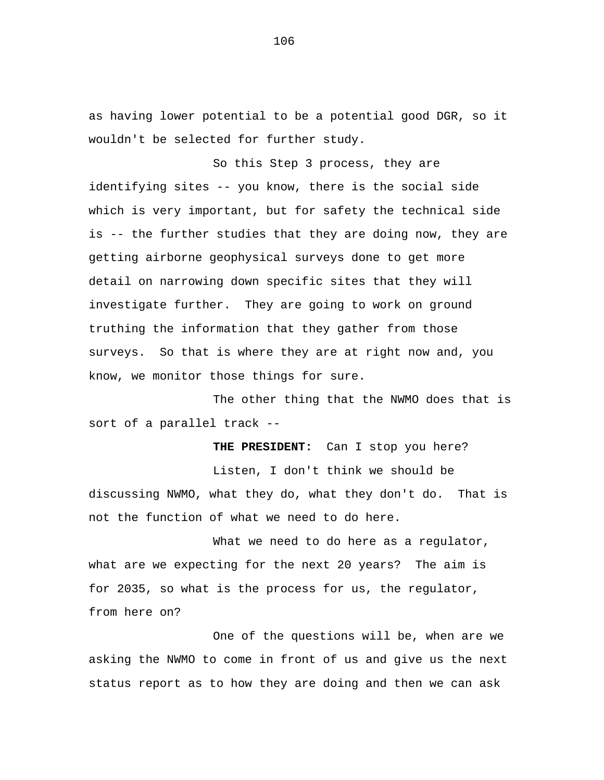as having lower potential to be a potential good DGR, so it wouldn't be selected for further study.

So this Step 3 process, they are identifying sites -- you know, there is the social side which is very important, but for safety the technical side is -- the further studies that they are doing now, they are getting airborne geophysical surveys done to get more detail on narrowing down specific sites that they will investigate further. They are going to work on ground truthing the information that they gather from those surveys. So that is where they are at right now and, you know, we monitor those things for sure.

The other thing that the NWMO does that is sort of a parallel track --

**THE PRESIDENT:** Can I stop you here? Listen, I don't think we should be discussing NWMO, what they do, what they don't do. That is not the function of what we need to do here.

What we need to do here as a regulator, what are we expecting for the next 20 years? The aim is for 2035, so what is the process for us, the regulator, from here on?

One of the questions will be, when are we asking the NWMO to come in front of us and give us the next status report as to how they are doing and then we can ask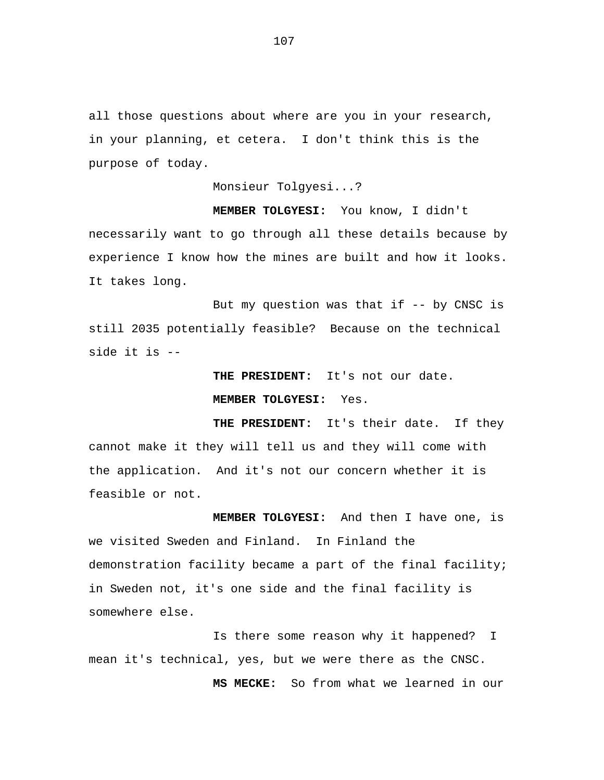all those questions about where are you in your research, in your planning, et cetera. I don't think this is the purpose of today.

Monsieur Tolgyesi...?

**MEMBER TOLGYESI:** You know, I didn't necessarily want to go through all these details because by experience I know how the mines are built and how it looks. It takes long.

But my question was that if -- by CNSC is still 2035 potentially feasible? Because on the technical side it is --

> **THE PRESIDENT:** It's not our date. **MEMBER TOLGYESI:** Yes.

**THE PRESIDENT:** It's their date. If they cannot make it they will tell us and they will come with the application. And it's not our concern whether it is feasible or not.

 **MEMBER TOLGYESI:** And then I have one, is we visited Sweden and Finland. In Finland the demonstration facility became a part of the final facility; in Sweden not, it's one side and the final facility is somewhere else.

Is there some reason why it happened? I mean it's technical, yes, but we were there as the CNSC.

**MS MECKE:** So from what we learned in our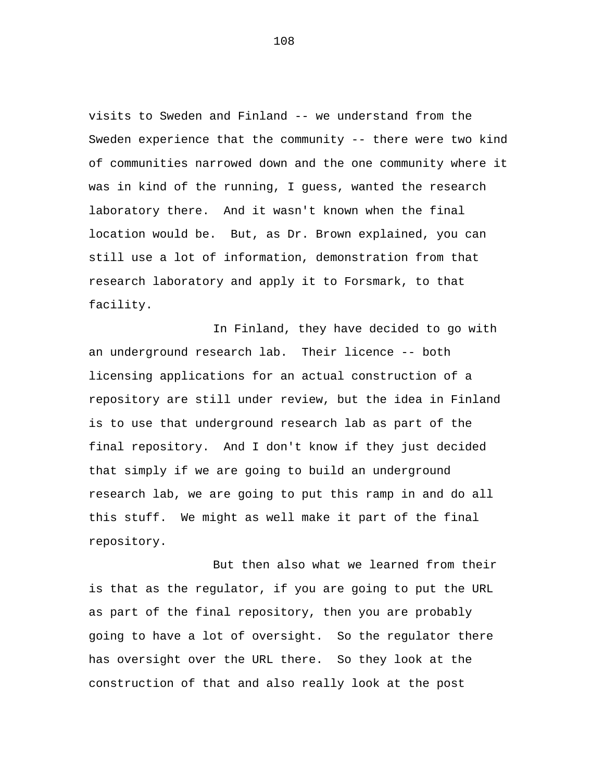visits to Sweden and Finland -- we understand from the Sweden experience that the community -- there were two kind of communities narrowed down and the one community where it was in kind of the running, I guess, wanted the research laboratory there. And it wasn't known when the final location would be. But, as Dr. Brown explained, you can still use a lot of information, demonstration from that research laboratory and apply it to Forsmark, to that facility.

In Finland, they have decided to go with an underground research lab. Their licence -- both licensing applications for an actual construction of a repository are still under review, but the idea in Finland is to use that underground research lab as part of the final repository. And I don't know if they just decided that simply if we are going to build an underground research lab, we are going to put this ramp in and do all this stuff. We might as well make it part of the final repository.

But then also what we learned from their is that as the regulator, if you are going to put the URL as part of the final repository, then you are probably going to have a lot of oversight. So the regulator there has oversight over the URL there. So they look at the construction of that and also really look at the post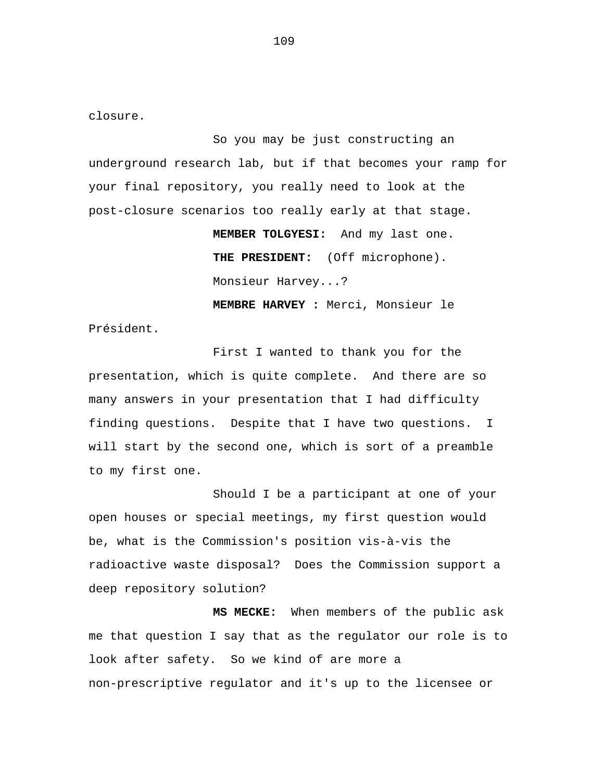closure.

So you may be just constructing an underground research lab, but if that becomes your ramp for your final repository, you really need to look at the post-closure scenarios too really early at that stage.

> **MEMBER TOLGYESI:** And my last one. **THE PRESIDENT:** (Off microphone). Monsieur Harvey...?

> **MEMBRE HARVEY :** Merci, Monsieur le

Président.

First I wanted to thank you for the presentation, which is quite complete. And there are so many answers in your presentation that I had difficulty finding questions. Despite that I have two questions. I will start by the second one, which is sort of a preamble to my first one.

Should I be a participant at one of your open houses or special meetings, my first question would be, what is the Commission's position vis-à-vis the radioactive waste disposal? Does the Commission support a deep repository solution?

**MS MECKE:** When members of the public ask me that question I say that as the regulator our role is to look after safety. So we kind of are more a non-prescriptive regulator and it's up to the licensee or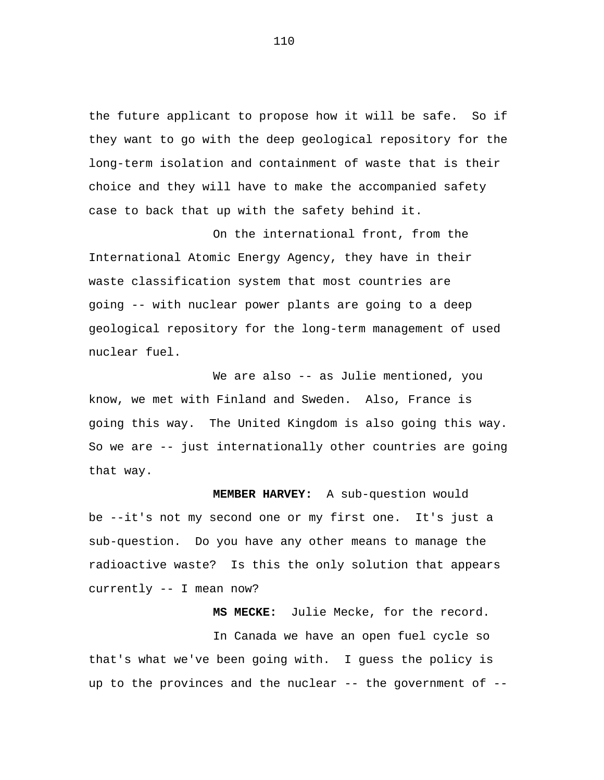the future applicant to propose how it will be safe. So if they want to go with the deep geological repository for the long-term isolation and containment of waste that is their choice and they will have to make the accompanied safety case to back that up with the safety behind it.

On the international front, from the International Atomic Energy Agency, they have in their waste classification system that most countries are going -- with nuclear power plants are going to a deep geological repository for the long-term management of used nuclear fuel.

We are also -- as Julie mentioned, you know, we met with Finland and Sweden. Also, France is going this way. The United Kingdom is also going this way. So we are -- just internationally other countries are going that way.

**MEMBER HARVEY:** A sub-question would be --it's not my second one or my first one. It's just a sub-question. Do you have any other means to manage the radioactive waste? Is this the only solution that appears currently -- I mean now?

**MS MECKE:** Julie Mecke, for the record.

In Canada we have an open fuel cycle so that's what we've been going with. I guess the policy is up to the provinces and the nuclear  $-$ - the government of  $-$ -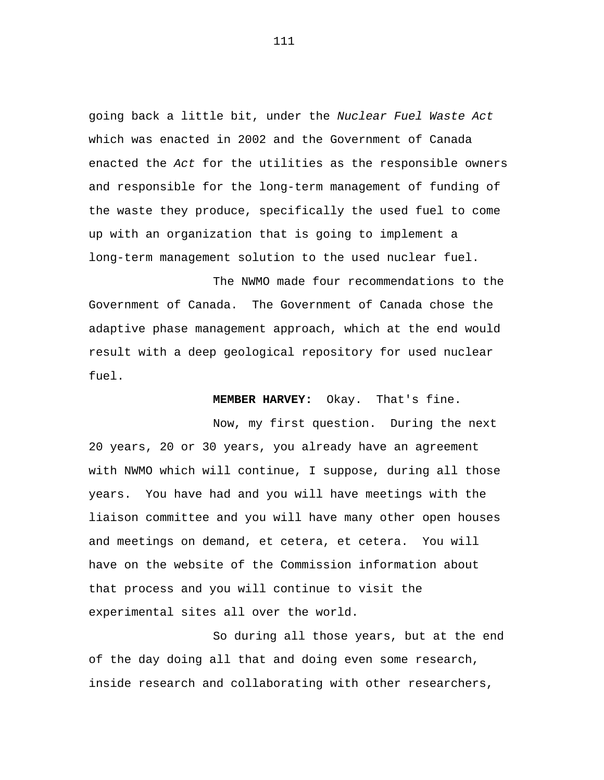going back a little bit, under the *Nuclear Fuel Waste Act*  which was enacted in 2002 and the Government of Canada enacted the *Act* for the utilities as the responsible owners and responsible for the long-term management of funding of the waste they produce, specifically the used fuel to come up with an organization that is going to implement a long-term management solution to the used nuclear fuel.

The NWMO made four recommendations to the Government of Canada. The Government of Canada chose the adaptive phase management approach, which at the end would result with a deep geological repository for used nuclear fuel.

**MEMBER HARVEY:** Okay. That's fine.

Now, my first question. During the next 20 years, 20 or 30 years, you already have an agreement with NWMO which will continue, I suppose, during all those years. You have had and you will have meetings with the liaison committee and you will have many other open houses and meetings on demand, et cetera, et cetera. You will have on the website of the Commission information about that process and you will continue to visit the experimental sites all over the world.

So during all those years, but at the end of the day doing all that and doing even some research, inside research and collaborating with other researchers,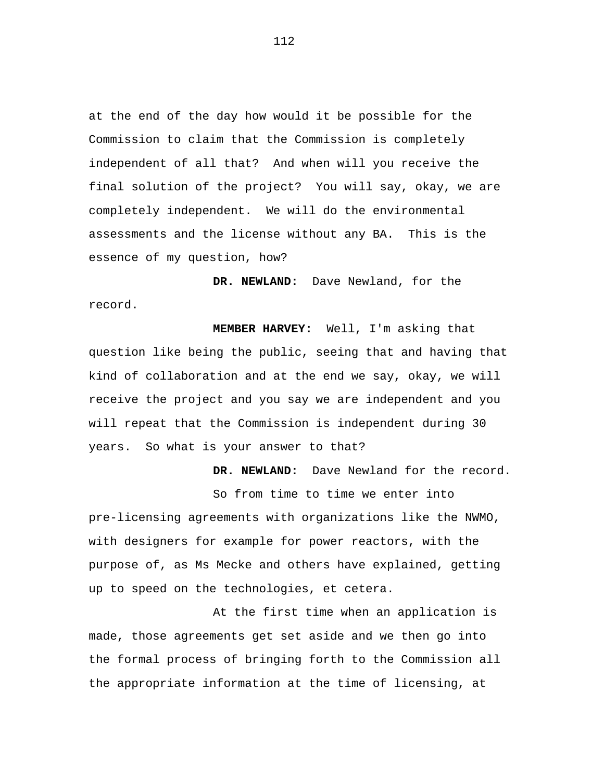at the end of the day how would it be possible for the Commission to claim that the Commission is completely independent of all that? And when will you receive the final solution of the project? You will say, okay, we are completely independent. We will do the environmental assessments and the license without any BA. This is the essence of my question, how?

**DR. NEWLAND:** Dave Newland, for the record.

**MEMBER HARVEY:** Well, I'm asking that question like being the public, seeing that and having that kind of collaboration and at the end we say, okay, we will receive the project and you say we are independent and you will repeat that the Commission is independent during 30 years. So what is your answer to that?

**DR. NEWLAND:** Dave Newland for the record.

So from time to time we enter into pre-licensing agreements with organizations like the NWMO, with designers for example for power reactors, with the purpose of, as Ms Mecke and others have explained, getting up to speed on the technologies, et cetera.

At the first time when an application is made, those agreements get set aside and we then go into the formal process of bringing forth to the Commission all the appropriate information at the time of licensing, at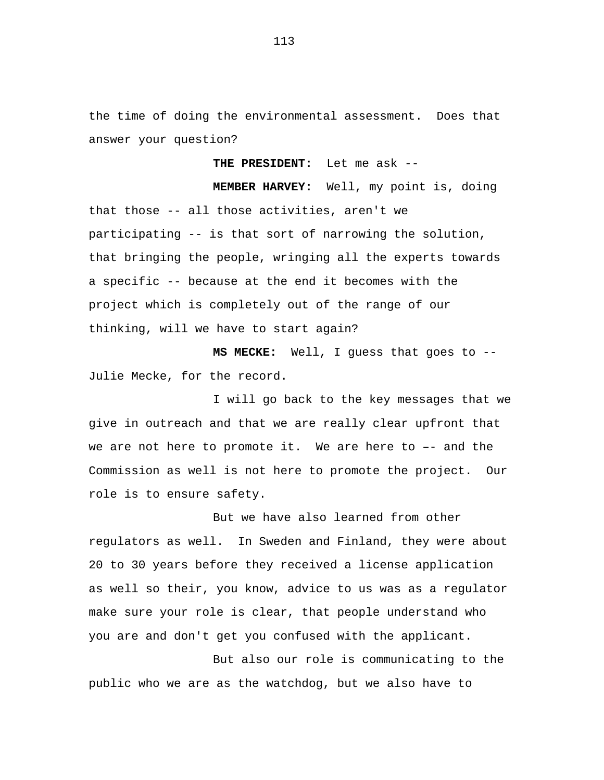the time of doing the environmental assessment. Does that answer your question?

**THE PRESIDENT:** Let me ask --

**MEMBER HARVEY:** Well, my point is, doing that those -- all those activities, aren't we participating -- is that sort of narrowing the solution, that bringing the people, wringing all the experts towards a specific -- because at the end it becomes with the project which is completely out of the range of our thinking, will we have to start again?

**MS MECKE:** Well, I guess that goes to -- Julie Mecke, for the record.

I will go back to the key messages that we give in outreach and that we are really clear upfront that we are not here to promote it. We are here to –- and the Commission as well is not here to promote the project. Our role is to ensure safety.

But we have also learned from other regulators as well. In Sweden and Finland, they were about 20 to 30 years before they received a license application as well so their, you know, advice to us was as a regulator make sure your role is clear, that people understand who you are and don't get you confused with the applicant.

But also our role is communicating to the public who we are as the watchdog, but we also have to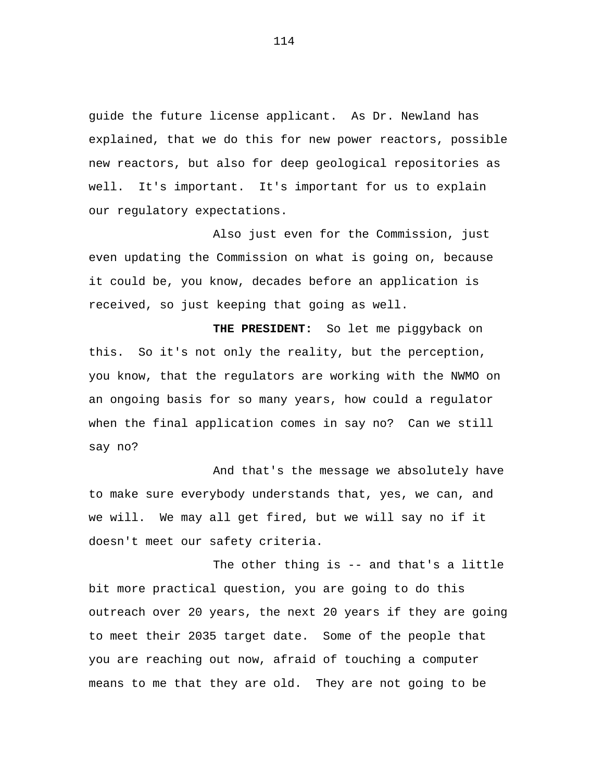guide the future license applicant. As Dr. Newland has explained, that we do this for new power reactors, possible new reactors, but also for deep geological repositories as well. It's important. It's important for us to explain our regulatory expectations.

Also just even for the Commission, just even updating the Commission on what is going on, because it could be, you know, decades before an application is received, so just keeping that going as well.

**THE PRESIDENT:** So let me piggyback on this. So it's not only the reality, but the perception, you know, that the regulators are working with the NWMO on an ongoing basis for so many years, how could a regulator when the final application comes in say no? Can we still say no?

And that's the message we absolutely have to make sure everybody understands that, yes, we can, and we will. We may all get fired, but we will say no if it doesn't meet our safety criteria.

The other thing is -- and that's a little bit more practical question, you are going to do this outreach over 20 years, the next 20 years if they are going to meet their 2035 target date. Some of the people that you are reaching out now, afraid of touching a computer means to me that they are old. They are not going to be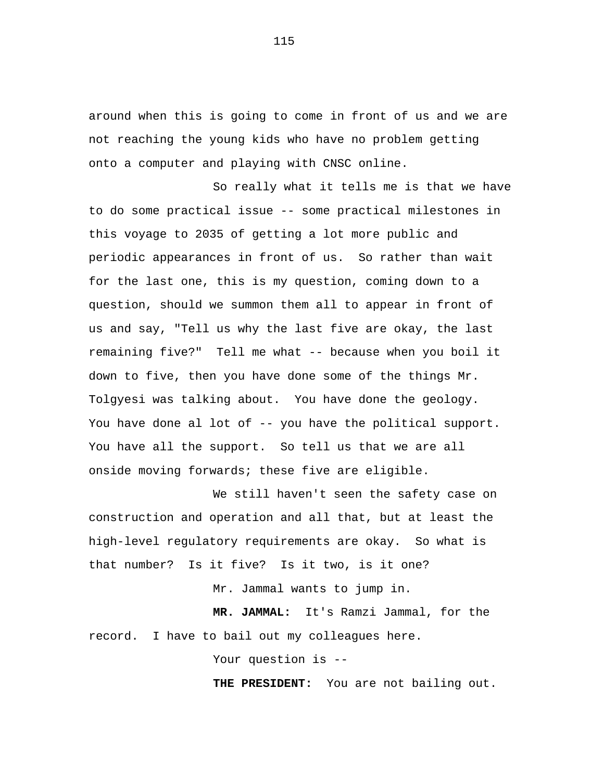around when this is going to come in front of us and we are not reaching the young kids who have no problem getting onto a computer and playing with CNSC online.

So really what it tells me is that we have to do some practical issue -- some practical milestones in this voyage to 2035 of getting a lot more public and periodic appearances in front of us. So rather than wait for the last one, this is my question, coming down to a question, should we summon them all to appear in front of us and say, "Tell us why the last five are okay, the last remaining five?" Tell me what -- because when you boil it down to five, then you have done some of the things Mr. Tolgyesi was talking about. You have done the geology. You have done al lot of -- you have the political support. You have all the support. So tell us that we are all onside moving forwards; these five are eligible.

We still haven't seen the safety case on construction and operation and all that, but at least the high-level regulatory requirements are okay. So what is that number? Is it five? Is it two, is it one?

Mr. Jammal wants to jump in.

**MR. JAMMAL:** It's Ramzi Jammal, for the record. I have to bail out my colleagues here.

Your question is --

**THE PRESIDENT:** You are not bailing out.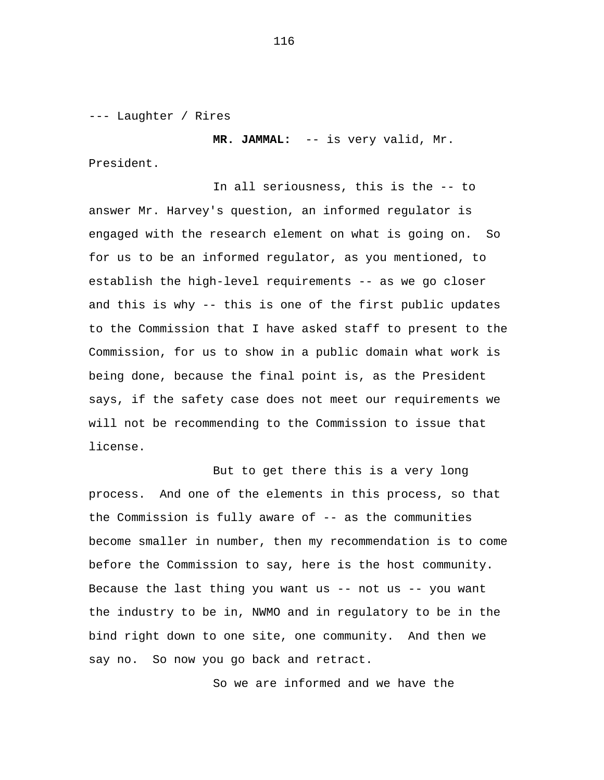--- Laughter / Rires

**MR. JAMMAL:** -- is very valid, Mr.

President.

In all seriousness, this is the -- to answer Mr. Harvey's question, an informed regulator is engaged with the research element on what is going on. So for us to be an informed regulator, as you mentioned, to establish the high-level requirements -- as we go closer and this is why -- this is one of the first public updates to the Commission that I have asked staff to present to the Commission, for us to show in a public domain what work is being done, because the final point is, as the President says, if the safety case does not meet our requirements we will not be recommending to the Commission to issue that license.

But to get there this is a very long process. And one of the elements in this process, so that the Commission is fully aware of -- as the communities become smaller in number, then my recommendation is to come before the Commission to say, here is the host community. Because the last thing you want us  $--$  not us  $--$  you want the industry to be in, NWMO and in regulatory to be in the bind right down to one site, one community. And then we say no. So now you go back and retract.

So we are informed and we have the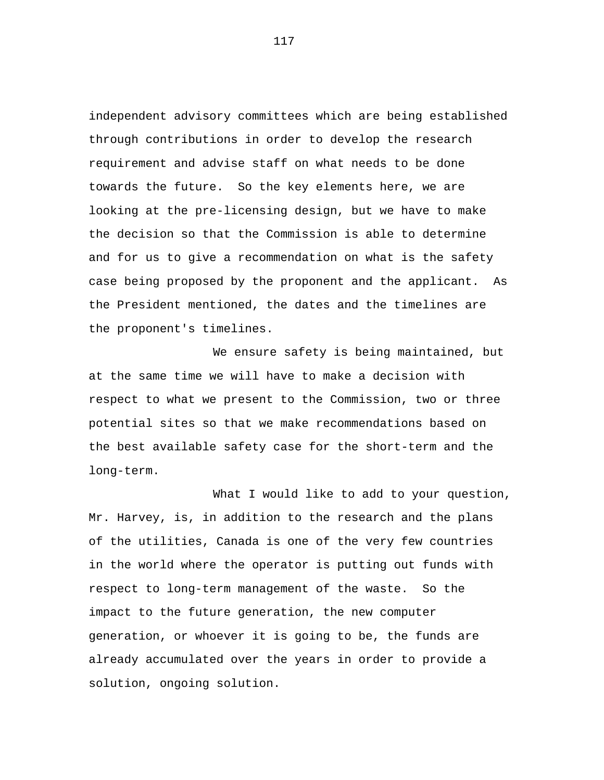independent advisory committees which are being established through contributions in order to develop the research requirement and advise staff on what needs to be done towards the future. So the key elements here, we are looking at the pre-licensing design, but we have to make the decision so that the Commission is able to determine and for us to give a recommendation on what is the safety case being proposed by the proponent and the applicant. As the President mentioned, the dates and the timelines are the proponent's timelines.

We ensure safety is being maintained, but at the same time we will have to make a decision with respect to what we present to the Commission, two or three potential sites so that we make recommendations based on the best available safety case for the short-term and the long-term.

What I would like to add to your question, Mr. Harvey, is, in addition to the research and the plans of the utilities, Canada is one of the very few countries in the world where the operator is putting out funds with respect to long-term management of the waste. So the impact to the future generation, the new computer generation, or whoever it is going to be, the funds are already accumulated over the years in order to provide a solution, ongoing solution.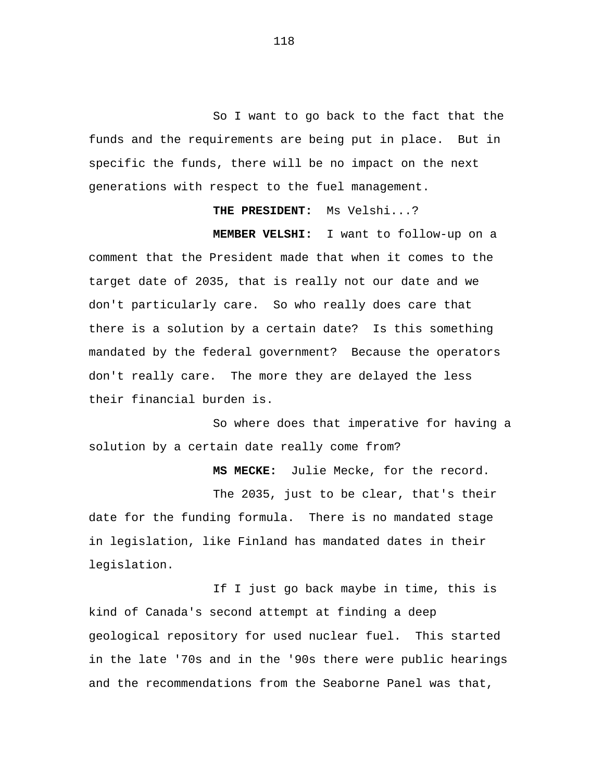So I want to go back to the fact that the funds and the requirements are being put in place. But in specific the funds, there will be no impact on the next generations with respect to the fuel management.

**THE PRESIDENT:** Ms Velshi...?

**MEMBER VELSHI:** I want to follow-up on a comment that the President made that when it comes to the target date of 2035, that is really not our date and we don't particularly care. So who really does care that there is a solution by a certain date? Is this something mandated by the federal government? Because the operators don't really care. The more they are delayed the less their financial burden is.

So where does that imperative for having a solution by a certain date really come from?

**MS MECKE:** Julie Mecke, for the record.

The 2035, just to be clear, that's their date for the funding formula. There is no mandated stage in legislation, like Finland has mandated dates in their legislation.

If I just go back maybe in time, this is kind of Canada's second attempt at finding a deep geological repository for used nuclear fuel. This started in the late '70s and in the '90s there were public hearings and the recommendations from the Seaborne Panel was that,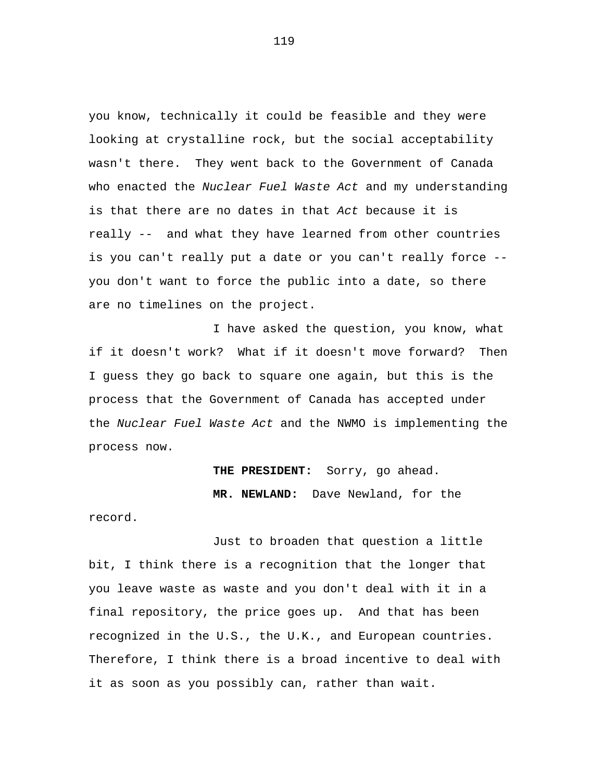you know, technically it could be feasible and they were looking at crystalline rock, but the social acceptability wasn't there. They went back to the Government of Canada who enacted the *Nuclear Fuel Waste Act* and my understanding is that there are no dates in that *Act* because it is really -- and what they have learned from other countries is you can't really put a date or you can't really force - you don't want to force the public into a date, so there are no timelines on the project.

I have asked the question, you know, what if it doesn't work? What if it doesn't move forward? Then I guess they go back to square one again, but this is the process that the Government of Canada has accepted under the *Nuclear Fuel Waste Act* and the NWMO is implementing the process now.

> **THE PRESIDENT:** Sorry, go ahead. **MR. NEWLAND:** Dave Newland, for the

record.

Just to broaden that question a little bit, I think there is a recognition that the longer that you leave waste as waste and you don't deal with it in a final repository, the price goes up. And that has been recognized in the U.S., the U.K., and European countries. Therefore, I think there is a broad incentive to deal with it as soon as you possibly can, rather than wait.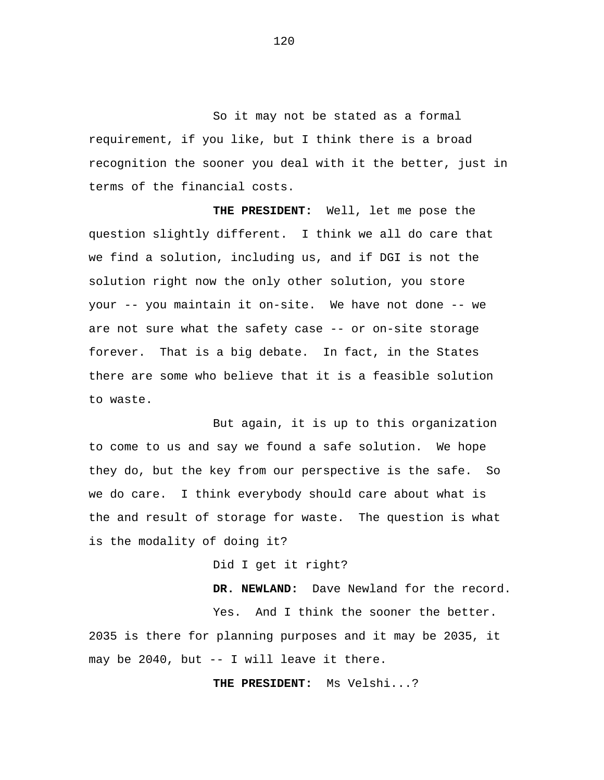So it may not be stated as a formal requirement, if you like, but I think there is a broad recognition the sooner you deal with it the better, just in terms of the financial costs.

**THE PRESIDENT:** Well, let me pose the question slightly different. I think we all do care that we find a solution, including us, and if DGI is not the solution right now the only other solution, you store your -- you maintain it on-site. We have not done -- we are not sure what the safety case -- or on-site storage forever. That is a big debate. In fact, in the States there are some who believe that it is a feasible solution to waste.

But again, it is up to this organization to come to us and say we found a safe solution. We hope they do, but the key from our perspective is the safe. So we do care. I think everybody should care about what is the and result of storage for waste. The question is what is the modality of doing it?

Did I get it right?

**DR. NEWLAND:** Dave Newland for the record. Yes. And I think the sooner the better. 2035 is there for planning purposes and it may be 2035, it

may be 2040, but -- I will leave it there.

**THE PRESIDENT:** Ms Velshi...?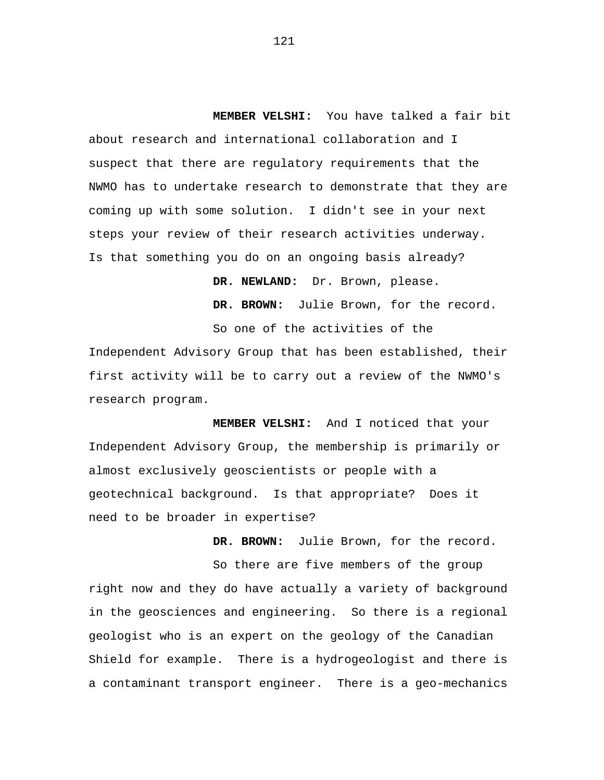**MEMBER VELSHI:** You have talked a fair bit about research and international collaboration and I suspect that there are regulatory requirements that the NWMO has to undertake research to demonstrate that they are coming up with some solution. I didn't see in your next steps your review of their research activities underway. Is that something you do on an ongoing basis already?

**DR. NEWLAND:** Dr. Brown, please.

**DR. BROWN:** Julie Brown, for the record.

So one of the activities of the Independent Advisory Group that has been established, their first activity will be to carry out a review of the NWMO's research program.

**MEMBER VELSHI:** And I noticed that your Independent Advisory Group, the membership is primarily or almost exclusively geoscientists or people with a geotechnical background. Is that appropriate? Does it need to be broader in expertise?

**DR. BROWN:** Julie Brown, for the record.

So there are five members of the group right now and they do have actually a variety of background in the geosciences and engineering. So there is a regional geologist who is an expert on the geology of the Canadian Shield for example. There is a hydrogeologist and there is a contaminant transport engineer. There is a geo-mechanics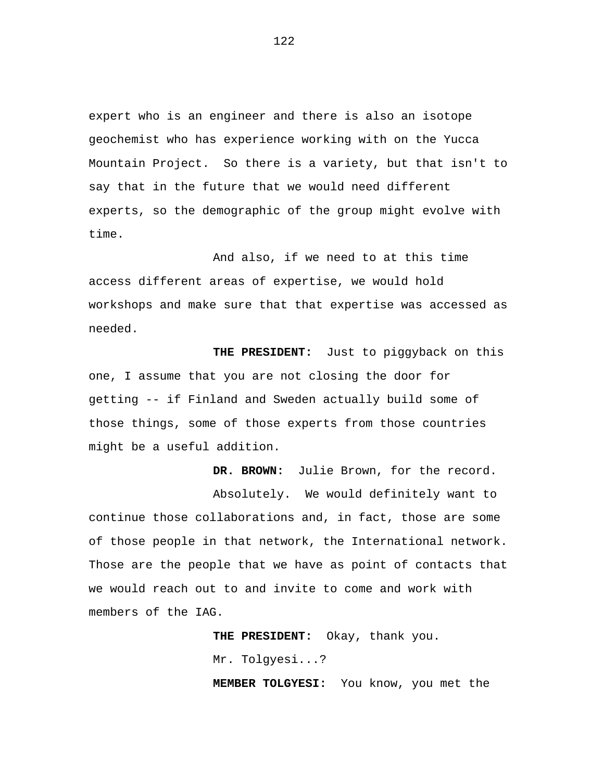expert who is an engineer and there is also an isotope geochemist who has experience working with on the Yucca Mountain Project. So there is a variety, but that isn't to say that in the future that we would need different experts, so the demographic of the group might evolve with time.

And also, if we need to at this time access different areas of expertise, we would hold workshops and make sure that that expertise was accessed as needed.

**THE PRESIDENT:** Just to piggyback on this one, I assume that you are not closing the door for getting -- if Finland and Sweden actually build some of those things, some of those experts from those countries might be a useful addition.

**DR. BROWN:** Julie Brown, for the record.

Absolutely. We would definitely want to continue those collaborations and, in fact, those are some of those people in that network, the International network. Those are the people that we have as point of contacts that we would reach out to and invite to come and work with members of the IAG.

> **THE PRESIDENT:** Okay, thank you. Mr. Tolgyesi...?

**MEMBER TOLGYESI:** You know, you met the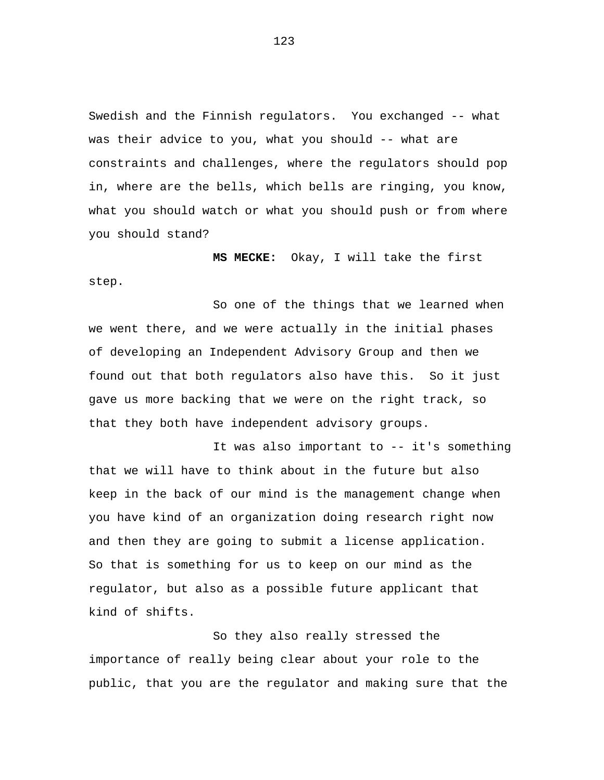Swedish and the Finnish regulators. You exchanged -- what was their advice to you, what you should -- what are constraints and challenges, where the regulators should pop in, where are the bells, which bells are ringing, you know, what you should watch or what you should push or from where you should stand?

**MS MECKE:** Okay, I will take the first step.

So one of the things that we learned when we went there, and we were actually in the initial phases of developing an Independent Advisory Group and then we found out that both regulators also have this. So it just gave us more backing that we were on the right track, so that they both have independent advisory groups.

It was also important to -- it's something that we will have to think about in the future but also keep in the back of our mind is the management change when you have kind of an organization doing research right now and then they are going to submit a license application. So that is something for us to keep on our mind as the regulator, but also as a possible future applicant that kind of shifts.

So they also really stressed the importance of really being clear about your role to the public, that you are the regulator and making sure that the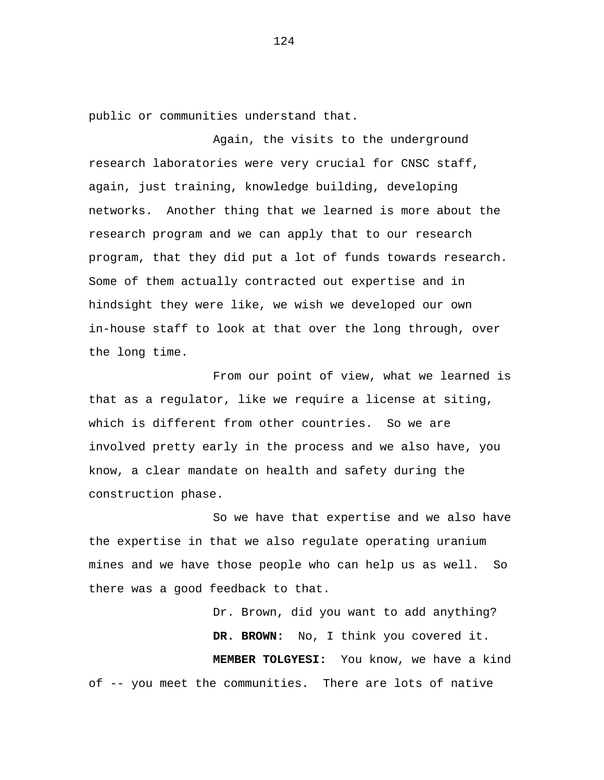public or communities understand that.

Again, the visits to the underground research laboratories were very crucial for CNSC staff, again, just training, knowledge building, developing networks. Another thing that we learned is more about the research program and we can apply that to our research program, that they did put a lot of funds towards research. Some of them actually contracted out expertise and in hindsight they were like, we wish we developed our own in-house staff to look at that over the long through, over the long time.

From our point of view, what we learned is that as a regulator, like we require a license at siting, which is different from other countries. So we are involved pretty early in the process and we also have, you know, a clear mandate on health and safety during the construction phase.

So we have that expertise and we also have the expertise in that we also regulate operating uranium mines and we have those people who can help us as well. So there was a good feedback to that.

Dr. Brown, did you want to add anything? **DR. BROWN:** No, I think you covered it. **MEMBER TOLGYESI:** You know, we have a kind of -- you meet the communities. There are lots of native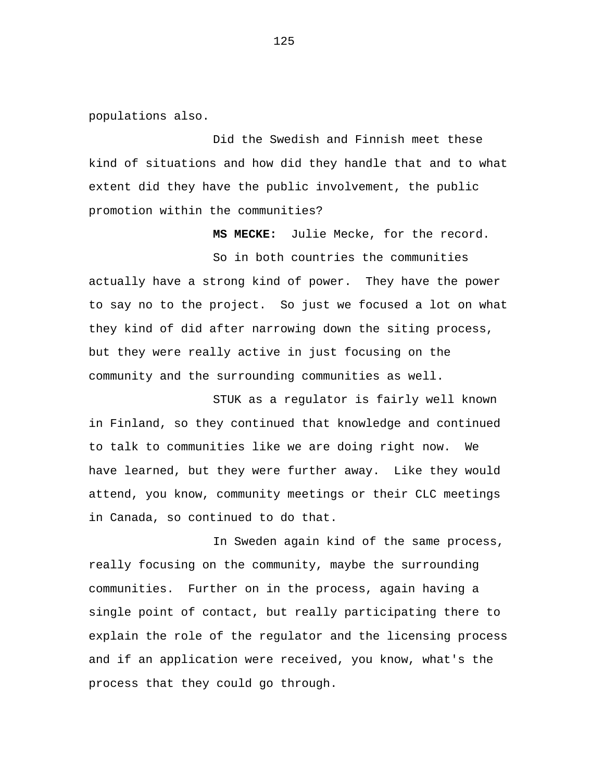populations also.

Did the Swedish and Finnish meet these kind of situations and how did they handle that and to what extent did they have the public involvement, the public promotion within the communities?

**MS MECKE:** Julie Mecke, for the record.

So in both countries the communities actually have a strong kind of power. They have the power to say no to the project. So just we focused a lot on what they kind of did after narrowing down the siting process, but they were really active in just focusing on the community and the surrounding communities as well.

STUK as a regulator is fairly well known in Finland, so they continued that knowledge and continued to talk to communities like we are doing right now. We have learned, but they were further away. Like they would attend, you know, community meetings or their CLC meetings in Canada, so continued to do that.

In Sweden again kind of the same process, really focusing on the community, maybe the surrounding communities. Further on in the process, again having a single point of contact, but really participating there to explain the role of the regulator and the licensing process and if an application were received, you know, what's the process that they could go through.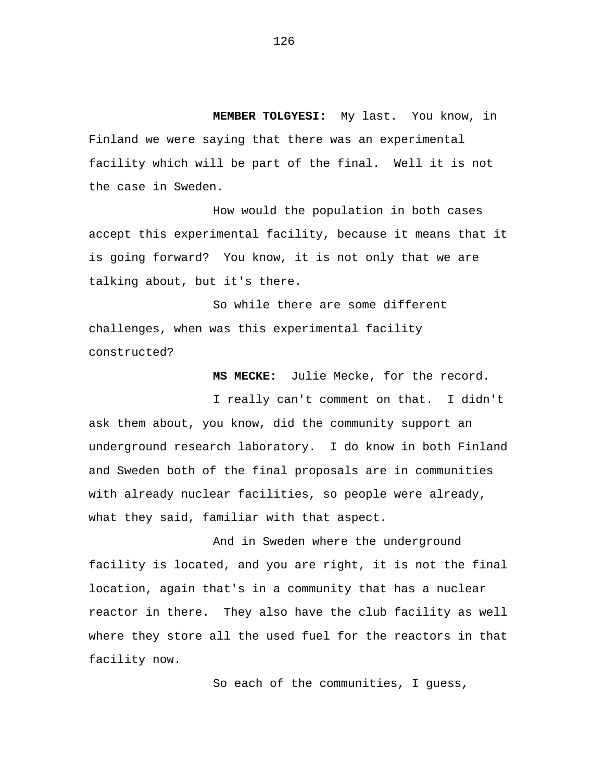**MEMBER TOLGYESI:** My last. You know, in Finland we were saying that there was an experimental facility which will be part of the final. Well it is not the case in Sweden.

How would the population in both cases accept this experimental facility, because it means that it is going forward? You know, it is not only that we are talking about, but it's there.

So while there are some different challenges, when was this experimental facility constructed?

**MS MECKE:** Julie Mecke, for the record.

I really can't comment on that. I didn't ask them about, you know, did the community support an underground research laboratory. I do know in both Finland and Sweden both of the final proposals are in communities with already nuclear facilities, so people were already, what they said, familiar with that aspect.

And in Sweden where the underground facility is located, and you are right, it is not the final location, again that's in a community that has a nuclear reactor in there. They also have the club facility as well where they store all the used fuel for the reactors in that facility now.

So each of the communities, I guess,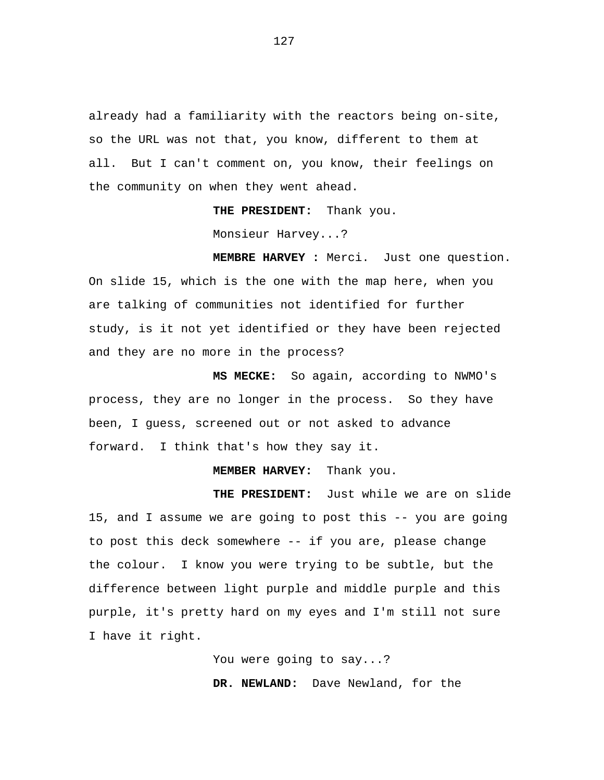already had a familiarity with the reactors being on-site, so the URL was not that, you know, different to them at all. But I can't comment on, you know, their feelings on the community on when they went ahead.

**THE PRESIDENT:** Thank you.

Monsieur Harvey...?

**MEMBRE HARVEY :** Merci. Just one question. On slide 15, which is the one with the map here, when you are talking of communities not identified for further study, is it not yet identified or they have been rejected and they are no more in the process?

**MS MECKE:** So again, according to NWMO's process, they are no longer in the process. So they have been, I guess, screened out or not asked to advance forward. I think that's how they say it.

## **MEMBER HARVEY:** Thank you.

**THE PRESIDENT:** Just while we are on slide 15, and I assume we are going to post this -- you are going to post this deck somewhere -- if you are, please change the colour. I know you were trying to be subtle, but the difference between light purple and middle purple and this purple, it's pretty hard on my eyes and I'm still not sure I have it right.

> You were going to say...? **DR. NEWLAND:** Dave Newland, for the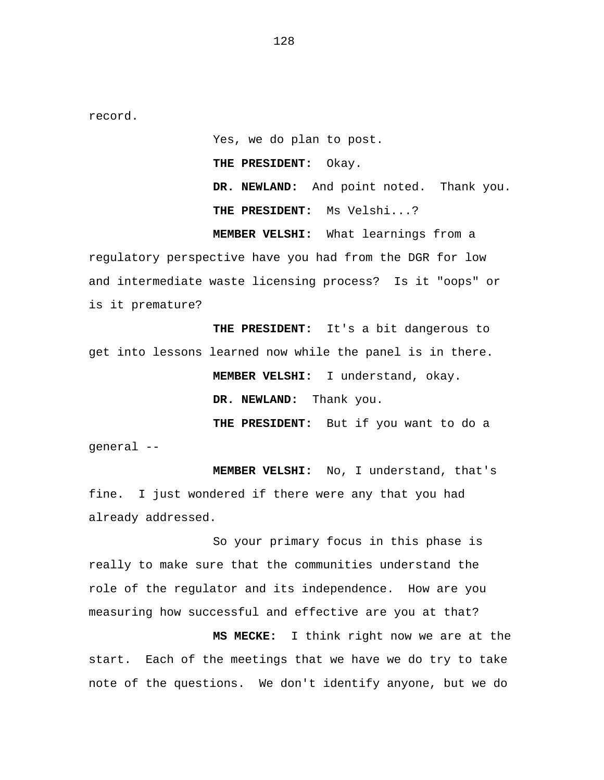record.

Yes, we do plan to post. **THE PRESIDENT:** Okay. **DR. NEWLAND:** And point noted. Thank you. **THE PRESIDENT:** Ms Velshi...? **MEMBER VELSHI:** What learnings from a

regulatory perspective have you had from the DGR for low and intermediate waste licensing process? Is it "oops" or is it premature?

**THE PRESIDENT:** It's a bit dangerous to get into lessons learned now while the panel is in there. **MEMBER VELSHI:** I understand, okay. **DR. NEWLAND:** Thank you.

**THE PRESIDENT:** But if you want to do a general --

**MEMBER VELSHI:** No, I understand, that's fine. I just wondered if there were any that you had already addressed.

So your primary focus in this phase is really to make sure that the communities understand the role of the regulator and its independence. How are you measuring how successful and effective are you at that?

**MS MECKE:** I think right now we are at the start. Each of the meetings that we have we do try to take note of the questions. We don't identify anyone, but we do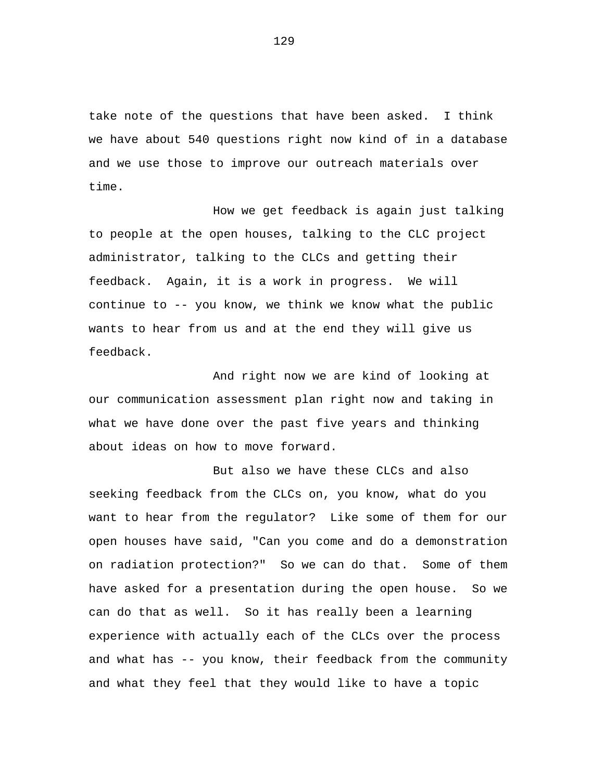take note of the questions that have been asked. I think we have about 540 questions right now kind of in a database and we use those to improve our outreach materials over time.

How we get feedback is again just talking to people at the open houses, talking to the CLC project administrator, talking to the CLCs and getting their feedback. Again, it is a work in progress. We will continue to -- you know, we think we know what the public wants to hear from us and at the end they will give us feedback.

And right now we are kind of looking at our communication assessment plan right now and taking in what we have done over the past five years and thinking about ideas on how to move forward.

But also we have these CLCs and also seeking feedback from the CLCs on, you know, what do you want to hear from the regulator? Like some of them for our open houses have said, "Can you come and do a demonstration on radiation protection?" So we can do that. Some of them have asked for a presentation during the open house. So we can do that as well. So it has really been a learning experience with actually each of the CLCs over the process and what has -- you know, their feedback from the community and what they feel that they would like to have a topic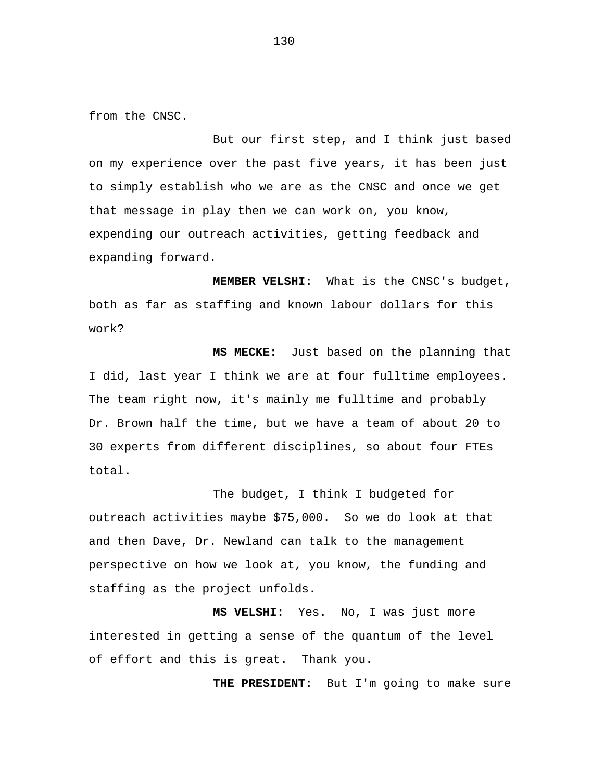from the CNSC.

But our first step, and I think just based on my experience over the past five years, it has been just to simply establish who we are as the CNSC and once we get that message in play then we can work on, you know, expending our outreach activities, getting feedback and expanding forward.

**MEMBER VELSHI:** What is the CNSC's budget, both as far as staffing and known labour dollars for this work?

**MS MECKE:** Just based on the planning that I did, last year I think we are at four fulltime employees. The team right now, it's mainly me fulltime and probably Dr. Brown half the time, but we have a team of about 20 to 30 experts from different disciplines, so about four FTEs total.

The budget, I think I budgeted for outreach activities maybe \$75,000. So we do look at that and then Dave, Dr. Newland can talk to the management perspective on how we look at, you know, the funding and staffing as the project unfolds.

**MS VELSHI:** Yes. No, I was just more interested in getting a sense of the quantum of the level of effort and this is great. Thank you.

**THE PRESIDENT:** But I'm going to make sure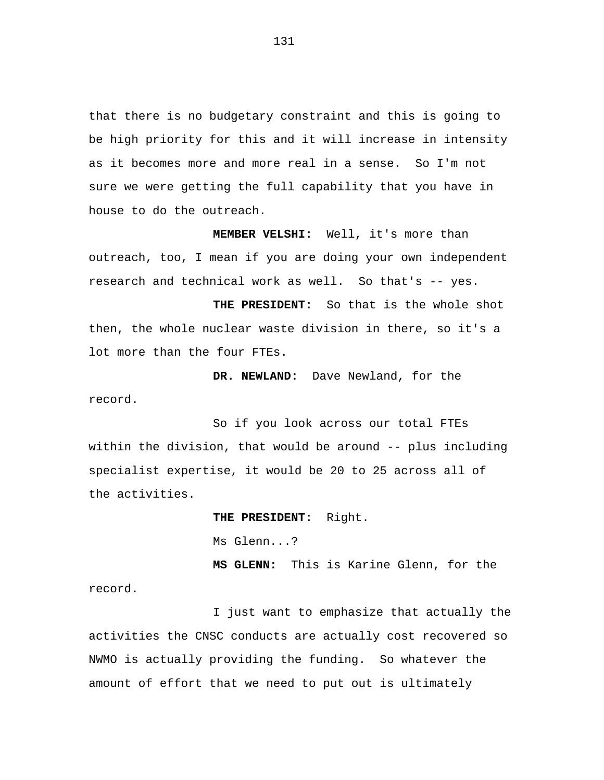that there is no budgetary constraint and this is going to be high priority for this and it will increase in intensity as it becomes more and more real in a sense. So I'm not sure we were getting the full capability that you have in house to do the outreach.

**MEMBER VELSHI:** Well, it's more than outreach, too, I mean if you are doing your own independent research and technical work as well. So that's -- yes.

**THE PRESIDENT:** So that is the whole shot then, the whole nuclear waste division in there, so it's a lot more than the four FTEs.

**DR. NEWLAND:** Dave Newland, for the record.

So if you look across our total FTEs within the division, that would be around -- plus including specialist expertise, it would be 20 to 25 across all of the activities.

> **THE PRESIDENT:** Right. Ms Glenn...? **MS GLENN:** This is Karine Glenn, for the

record.

I just want to emphasize that actually the activities the CNSC conducts are actually cost recovered so NWMO is actually providing the funding. So whatever the amount of effort that we need to put out is ultimately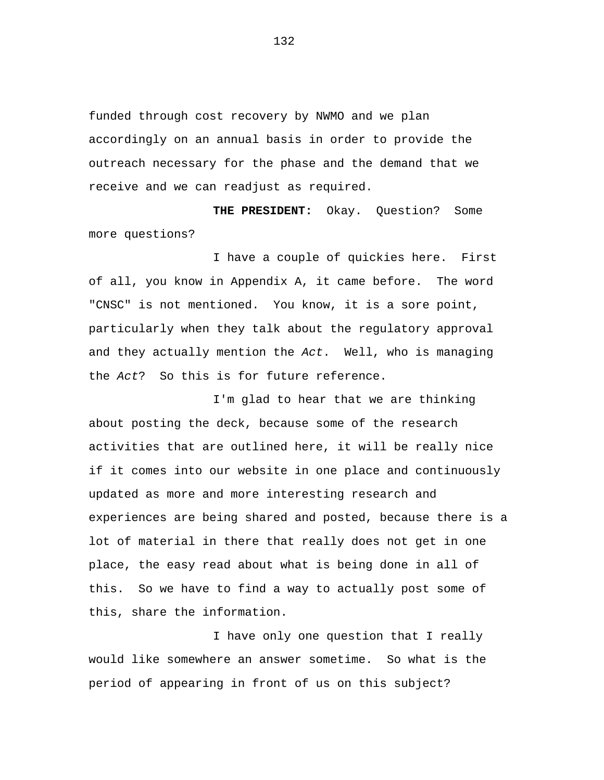funded through cost recovery by NWMO and we plan accordingly on an annual basis in order to provide the outreach necessary for the phase and the demand that we receive and we can readjust as required.

**THE PRESIDENT:** Okay. Question? Some more questions?

I have a couple of quickies here. First of all, you know in Appendix A, it came before. The word "CNSC" is not mentioned. You know, it is a sore point, particularly when they talk about the regulatory approval and they actually mention the *Act*. Well, who is managing the *Act*? So this is for future reference.

I'm glad to hear that we are thinking about posting the deck, because some of the research activities that are outlined here, it will be really nice if it comes into our website in one place and continuously updated as more and more interesting research and experiences are being shared and posted, because there is a lot of material in there that really does not get in one place, the easy read about what is being done in all of this. So we have to find a way to actually post some of this, share the information.

I have only one question that I really would like somewhere an answer sometime. So what is the period of appearing in front of us on this subject?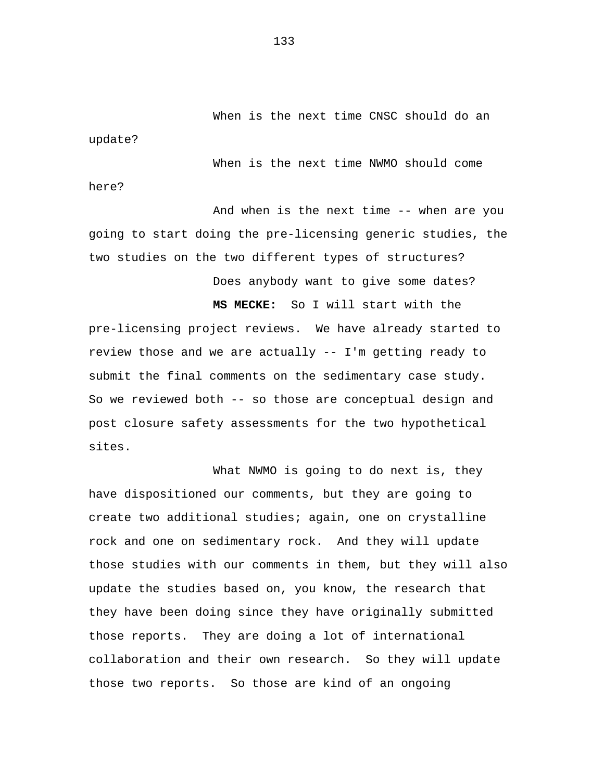When is the next time CNSC should do an

When is the next time NWMO should come

here?

update?

And when is the next time -- when are you going to start doing the pre-licensing generic studies, the two studies on the two different types of structures?

Does anybody want to give some dates?

**MS MECKE:** So I will start with the

pre-licensing project reviews. We have already started to review those and we are actually -- I'm getting ready to submit the final comments on the sedimentary case study. So we reviewed both -- so those are conceptual design and post closure safety assessments for the two hypothetical sites.

What NWMO is going to do next is, they have dispositioned our comments, but they are going to create two additional studies; again, one on crystalline rock and one on sedimentary rock. And they will update those studies with our comments in them, but they will also update the studies based on, you know, the research that they have been doing since they have originally submitted those reports. They are doing a lot of international collaboration and their own research. So they will update those two reports. So those are kind of an ongoing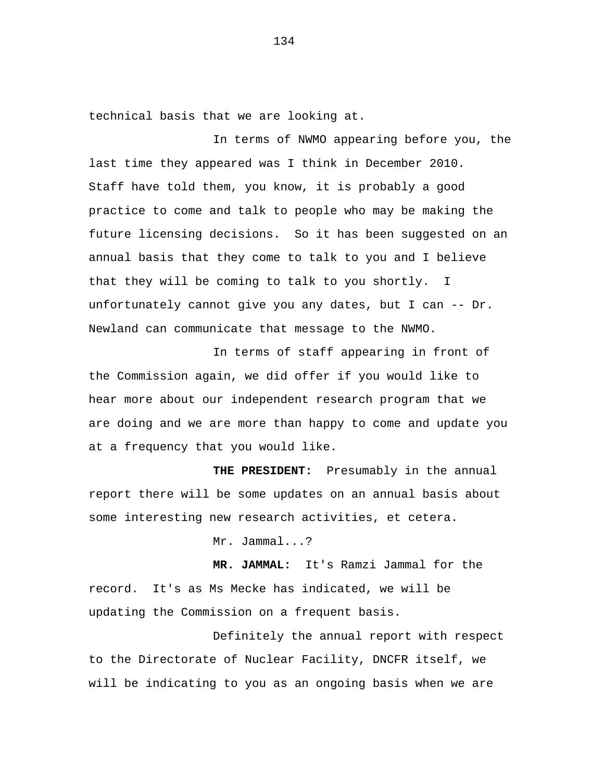technical basis that we are looking at.

In terms of NWMO appearing before you, the last time they appeared was I think in December 2010. Staff have told them, you know, it is probably a good practice to come and talk to people who may be making the future licensing decisions. So it has been suggested on an annual basis that they come to talk to you and I believe that they will be coming to talk to you shortly. I unfortunately cannot give you any dates, but I can  $-$ - Dr. Newland can communicate that message to the NWMO.

In terms of staff appearing in front of the Commission again, we did offer if you would like to hear more about our independent research program that we are doing and we are more than happy to come and update you at a frequency that you would like.

**THE PRESIDENT:** Presumably in the annual report there will be some updates on an annual basis about some interesting new research activities, et cetera.

Mr. Jammal...?

**MR. JAMMAL:** It's Ramzi Jammal for the record. It's as Ms Mecke has indicated, we will be updating the Commission on a frequent basis.

Definitely the annual report with respect to the Directorate of Nuclear Facility, DNCFR itself, we will be indicating to you as an ongoing basis when we are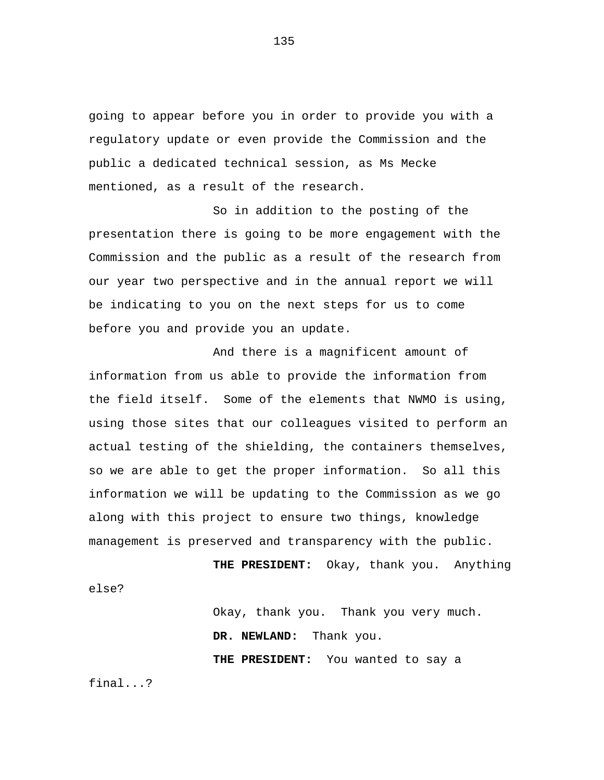going to appear before you in order to provide you with a regulatory update or even provide the Commission and the public a dedicated technical session, as Ms Mecke mentioned, as a result of the research.

So in addition to the posting of the presentation there is going to be more engagement with the Commission and the public as a result of the research from our year two perspective and in the annual report we will be indicating to you on the next steps for us to come before you and provide you an update.

And there is a magnificent amount of information from us able to provide the information from the field itself. Some of the elements that NWMO is using, using those sites that our colleagues visited to perform an actual testing of the shielding, the containers themselves, so we are able to get the proper information. So all this information we will be updating to the Commission as we go along with this project to ensure two things, knowledge management is preserved and transparency with the public.

**THE PRESIDENT:** Okay, thank you. Anything else?

> Okay, thank you. Thank you very much. **DR. NEWLAND:** Thank you. **THE PRESIDENT:** You wanted to say a

final...?